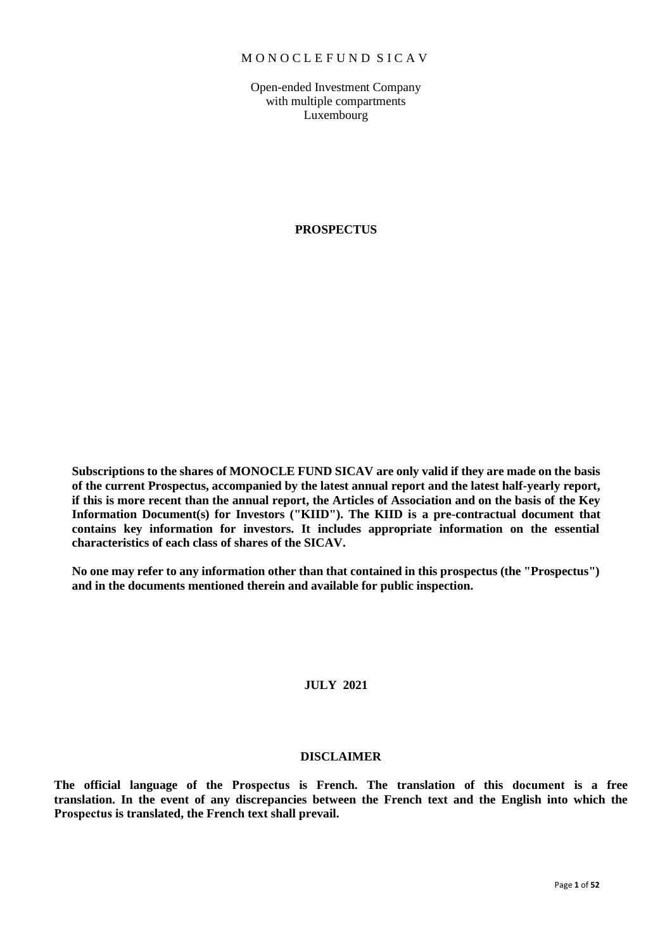### M O N O C L E F U N D S I C A V

Open-ended Investment Company with multiple compartments Luxembourg

### **PROSPECTUS**

**Subscriptions to the shares of MONOCLE FUND SICAV are only valid if they are made on the basis of the current Prospectus, accompanied by the latest annual report and the latest half-yearly report, if this is more recent than the annual report, the Articles of Association and on the basis of the Key Information Document(s) for Investors ("KIID"). The KIID is a pre-contractual document that contains key information for investors. It includes appropriate information on the essential characteristics of each class of shares of the SICAV.** 

**No one may refer to any information other than that contained in this prospectus (the "Prospectus") and in the documents mentioned therein and available for public inspection.** 

### **JULY 2021**

### **DISCLAIMER**

**The official language of the Prospectus is French. The translation of this document is a free translation. In the event of any discrepancies between the French text and the English into which the Prospectus is translated, the French text shall prevail.**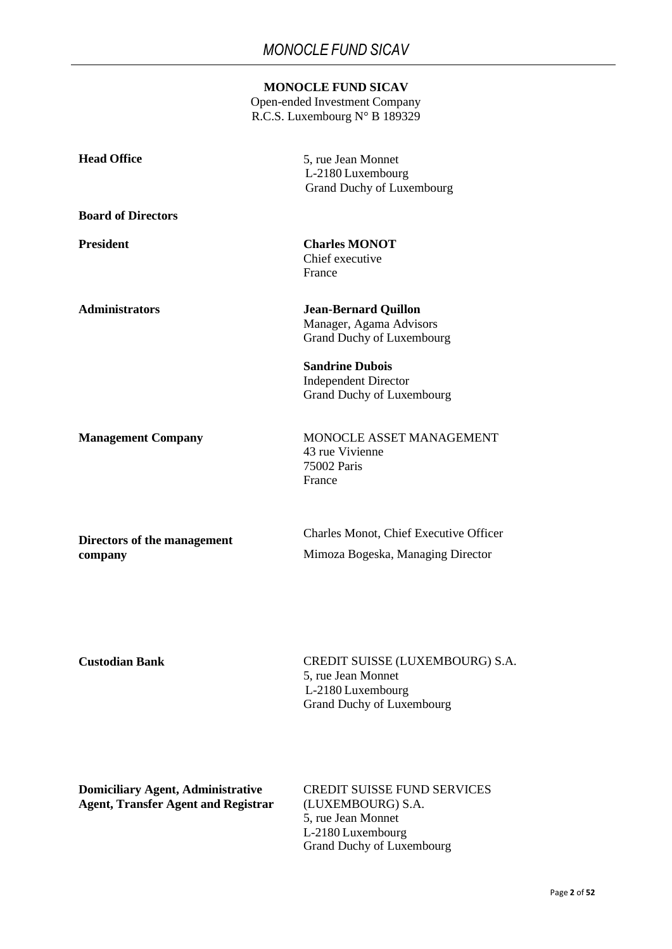Open-ended Investment Company R.C.S. Luxembourg N° B 189329

| <b>Head Office</b>                                                                     | 5, rue Jean Monnet<br>L-2180 Luxembourg<br><b>Grand Duchy of Luxembourg</b>                                                     |
|----------------------------------------------------------------------------------------|---------------------------------------------------------------------------------------------------------------------------------|
| <b>Board of Directors</b>                                                              |                                                                                                                                 |
| <b>President</b>                                                                       | <b>Charles MONOT</b><br>Chief executive<br>France                                                                               |
| <b>Administrators</b>                                                                  | <b>Jean-Bernard Quillon</b><br>Manager, Agama Advisors<br><b>Grand Duchy of Luxembourg</b>                                      |
|                                                                                        | <b>Sandrine Dubois</b><br><b>Independent Director</b><br><b>Grand Duchy of Luxembourg</b>                                       |
| <b>Management Company</b>                                                              | MONOCLE ASSET MANAGEMENT<br>43 rue Vivienne<br>75002 Paris<br>France                                                            |
| Directors of the management<br>company                                                 | <b>Charles Monot, Chief Executive Officer</b><br>Mimoza Bogeska, Managing Director                                              |
| <b>Custodian Bank</b>                                                                  | CREDIT SUISSE (LUXEMBOURG) S.A.<br>5, rue Jean Monnet<br>L-2180 Luxembourg<br>Grand Duchy of Luxembourg                         |
| <b>Domiciliary Agent, Administrative</b><br><b>Agent, Transfer Agent and Registrar</b> | <b>CREDIT SUISSE FUND SERVICES</b><br>(LUXEMBOURG) S.A.<br>5, rue Jean Monnet<br>L-2180 Luxembourg<br>Grand Duchy of Luxembourg |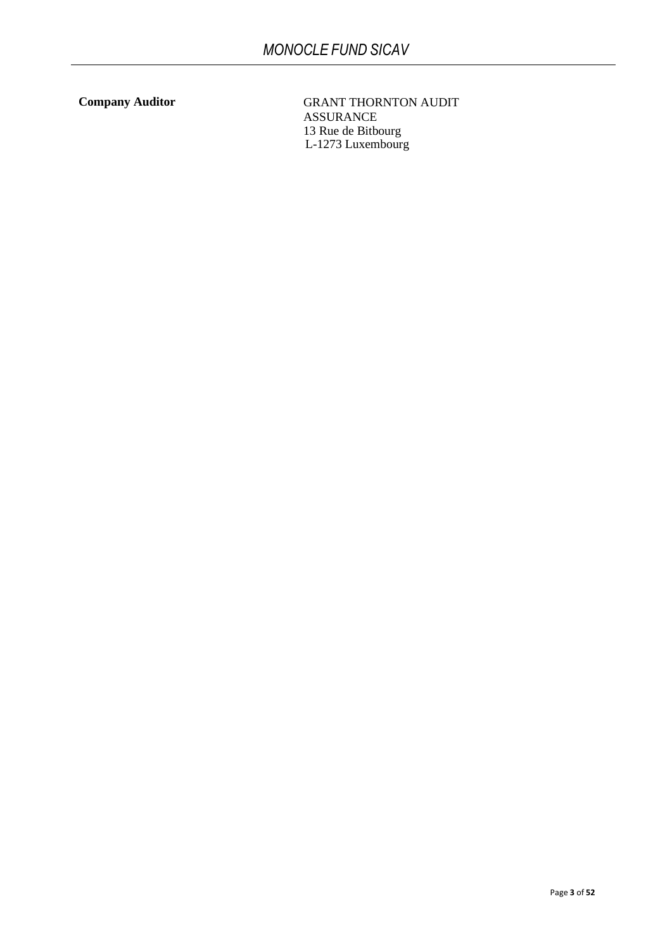**Company Auditor** GRANT THORNTON AUDIT ASSURANCE 13 Rue de Bitbourg L-1273 Luxembourg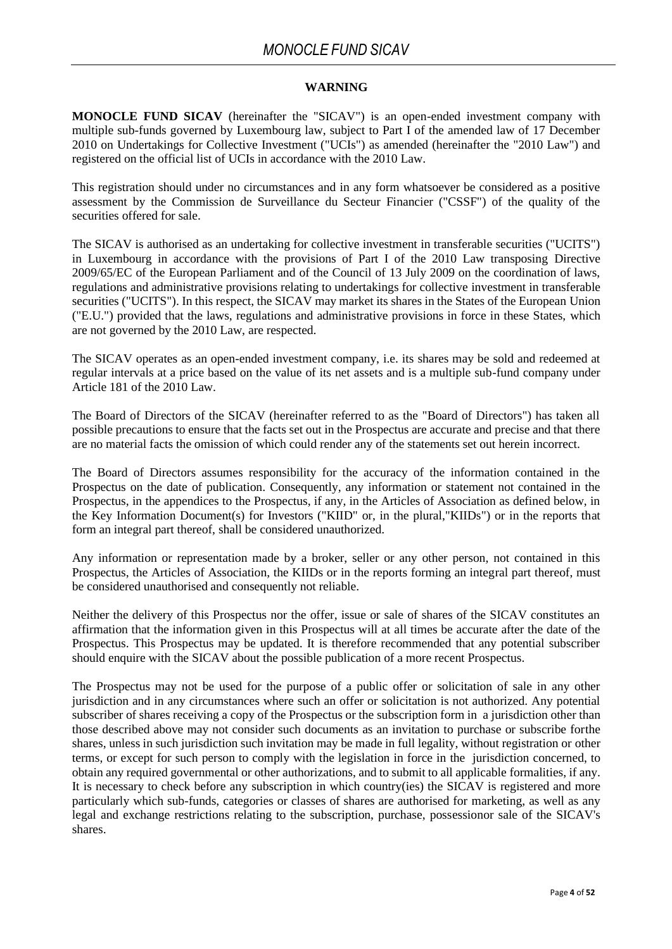### **WARNING**

**MONOCLE FUND SICAV** (hereinafter the "SICAV") is an open-ended investment company with multiple sub-funds governed by Luxembourg law, subject to Part I of the amended law of 17 December 2010 on Undertakings for Collective Investment ("UCIs") as amended (hereinafter the "2010 Law") and registered on the official list of UCIs in accordance with the 2010 Law.

This registration should under no circumstances and in any form whatsoever be considered as a positive assessment by the Commission de Surveillance du Secteur Financier ("CSSF") of the quality of the securities offered for sale.

The SICAV is authorised as an undertaking for collective investment in transferable securities ("UCITS") in Luxembourg in accordance with the provisions of Part I of the 2010 Law transposing Directive 2009/65/EC of the European Parliament and of the Council of 13 July 2009 on the coordination of laws, regulations and administrative provisions relating to undertakings for collective investment in transferable securities ("UCITS"). In this respect, the SICAV may market its shares in the States of the European Union ("E.U.") provided that the laws, regulations and administrative provisions in force in these States, which are not governed by the 2010 Law, are respected.

The SICAV operates as an open-ended investment company, i.e. its shares may be sold and redeemed at regular intervals at a price based on the value of its net assets and is a multiple sub-fund company under Article 181 of the 2010 Law.

The Board of Directors of the SICAV (hereinafter referred to as the "Board of Directors") has taken all possible precautions to ensure that the facts set out in the Prospectus are accurate and precise and that there are no material facts the omission of which could render any of the statements set out herein incorrect.

The Board of Directors assumes responsibility for the accuracy of the information contained in the Prospectus on the date of publication. Consequently, any information or statement not contained in the Prospectus, in the appendices to the Prospectus, if any, in the Articles of Association as defined below, in the Key Information Document(s) for Investors ("KIID" or, in the plural,"KIIDs") or in the reports that form an integral part thereof, shall be considered unauthorized.

Any information or representation made by a broker, seller or any other person, not contained in this Prospectus, the Articles of Association, the KIIDs or in the reports forming an integral part thereof, must be considered unauthorised and consequently not reliable.

Neither the delivery of this Prospectus nor the offer, issue or sale of shares of the SICAV constitutes an affirmation that the information given in this Prospectus will at all times be accurate after the date of the Prospectus. This Prospectus may be updated. It is therefore recommended that any potential subscriber should enquire with the SICAV about the possible publication of a more recent Prospectus.

The Prospectus may not be used for the purpose of a public offer or solicitation of sale in any other jurisdiction and in any circumstances where such an offer or solicitation is not authorized. Any potential subscriber of shares receiving a copy of the Prospectus or the subscription form in a jurisdiction other than those described above may not consider such documents as an invitation to purchase or subscribe forthe shares, unless in such jurisdiction such invitation may be made in full legality, without registration or other terms, or except for such person to comply with the legislation in force in the jurisdiction concerned, to obtain any required governmental or other authorizations, and to submit to all applicable formalities, if any. It is necessary to check before any subscription in which country(ies) the SICAV is registered and more particularly which sub-funds, categories or classes of shares are authorised for marketing, as well as any legal and exchange restrictions relating to the subscription, purchase, possessionor sale of the SICAV's shares.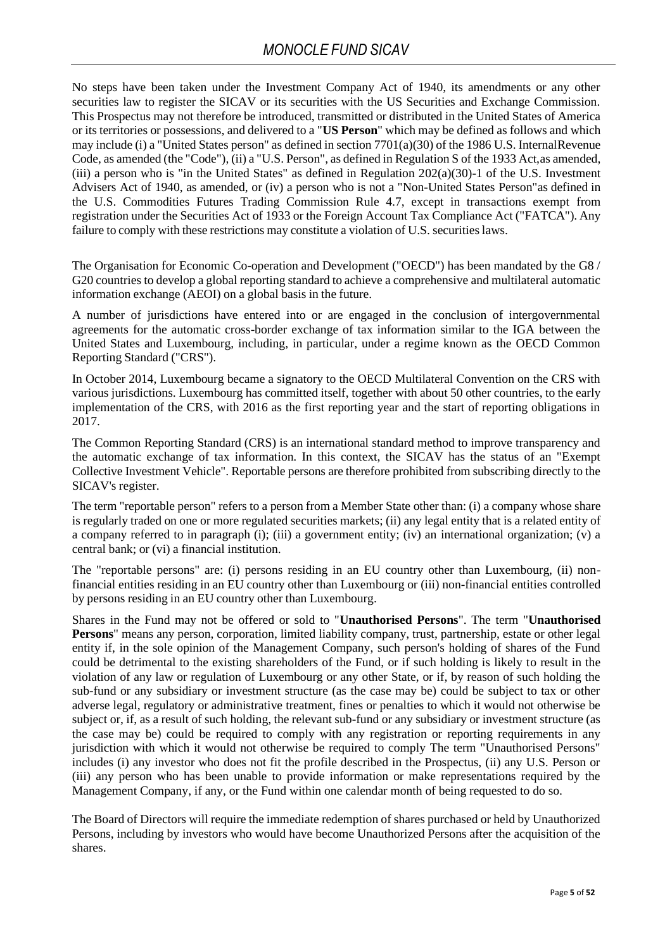No steps have been taken under the Investment Company Act of 1940, its amendments or any other securities law to register the SICAV or its securities with the US Securities and Exchange Commission. This Prospectus may not therefore be introduced, transmitted or distributed in the United States of America or its territories or possessions, and delivered to a "**US Person**" which may be defined as follows and which may include (i) a "United States person" as defined in section 7701(a)(30) of the 1986 U.S. InternalRevenue Code, as amended (the "Code"), (ii) a "U.S. Person", as defined in Regulation S of the 1933 Act,as amended, (iii) a person who is "in the United States" as defined in Regulation  $202(a)(30)$ -1 of the U.S. Investment Advisers Act of 1940, as amended, or (iv) a person who is not a "Non-United States Person"as defined in the U.S. Commodities Futures Trading Commission Rule 4.7, except in transactions exempt from registration under the Securities Act of 1933 or the Foreign Account Tax Compliance Act ("FATCA"). Any failure to comply with these restrictions may constitute a violation of U.S. securities laws.

The Organisation for Economic Co-operation and Development ("OECD") has been mandated by the G8 / G20 countries to develop a global reporting standard to achieve a comprehensive and multilateral automatic information exchange (AEOI) on a global basis in the future.

A number of jurisdictions have entered into or are engaged in the conclusion of intergovernmental agreements for the automatic cross-border exchange of tax information similar to the IGA between the United States and Luxembourg, including, in particular, under a regime known as the OECD Common Reporting Standard ("CRS").

In October 2014, Luxembourg became a signatory to the OECD Multilateral Convention on the CRS with various jurisdictions. Luxembourg has committed itself, together with about 50 other countries, to the early implementation of the CRS, with 2016 as the first reporting year and the start of reporting obligations in 2017.

The Common Reporting Standard (CRS) is an international standard method to improve transparency and the automatic exchange of tax information. In this context, the SICAV has the status of an "Exempt Collective Investment Vehicle". Reportable persons are therefore prohibited from subscribing directly to the SICAV's register.

The term "reportable person" refers to a person from a Member State other than: (i) a company whose share is regularly traded on one or more regulated securities markets; (ii) any legal entity that is a related entity of a company referred to in paragraph (i); (iii) a government entity; (iv) an international organization; (v) a central bank; or (vi) a financial institution.

The "reportable persons" are: (i) persons residing in an EU country other than Luxembourg, (ii) nonfinancial entities residing in an EU country other than Luxembourg or (iii) non-financial entities controlled by persons residing in an EU country other than Luxembourg.

Shares in the Fund may not be offered or sold to "**Unauthorised Persons**". The term "**Unauthorised Persons**" means any person, corporation, limited liability company, trust, partnership, estate or other legal entity if, in the sole opinion of the Management Company, such person's holding of shares of the Fund could be detrimental to the existing shareholders of the Fund, or if such holding is likely to result in the violation of any law or regulation of Luxembourg or any other State, or if, by reason of such holding the sub-fund or any subsidiary or investment structure (as the case may be) could be subject to tax or other adverse legal, regulatory or administrative treatment, fines or penalties to which it would not otherwise be subject or, if, as a result of such holding, the relevant sub-fund or any subsidiary or investment structure (as the case may be) could be required to comply with any registration or reporting requirements in any jurisdiction with which it would not otherwise be required to comply The term "Unauthorised Persons" includes (i) any investor who does not fit the profile described in the Prospectus, (ii) any U.S. Person or (iii) any person who has been unable to provide information or make representations required by the Management Company, if any, or the Fund within one calendar month of being requested to do so.

The Board of Directors will require the immediate redemption of shares purchased or held by Unauthorized Persons, including by investors who would have become Unauthorized Persons after the acquisition of the shares.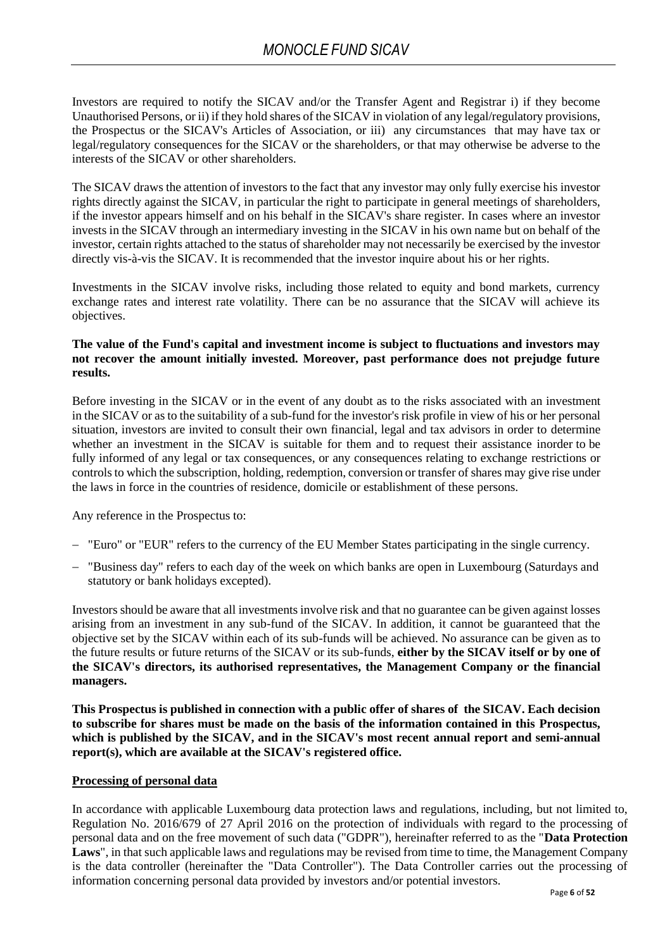Investors are required to notify the SICAV and/or the Transfer Agent and Registrar i) if they become Unauthorised Persons, or ii) if they hold shares of the SICAV in violation of any legal/regulatory provisions, the Prospectus or the SICAV's Articles of Association, or iii) any circumstances that may have tax or legal/regulatory consequences for the SICAV or the shareholders, or that may otherwise be adverse to the interests of the SICAV or other shareholders.

The SICAV draws the attention of investors to the fact that any investor may only fully exercise his investor rights directly against the SICAV, in particular the right to participate in general meetings of shareholders, if the investor appears himself and on his behalf in the SICAV's share register. In cases where an investor invests in the SICAV through an intermediary investing in the SICAV in his own name but on behalf of the investor, certain rights attached to the status of shareholder may not necessarily be exercised by the investor directly vis-à-vis the SICAV. It is recommended that the investor inquire about his or her rights.

Investments in the SICAV involve risks, including those related to equity and bond markets, currency exchange rates and interest rate volatility. There can be no assurance that the SICAV will achieve its objectives.

### **The value of the Fund's capital and investment income is subject to fluctuations and investors may not recover the amount initially invested. Moreover, past performance does not prejudge future results.**

Before investing in the SICAV or in the event of any doubt as to the risks associated with an investment in the SICAV or as to the suitability of a sub-fund for the investor's risk profile in view of his or her personal situation, investors are invited to consult their own financial, legal and tax advisors in order to determine whether an investment in the SICAV is suitable for them and to request their assistance inorder to be fully informed of any legal or tax consequences, or any consequences relating to exchange restrictions or controls to which the subscription, holding, redemption, conversion or transfer of shares may give rise under the laws in force in the countries of residence, domicile or establishment of these persons.

Any reference in the Prospectus to:

- − "Euro" or "EUR" refers to the currency of the EU Member States participating in the single currency.
- "Business day" refers to each day of the week on which banks are open in Luxembourg (Saturdays and statutory or bank holidays excepted).

Investors should be aware that all investments involve risk and that no guarantee can be given against losses arising from an investment in any sub-fund of the SICAV. In addition, it cannot be guaranteed that the objective set by the SICAV within each of its sub-funds will be achieved. No assurance can be given as to the future results or future returns of the SICAV or its sub-funds, **either by the SICAV itself or by one of the SICAV's directors, its authorised representatives, the Management Company or the financial managers.**

**This Prospectus is published in connection with a public offer of shares of the SICAV. Each decision to subscribe for shares must be made on the basis of the information contained in this Prospectus, which is published by the SICAV, and in the SICAV's most recent annual report and semi-annual report(s), which are available at the SICAV's registered office.**

### **Processing of personal data**

In accordance with applicable Luxembourg data protection laws and regulations, including, but not limited to, Regulation No. 2016/679 of 27 April 2016 on the protection of individuals with regard to the processing of personal data and on the free movement of such data ("GDPR"), hereinafter referred to as the "**Data Protection Laws**", in that such applicable laws and regulations may be revised from time to time, the Management Company is the data controller (hereinafter the "Data Controller"). The Data Controller carries out the processing of information concerning personal data provided by investors and/or potential investors.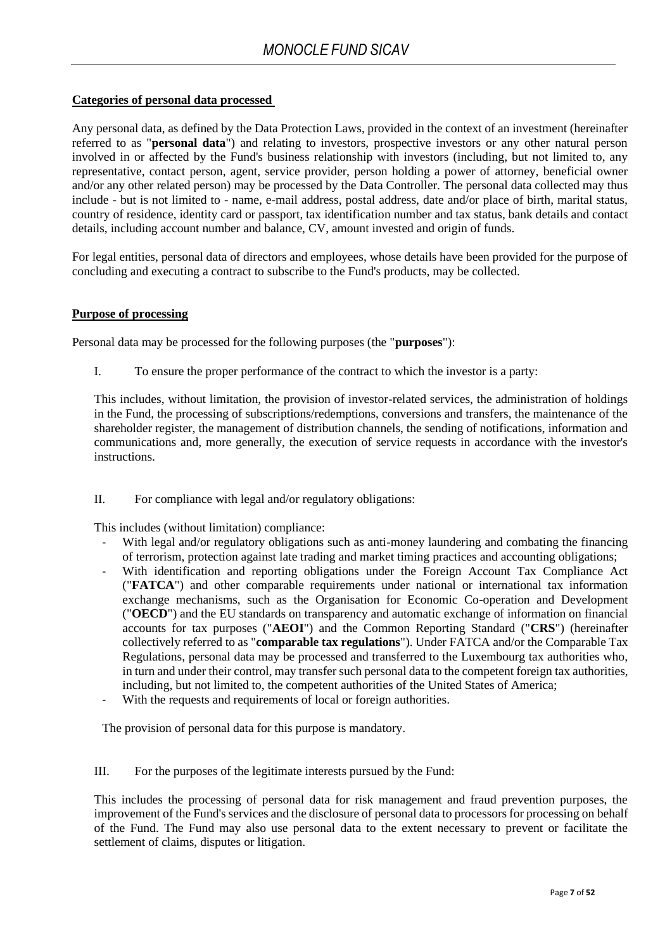### **Categories of personal data processed**

Any personal data, as defined by the Data Protection Laws, provided in the context of an investment (hereinafter referred to as "**personal data**") and relating to investors, prospective investors or any other natural person involved in or affected by the Fund's business relationship with investors (including, but not limited to, any representative, contact person, agent, service provider, person holding a power of attorney, beneficial owner and/or any other related person) may be processed by the Data Controller. The personal data collected may thus include - but is not limited to - name, e-mail address, postal address, date and/or place of birth, marital status, country of residence, identity card or passport, tax identification number and tax status, bank details and contact details, including account number and balance, CV, amount invested and origin of funds.

For legal entities, personal data of directors and employees, whose details have been provided for the purpose of concluding and executing a contract to subscribe to the Fund's products, may be collected.

#### **Purpose of processing**

Personal data may be processed for the following purposes (the "**purposes**"):

I. To ensure the proper performance of the contract to which the investor is a party:

This includes, without limitation, the provision of investor-related services, the administration of holdings in the Fund, the processing of subscriptions/redemptions, conversions and transfers, the maintenance of the shareholder register, the management of distribution channels, the sending of notifications, information and communications and, more generally, the execution of service requests in accordance with the investor's instructions.

II. For compliance with legal and/or regulatory obligations:

This includes (without limitation) compliance:

- With legal and/or regulatory obligations such as anti-money laundering and combating the financing of terrorism, protection against late trading and market timing practices and accounting obligations;
- With identification and reporting obligations under the Foreign Account Tax Compliance Act ("**FATCA**") and other comparable requirements under national or international tax information exchange mechanisms, such as the Organisation for Economic Co-operation and Development ("**OECD**") and the EU standards on transparency and automatic exchange of information on financial accounts for tax purposes ("**AEOI**") and the Common Reporting Standard ("**CRS**") (hereinafter collectively referred to as "**comparable tax regulations**"). Under FATCA and/or the Comparable Tax Regulations, personal data may be processed and transferred to the Luxembourg tax authorities who, in turn and under their control, may transfer such personal data to the competent foreign tax authorities, including, but not limited to, the competent authorities of the United States of America;
- With the requests and requirements of local or foreign authorities.

The provision of personal data for this purpose is mandatory.

III. For the purposes of the legitimate interests pursued by the Fund:

This includes the processing of personal data for risk management and fraud prevention purposes, the improvement of the Fund's services and the disclosure of personal data to processors for processing on behalf of the Fund. The Fund may also use personal data to the extent necessary to prevent or facilitate the settlement of claims, disputes or litigation.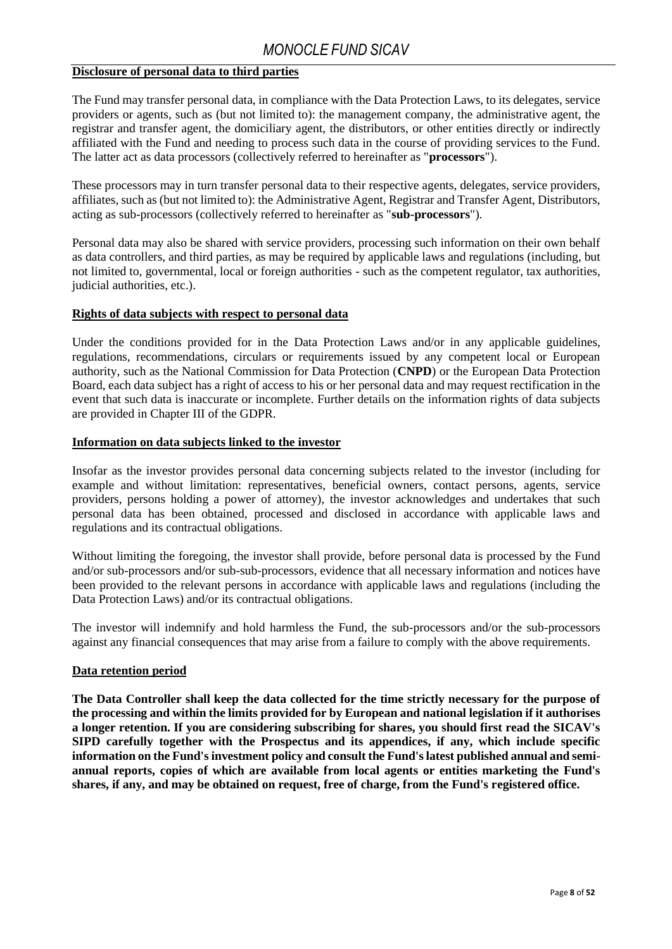### **Disclosure of personal data to third parties**

The Fund may transfer personal data, in compliance with the Data Protection Laws, to its delegates, service providers or agents, such as (but not limited to): the management company, the administrative agent, the registrar and transfer agent, the domiciliary agent, the distributors, or other entities directly or indirectly affiliated with the Fund and needing to process such data in the course of providing services to the Fund. The latter act as data processors (collectively referred to hereinafter as "**processors**").

These processors may in turn transfer personal data to their respective agents, delegates, service providers, affiliates, such as (but not limited to): the Administrative Agent, Registrar and Transfer Agent, Distributors, acting as sub-processors (collectively referred to hereinafter as "**sub-processors**").

Personal data may also be shared with service providers, processing such information on their own behalf as data controllers, and third parties, as may be required by applicable laws and regulations (including, but not limited to, governmental, local or foreign authorities - such as the competent regulator, tax authorities, judicial authorities, etc.).

### **Rights of data subjects with respect to personal data**

Under the conditions provided for in the Data Protection Laws and/or in any applicable guidelines, regulations, recommendations, circulars or requirements issued by any competent local or European authority, such as the National Commission for Data Protection (**CNPD**) or the European Data Protection Board, each data subject has a right of access to his or her personal data and may request rectification in the event that such data is inaccurate or incomplete. Further details on the information rights of data subjects are provided in Chapter III of the GDPR.

### **Information on data subjects linked to the investor**

Insofar as the investor provides personal data concerning subjects related to the investor (including for example and without limitation: representatives, beneficial owners, contact persons, agents, service providers, persons holding a power of attorney), the investor acknowledges and undertakes that such personal data has been obtained, processed and disclosed in accordance with applicable laws and regulations and its contractual obligations.

Without limiting the foregoing, the investor shall provide, before personal data is processed by the Fund and/or sub-processors and/or sub-sub-processors, evidence that all necessary information and notices have been provided to the relevant persons in accordance with applicable laws and regulations (including the Data Protection Laws) and/or its contractual obligations.

The investor will indemnify and hold harmless the Fund, the sub-processors and/or the sub-processors against any financial consequences that may arise from a failure to comply with the above requirements.

### **Data retention period**

**The Data Controller shall keep the data collected for the time strictly necessary for the purpose of the processing and within the limits provided for by European and national legislation if it authorises a longer retention. If you are considering subscribing for shares, you should first read the SICAV's SIPD carefully together with the Prospectus and its appendices, if any, which include specific information on the Fund's investment policy and consult the Fund's latest published annual and semiannual reports, copies of which are available from local agents or entities marketing the Fund's shares, if any, and may be obtained on request, free of charge, from the Fund's registered office.**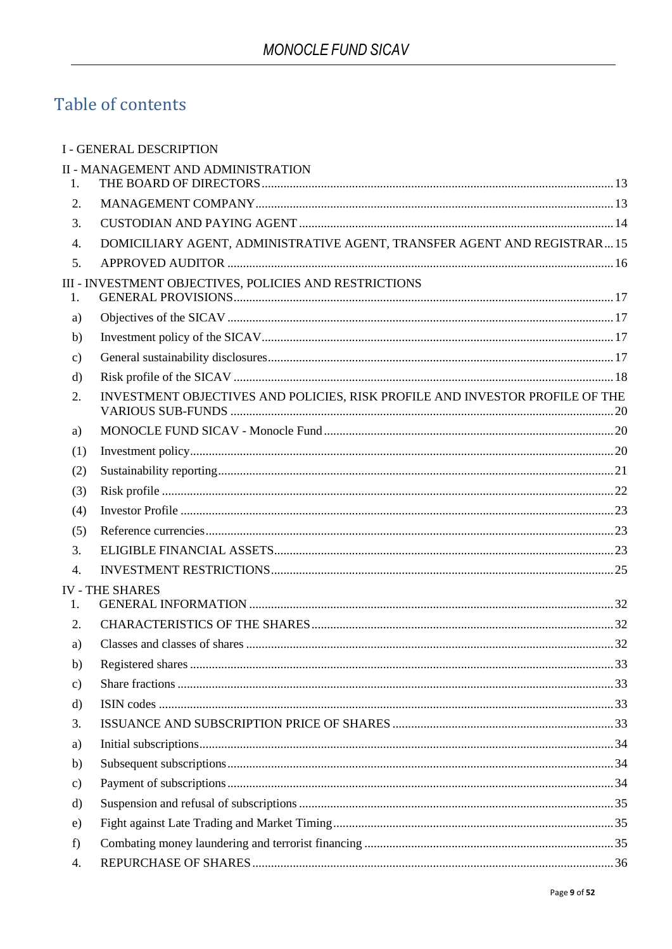# Table of contents

|                  | <b>I - GENERAL DESCRIPTION</b>                                               |  |
|------------------|------------------------------------------------------------------------------|--|
|                  | <b>II - MANAGEMENT AND ADMINISTRATION</b>                                    |  |
| 1.               |                                                                              |  |
| 2.               |                                                                              |  |
| 3.               |                                                                              |  |
| 4.               | DOMICILIARY AGENT, ADMINISTRATIVE AGENT, TRANSFER AGENT AND REGISTRAR 15     |  |
| 5.               |                                                                              |  |
| 1.               | III - INVESTMENT OBJECTIVES, POLICIES AND RESTRICTIONS                       |  |
| a)               |                                                                              |  |
| b)               |                                                                              |  |
| $\mathbf{c})$    |                                                                              |  |
| $\rm d)$         |                                                                              |  |
| 2.               | INVESTMENT OBJECTIVES AND POLICIES, RISK PROFILE AND INVESTOR PROFILE OF THE |  |
| a)               |                                                                              |  |
| (1)              |                                                                              |  |
| (2)              |                                                                              |  |
| (3)              |                                                                              |  |
| (4)              |                                                                              |  |
| (5)              |                                                                              |  |
| 3.               |                                                                              |  |
| $\overline{4}$ . |                                                                              |  |
| $\mathbf{1}$ .   | <b>IV - THE SHARES</b>                                                       |  |
| 2.               |                                                                              |  |
| a)               |                                                                              |  |
| b)               |                                                                              |  |
| $\mathbf{c})$    |                                                                              |  |
| $\mathbf{d}$     |                                                                              |  |
| 3.               |                                                                              |  |
| a)               |                                                                              |  |
| b)               |                                                                              |  |
| $\mathbf{c})$    |                                                                              |  |
| d)               |                                                                              |  |
| e)               |                                                                              |  |
| f)               |                                                                              |  |
| 4.               |                                                                              |  |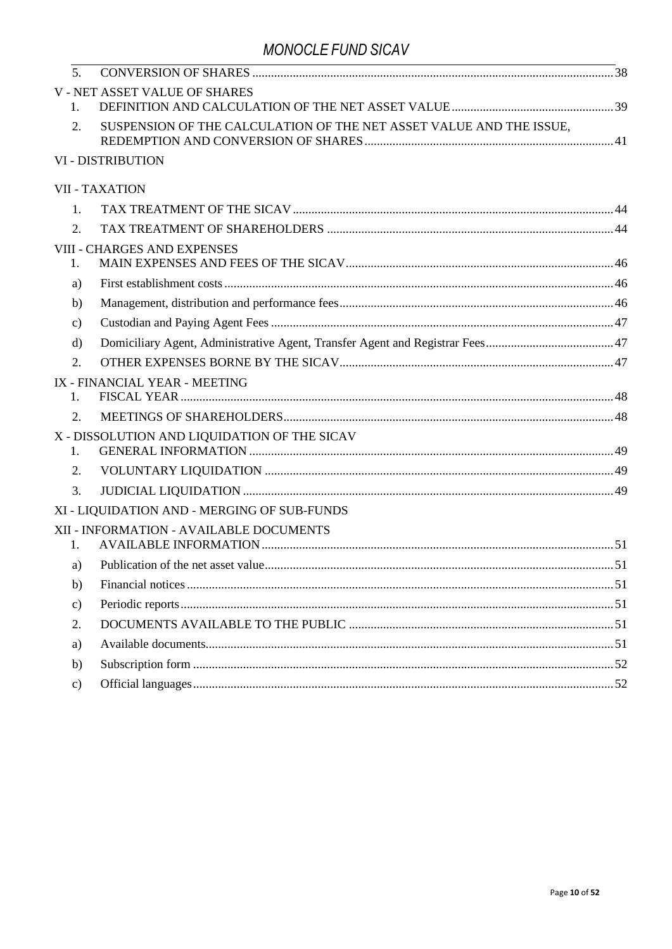| 5.            |                                                                     |  |
|---------------|---------------------------------------------------------------------|--|
| 1.            | <b>V-NET ASSET VALUE OF SHARES</b>                                  |  |
| 2.            | SUSPENSION OF THE CALCULATION OF THE NET ASSET VALUE AND THE ISSUE, |  |
|               | <b>VI - DISTRIBUTION</b>                                            |  |
|               | <b>VII - TAXATION</b>                                               |  |
| 1.            |                                                                     |  |
| 2.            |                                                                     |  |
| 1.            | <b>VIII - CHARGES AND EXPENSES</b>                                  |  |
| a)            |                                                                     |  |
| b)            |                                                                     |  |
| $\mathbf{c})$ |                                                                     |  |
| $\mathbf{d}$  |                                                                     |  |
| 2.            |                                                                     |  |
|               | IX - FINANCIAL YEAR - MEETING                                       |  |
| 1.            |                                                                     |  |
| 2.            |                                                                     |  |
| 1.            | X - DISSOLUTION AND LIQUIDATION OF THE SICAV                        |  |
| 2.            |                                                                     |  |
| 3.            |                                                                     |  |
|               | XI - LIQUIDATION AND - MERGING OF SUB-FUNDS                         |  |
| $1_{-}$       | XII - INFORMATION - AVAILABLE DOCUMENTS                             |  |
| a)            |                                                                     |  |
| b)            |                                                                     |  |
| $\mathbf{c})$ |                                                                     |  |
| 2.            |                                                                     |  |
| a)            |                                                                     |  |
| b)            |                                                                     |  |
| $\mathbf{c})$ |                                                                     |  |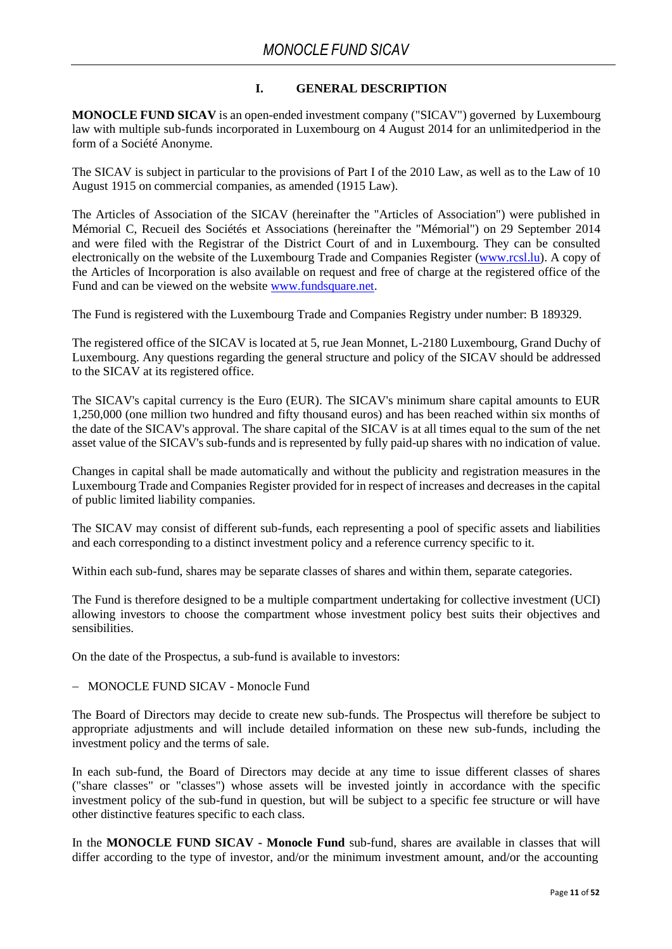### **I. GENERAL DESCRIPTION**

**MONOCLE FUND SICAV** is an open-ended investment company ("SICAV") governed by Luxembourg law with multiple sub-funds incorporated in Luxembourg on 4 August 2014 for an unlimited period in the form of a Société Anonyme.

The SICAV is subject in particular to the provisions of Part I of the 2010 Law, as well as to the Law of 10 August 1915 on commercial companies, as amended (1915 Law).

The Articles of Association of the SICAV (hereinafter the "Articles of Association") were published in Mémorial C, Recueil des Sociétés et Associations (hereinafter the "Mémorial") on 29 September 2014 and were filed with the Registrar of the District Court of and in Luxembourg. They can be consulted electronically on the website of the Luxembourg Trade and Companies Register [\(www.rcsl.lu\)](http://www.rcsl.lu/). A copy of the Articles of Incorporation is also available on request and free of charge at the registered office of the Fund and can be viewed on the website [www.fundsquare.net.](http://www.fundsquare.net/)

The Fund is registered with the Luxembourg Trade and Companies Registry under number: B 189329.

The registered office of the SICAV is located at 5, rue Jean Monnet, L-2180 Luxembourg, Grand Duchy of Luxembourg. Any questions regarding the general structure and policy of the SICAV should be addressed to the SICAV at its registered office.

The SICAV's capital currency is the Euro (EUR). The SICAV's minimum share capital amounts to EUR 1,250,000 (one million two hundred and fifty thousand euros) and has been reached within six months of the date of the SICAV's approval. The share capital of the SICAV is at all times equal to the sum of the net asset value of the SICAV's sub-funds and is represented by fully paid-up shares with no indication of value.

Changes in capital shall be made automatically and without the publicity and registration measures in the Luxembourg Trade and Companies Register provided for in respect of increases and decreases in the capital of public limited liability companies.

The SICAV may consist of different sub-funds, each representing a pool of specific assets and liabilities and each corresponding to a distinct investment policy and a reference currency specific to it.

Within each sub-fund, shares may be separate classes of shares and within them, separate categories.

The Fund is therefore designed to be a multiple compartment undertaking for collective investment (UCI) allowing investors to choose the compartment whose investment policy best suits their objectives and sensibilities.

On the date of the Prospectus, a sub-fund is available to investors:

### − MONOCLE FUND SICAV - Monocle Fund

The Board of Directors may decide to create new sub-funds. The Prospectus will therefore be subject to appropriate adjustments and will include detailed information on these new sub-funds, including the investment policy and the terms of sale.

In each sub-fund, the Board of Directors may decide at any time to issue different classes of shares ("share classes" or "classes") whose assets will be invested jointly in accordance with the specific investment policy of the sub-fund in question, but will be subject to a specific fee structure or will have other distinctive features specific to each class.

In the **MONOCLE FUND SICAV - Monocle Fund** sub-fund, shares are available in classes that will differ according to the type of investor, and/or the minimum investment amount, and/or the accounting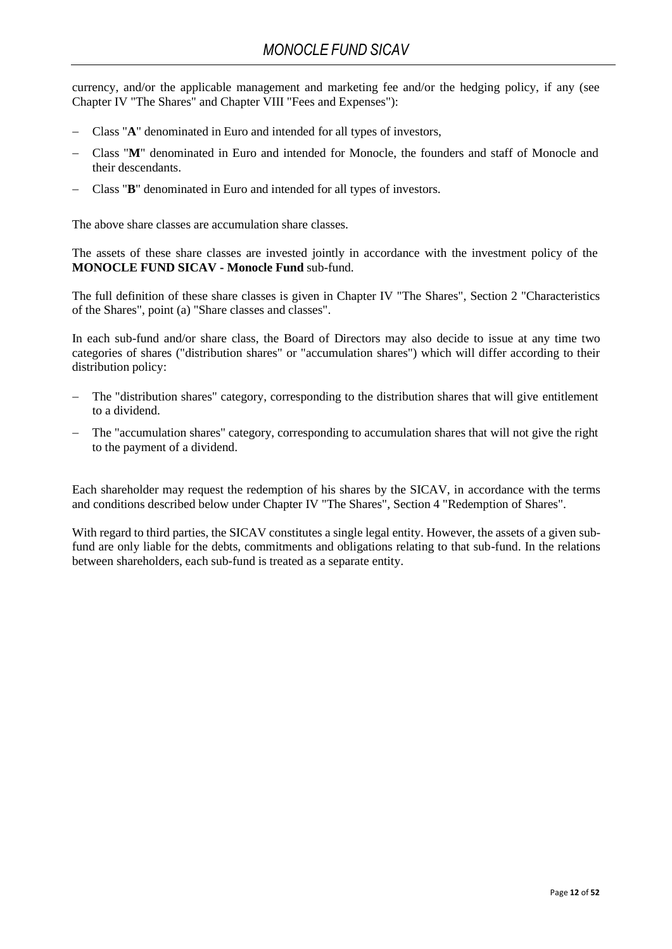currency, and/or the applicable management and marketing fee and/or the hedging policy, if any (see Chapter IV "The Shares" and Chapter VIII "Fees and Expenses"):

- − Class "**A**" denominated in Euro and intended for all types of investors,
- − Class "**M**" denominated in Euro and intended for Monocle, the founders and staff of Monocle and their descendants.
- − Class "**B**" denominated in Euro and intended for all types of investors.

The above share classes are accumulation share classes.

The assets of these share classes are invested jointly in accordance with the investment policy of the **MONOCLE FUND SICAV - Monocle Fund** sub-fund.

The full definition of these share classes is given in Chapter IV "The Shares", Section 2 "Characteristics of the Shares", point (a) "Share classes and classes".

In each sub-fund and/or share class, the Board of Directors may also decide to issue at any time two categories of shares ("distribution shares" or "accumulation shares") which will differ according to their distribution policy:

- − The "distribution shares" category, corresponding to the distribution shares that will give entitlement to a dividend.
- The "accumulation shares" category, corresponding to accumulation shares that will not give the right to the payment of a dividend.

Each shareholder may request the redemption of his shares by the SICAV, in accordance with the terms and conditions described below under Chapter IV "The Shares", Section 4 "Redemption of Shares".

With regard to third parties, the SICAV constitutes a single legal entity. However, the assets of a given subfund are only liable for the debts, commitments and obligations relating to that sub-fund. In the relations between shareholders, each sub-fund is treated as a separate entity.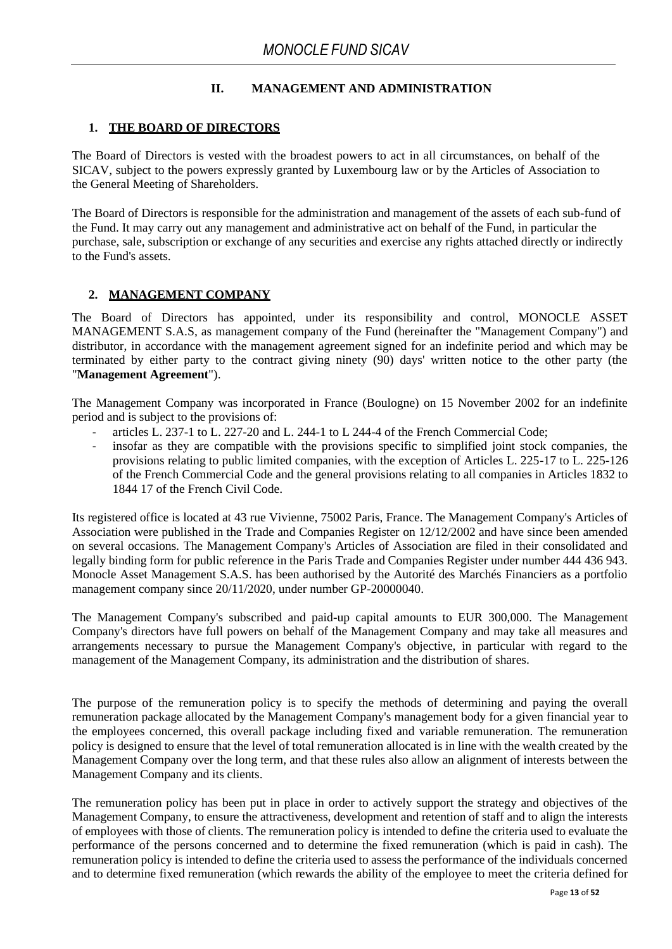### **II. MANAGEMENT AND ADMINISTRATION**

### <span id="page-12-0"></span>**1. THE BOARD OF DIRECTORS**

The Board of Directors is vested with the broadest powers to act in all circumstances, on behalf of the SICAV, subject to the powers expressly granted by Luxembourg law or by the Articles of Association to the General Meeting of Shareholders.

The Board of Directors is responsible for the administration and management of the assets of each sub-fund of the Fund. It may carry out any management and administrative act on behalf of the Fund, in particular the purchase, sale, subscription or exchange of any securities and exercise any rights attached directly or indirectly to the Fund's assets.

### **2. MANAGEMENT COMPANY**

<span id="page-12-1"></span>The Board of Directors has appointed, under its responsibility and control, MONOCLE ASSET MANAGEMENT S.A.S, as management company of the Fund (hereinafter the "Management Company") and distributor, in accordance with the management agreement signed for an indefinite period and which may be terminated by either party to the contract giving ninety (90) days' written notice to the other party (the "**Management Agreement**").

The Management Company was incorporated in France (Boulogne) on 15 November 2002 for an indefinite period and is subject to the provisions of:

- articles L. 237-1 to L. 227-20 and L. 244-1 to L 244-4 of the French Commercial Code;
- insofar as they are compatible with the provisions specific to simplified joint stock companies, the provisions relating to public limited companies, with the exception of Articles L. 225-17 to L. 225-126 of the French Commercial Code and the general provisions relating to all companies in Articles 1832 to 1844 17 of the French Civil Code.

Its registered office is located at 43 rue Vivienne, 75002 Paris, France. The Management Company's Articles of Association were published in the Trade and Companies Register on 12/12/2002 and have since been amended on several occasions. The Management Company's Articles of Association are filed in their consolidated and legally binding form for public reference in the Paris Trade and Companies Register under number 444 436 943. Monocle Asset Management S.A.S. has been authorised by the Autorité des Marchés Financiers as a portfolio management company since 20/11/2020, under number GP-20000040.

The Management Company's subscribed and paid-up capital amounts to EUR 300,000. The Management Company's directors have full powers on behalf of the Management Company and may take all measures and arrangements necessary to pursue the Management Company's objective, in particular with regard to the management of the Management Company, its administration and the distribution of shares.

The purpose of the remuneration policy is to specify the methods of determining and paying the overall remuneration package allocated by the Management Company's management body for a given financial year to the employees concerned, this overall package including fixed and variable remuneration. The remuneration policy is designed to ensure that the level of total remuneration allocated is in line with the wealth created by the Management Company over the long term, and that these rules also allow an alignment of interests between the Management Company and its clients.

The remuneration policy has been put in place in order to actively support the strategy and objectives of the Management Company, to ensure the attractiveness, development and retention of staff and to align the interests of employees with those of clients. The remuneration policy is intended to define the criteria used to evaluate the performance of the persons concerned and to determine the fixed remuneration (which is paid in cash). The remuneration policy is intended to define the criteria used to assess the performance of the individuals concerned and to determine fixed remuneration (which rewards the ability of the employee to meet the criteria defined for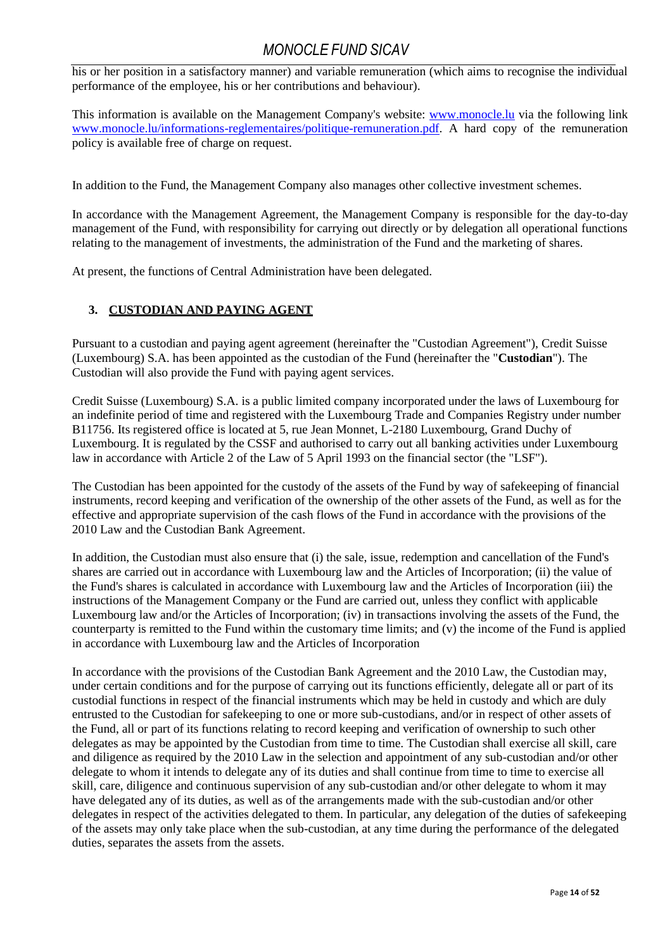his or her position in a satisfactory manner) and variable remuneration (which aims to recognise the individual performance of the employee, his or her contributions and behaviour).

This information is available on the Management Company's website: [www.monocle.lu](http://www.monocle.lu/) via the following link [www.monocle.lu/informations-reglementaires/politique-remuneration.pdf.](http://www.monocle.lu/informations-reglementaires/politique-remuneration.pdf) A hard copy of the remuneration policy is available free of charge on request.

In addition to the Fund, the Management Company also manages other collective investment schemes.

In accordance with the Management Agreement, the Management Company is responsible for the day-to-day management of the Fund, with responsibility for carrying out directly or by delegation all operational functions relating to the management of investments, the administration of the Fund and the marketing of shares.

At present, the functions of Central Administration have been delegated.

### <span id="page-13-0"></span>**3. CUSTODIAN AND PAYING AGENT**

Pursuant to a custodian and paying agent agreement (hereinafter the "Custodian Agreement"), Credit Suisse (Luxembourg) S.A. has been appointed as the custodian of the Fund (hereinafter the "**Custodian**"). The Custodian will also provide the Fund with paying agent services.

Credit Suisse (Luxembourg) S.A. is a public limited company incorporated under the laws of Luxembourg for an indefinite period of time and registered with the Luxembourg Trade and Companies Registry under number B11756. Its registered office is located at 5, rue Jean Monnet, L-2180 Luxembourg, Grand Duchy of Luxembourg. It is regulated by the CSSF and authorised to carry out all banking activities under Luxembourg law in accordance with Article 2 of the Law of 5 April 1993 on the financial sector (the "LSF").

The Custodian has been appointed for the custody of the assets of the Fund by way of safekeeping of financial instruments, record keeping and verification of the ownership of the other assets of the Fund, as well as for the effective and appropriate supervision of the cash flows of the Fund in accordance with the provisions of the 2010 Law and the Custodian Bank Agreement.

In addition, the Custodian must also ensure that (i) the sale, issue, redemption and cancellation of the Fund's shares are carried out in accordance with Luxembourg law and the Articles of Incorporation; (ii) the value of the Fund's shares is calculated in accordance with Luxembourg law and the Articles of Incorporation (iii) the instructions of the Management Company or the Fund are carried out, unless they conflict with applicable Luxembourg law and/or the Articles of Incorporation; (iv) in transactions involving the assets of the Fund, the counterparty is remitted to the Fund within the customary time limits; and (v) the income of the Fund is applied in accordance with Luxembourg law and the Articles of Incorporation

In accordance with the provisions of the Custodian Bank Agreement and the 2010 Law, the Custodian may, under certain conditions and for the purpose of carrying out its functions efficiently, delegate all or part of its custodial functions in respect of the financial instruments which may be held in custody and which are duly entrusted to the Custodian for safekeeping to one or more sub-custodians, and/or in respect of other assets of the Fund, all or part of its functions relating to record keeping and verification of ownership to such other delegates as may be appointed by the Custodian from time to time. The Custodian shall exercise all skill, care and diligence as required by the 2010 Law in the selection and appointment of any sub-custodian and/or other delegate to whom it intends to delegate any of its duties and shall continue from time to time to exercise all skill, care, diligence and continuous supervision of any sub-custodian and/or other delegate to whom it may have delegated any of its duties, as well as of the arrangements made with the sub-custodian and/or other delegates in respect of the activities delegated to them. In particular, any delegation of the duties of safekeeping of the assets may only take place when the sub-custodian, at any time during the performance of the delegated duties, separates the assets from the assets.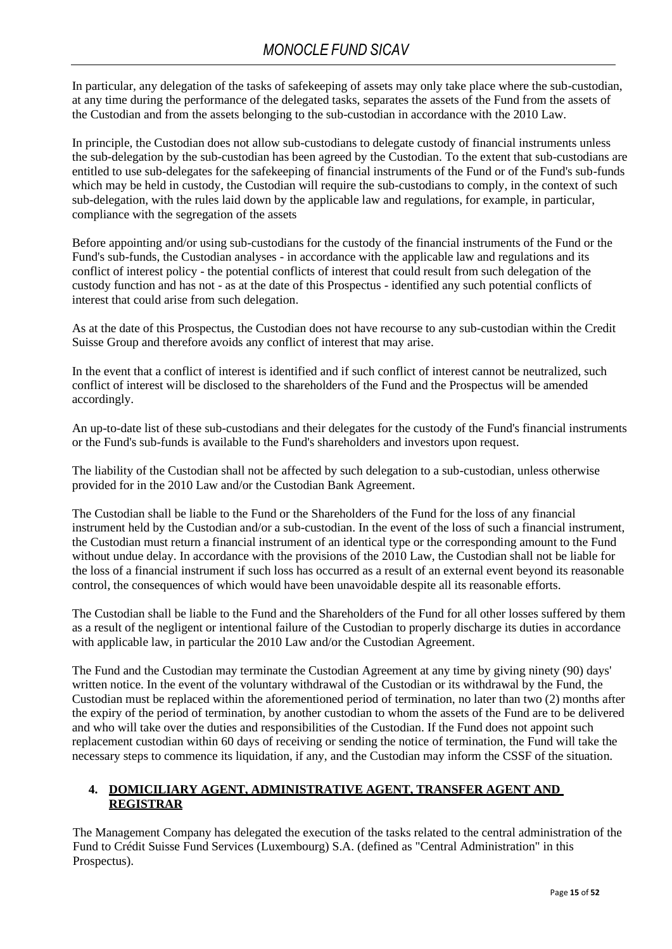In particular, any delegation of the tasks of safekeeping of assets may only take place where the sub-custodian, at any time during the performance of the delegated tasks, separates the assets of the Fund from the assets of the Custodian and from the assets belonging to the sub-custodian in accordance with the 2010 Law.

In principle, the Custodian does not allow sub-custodians to delegate custody of financial instruments unless the sub-delegation by the sub-custodian has been agreed by the Custodian. To the extent that sub-custodians are entitled to use sub-delegates for the safekeeping of financial instruments of the Fund or of the Fund's sub-funds which may be held in custody, the Custodian will require the sub-custodians to comply, in the context of such sub-delegation, with the rules laid down by the applicable law and regulations, for example, in particular, compliance with the segregation of the assets

Before appointing and/or using sub-custodians for the custody of the financial instruments of the Fund or the Fund's sub-funds, the Custodian analyses - in accordance with the applicable law and regulations and its conflict of interest policy - the potential conflicts of interest that could result from such delegation of the custody function and has not - as at the date of this Prospectus - identified any such potential conflicts of interest that could arise from such delegation.

As at the date of this Prospectus, the Custodian does not have recourse to any sub-custodian within the Credit Suisse Group and therefore avoids any conflict of interest that may arise.

In the event that a conflict of interest is identified and if such conflict of interest cannot be neutralized, such conflict of interest will be disclosed to the shareholders of the Fund and the Prospectus will be amended accordingly.

An up-to-date list of these sub-custodians and their delegates for the custody of the Fund's financial instruments or the Fund's sub-funds is available to the Fund's shareholders and investors upon request.

The liability of the Custodian shall not be affected by such delegation to a sub-custodian, unless otherwise provided for in the 2010 Law and/or the Custodian Bank Agreement.

The Custodian shall be liable to the Fund or the Shareholders of the Fund for the loss of any financial instrument held by the Custodian and/or a sub-custodian. In the event of the loss of such a financial instrument, the Custodian must return a financial instrument of an identical type or the corresponding amount to the Fund without undue delay. In accordance with the provisions of the 2010 Law, the Custodian shall not be liable for the loss of a financial instrument if such loss has occurred as a result of an external event beyond its reasonable control, the consequences of which would have been unavoidable despite all its reasonable efforts.

The Custodian shall be liable to the Fund and the Shareholders of the Fund for all other losses suffered by them as a result of the negligent or intentional failure of the Custodian to properly discharge its duties in accordance with applicable law, in particular the 2010 Law and/or the Custodian Agreement.

The Fund and the Custodian may terminate the Custodian Agreement at any time by giving ninety (90) days' written notice. In the event of the voluntary withdrawal of the Custodian or its withdrawal by the Fund, the Custodian must be replaced within the aforementioned period of termination, no later than two (2) months after the expiry of the period of termination, by another custodian to whom the assets of the Fund are to be delivered and who will take over the duties and responsibilities of the Custodian. If the Fund does not appoint such replacement custodian within 60 days of receiving or sending the notice of termination, the Fund will take the necessary steps to commence its liquidation, if any, and the Custodian may inform the CSSF of the situation.

### <span id="page-14-0"></span>**4. DOMICILIARY AGENT, ADMINISTRATIVE AGENT, TRANSFER AGENT AND REGISTRAR**

The Management Company has delegated the execution of the tasks related to the central administration of the Fund to Crédit Suisse Fund Services (Luxembourg) S.A. (defined as "Central Administration" in this Prospectus).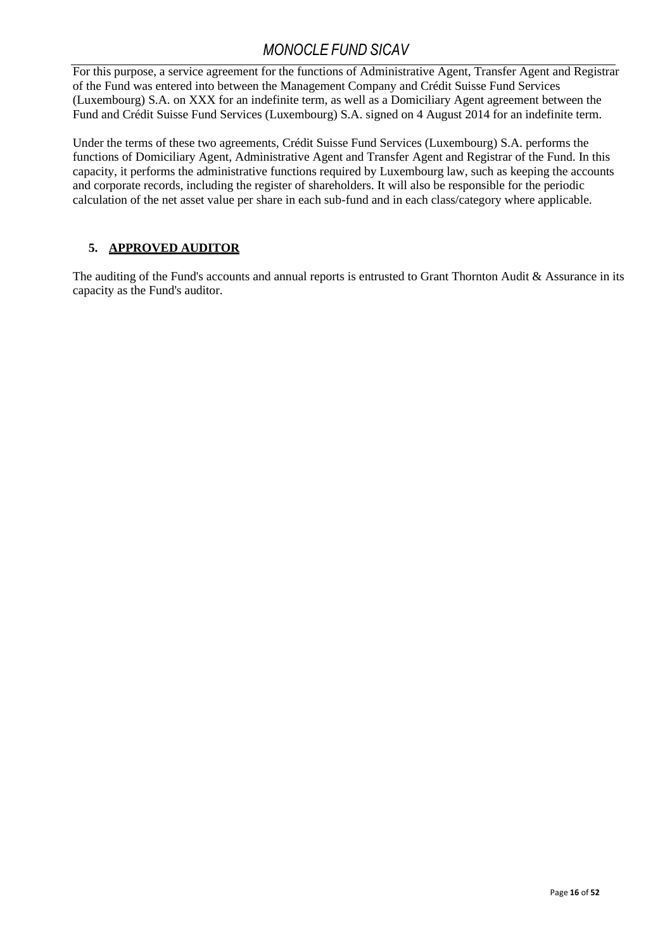For this purpose, a service agreement for the functions of Administrative Agent, Transfer Agent and Registrar of the Fund was entered into between the Management Company and Crédit Suisse Fund Services (Luxembourg) S.A. on XXX for an indefinite term, as well as a Domiciliary Agent agreement between the Fund and Crédit Suisse Fund Services (Luxembourg) S.A. signed on 4 August 2014 for an indefinite term.

Under the terms of these two agreements, Crédit Suisse Fund Services (Luxembourg) S.A. performs the functions of Domiciliary Agent, Administrative Agent and Transfer Agent and Registrar of the Fund. In this capacity, it performs the administrative functions required by Luxembourg law, such as keeping the accounts and corporate records, including the register of shareholders. It will also be responsible for the periodic calculation of the net asset value per share in each sub-fund and in each class/category where applicable.

## <span id="page-15-0"></span>**5. APPROVED AUDITOR**

The auditing of the Fund's accounts and annual reports is entrusted to Grant Thornton Audit & Assurance in its capacity as the Fund's auditor.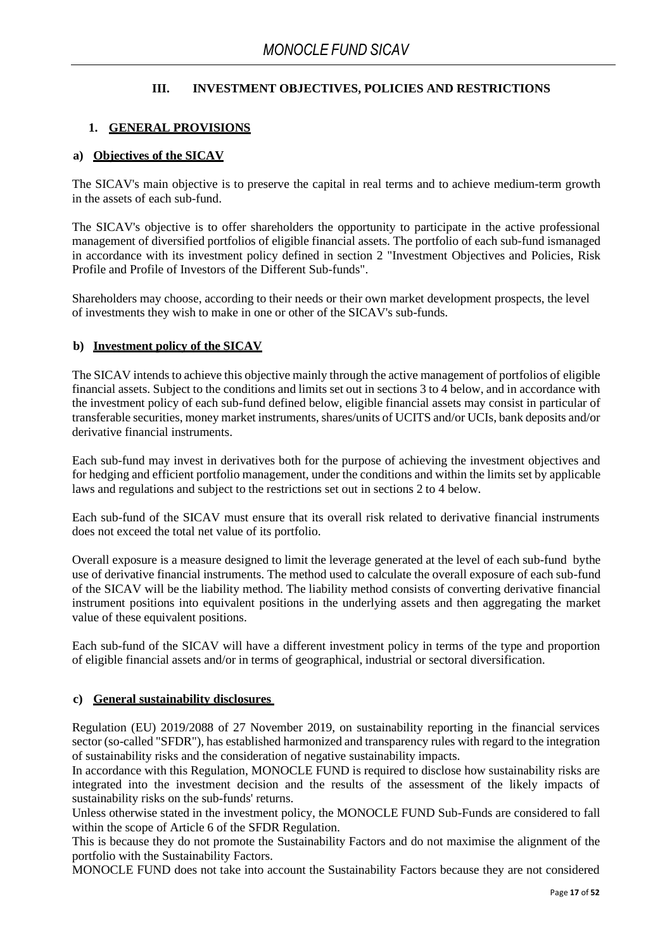### **III. INVESTMENT OBJECTIVES, POLICIES AND RESTRICTIONS**

### <span id="page-16-0"></span>**1. GENERAL PROVISIONS**

### <span id="page-16-1"></span>**a) Objectives of the SICAV**

The SICAV's main objective is to preserve the capital in real terms and to achieve medium-term growth in the assets of each sub-fund.

The SICAV's objective is to offer shareholders the opportunity to participate in the active professional management of diversified portfolios of eligible financial assets. The portfolio of each sub-fund ismanaged in accordance with its investment policy defined in section 2 "Investment Objectives and Policies, Risk Profile and Profile of Investors of the Different Sub-funds".

Shareholders may choose, according to their needs or their own market development prospects, the level of investments they wish to make in one or other of the SICAV's sub-funds.

### <span id="page-16-2"></span>**b) Investment policy of the SICAV**

The SICAV intends to achieve this objective mainly through the active management of portfolios of eligible financial assets. Subject to the conditions and limits set out in sections 3 to 4 below, and in accordance with the investment policy of each sub-fund defined below, eligible financial assets may consist in particular of transferable securities, money market instruments, shares/units of UCITS and/or UCIs, bank deposits and/or derivative financial instruments.

Each sub-fund may invest in derivatives both for the purpose of achieving the investment objectives and for hedging and efficient portfolio management, under the conditions and within the limits set by applicable laws and regulations and subject to the restrictions set out in sections 2 to 4 below.

Each sub-fund of the SICAV must ensure that its overall risk related to derivative financial instruments does not exceed the total net value of its portfolio.

Overall exposure is a measure designed to limit the leverage generated at the level of each sub-fund bythe use of derivative financial instruments. The method used to calculate the overall exposure of each sub-fund of the SICAV will be the liability method. The liability method consists of converting derivative financial instrument positions into equivalent positions in the underlying assets and then aggregating the market value of these equivalent positions.

Each sub-fund of the SICAV will have a different investment policy in terms of the type and proportion of eligible financial assets and/or in terms of geographical, industrial or sectoral diversification.

### <span id="page-16-3"></span>**c) General sustainability disclosures**

Regulation (EU) 2019/2088 of 27 November 2019, on sustainability reporting in the financial services sector (so-called "SFDR"), has established harmonized and transparency rules with regard to the integration of sustainability risks and the consideration of negative sustainability impacts.

In accordance with this Regulation, MONOCLE FUND is required to disclose how sustainability risks are integrated into the investment decision and the results of the assessment of the likely impacts of sustainability risks on the sub-funds' returns.

Unless otherwise stated in the investment policy, the MONOCLE FUND Sub-Funds are considered to fall within the scope of Article 6 of the SFDR Regulation.

This is because they do not promote the Sustainability Factors and do not maximise the alignment of the portfolio with the Sustainability Factors.

MONOCLE FUND does not take into account the Sustainability Factors because they are not considered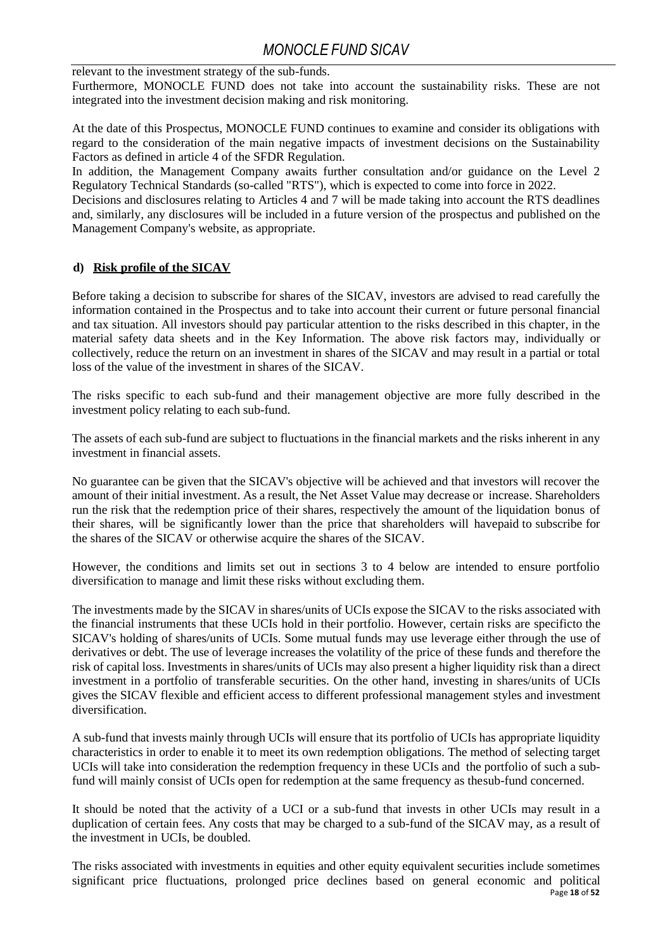relevant to the investment strategy of the sub-funds.

Furthermore, MONOCLE FUND does not take into account the sustainability risks. These are not integrated into the investment decision making and risk monitoring.

At the date of this Prospectus, MONOCLE FUND continues to examine and consider its obligations with regard to the consideration of the main negative impacts of investment decisions on the Sustainability Factors as defined in article 4 of the SFDR Regulation.

In addition, the Management Company awaits further consultation and/or guidance on the Level 2 Regulatory Technical Standards (so-called "RTS"), which is expected to come into force in 2022.

Decisions and disclosures relating to Articles 4 and 7 will be made taking into account the RTS deadlines and, similarly, any disclosures will be included in a future version of the prospectus and published on the Management Company's website, as appropriate.

### <span id="page-17-0"></span>**d) Risk profile of the SICAV**

Before taking a decision to subscribe for shares of the SICAV, investors are advised to read carefully the information contained in the Prospectus and to take into account their current or future personal financial and tax situation. All investors should pay particular attention to the risks described in this chapter, in the material safety data sheets and in the Key Information. The above risk factors may, individually or collectively, reduce the return on an investment in shares of the SICAV and may result in a partial or total loss of the value of the investment in shares of the SICAV.

The risks specific to each sub-fund and their management objective are more fully described in the investment policy relating to each sub-fund.

The assets of each sub-fund are subject to fluctuations in the financial markets and the risks inherent in any investment in financial assets.

No guarantee can be given that the SICAV's objective will be achieved and that investors will recover the amount of their initial investment. As a result, the Net Asset Value may decrease or increase. Shareholders run the risk that the redemption price of their shares, respectively the amount of the liquidation bonus of their shares, will be significantly lower than the price that shareholders will havepaid to subscribe for the shares of the SICAV or otherwise acquire the shares of the SICAV.

However, the conditions and limits set out in sections 3 to 4 below are intended to ensure portfolio diversification to manage and limit these risks without excluding them.

The investments made by the SICAV in shares/units of UCIs expose the SICAV to the risks associated with the financial instruments that these UCIs hold in their portfolio. However, certain risks are specificto the SICAV's holding of shares/units of UCIs. Some mutual funds may use leverage either through the use of derivatives or debt. The use of leverage increases the volatility of the price of these funds and therefore the risk of capital loss. Investments in shares/units of UCIs may also present a higher liquidity risk than a direct investment in a portfolio of transferable securities. On the other hand, investing in shares/units of UCIs gives the SICAV flexible and efficient access to different professional management styles and investment diversification.

A sub-fund that invests mainly through UCIs will ensure that its portfolio of UCIs has appropriate liquidity characteristics in order to enable it to meet its own redemption obligations. The method of selecting target UCIs will take into consideration the redemption frequency in these UCIs and the portfolio of such a subfund will mainly consist of UCIs open for redemption at the same frequency as thesub-fund concerned.

It should be noted that the activity of a UCI or a sub-fund that invests in other UCIs may result in a duplication of certain fees. Any costs that may be charged to a sub-fund of the SICAV may, as a result of the investment in UCIs, be doubled.

Page **18** of **52** The risks associated with investments in equities and other equity equivalent securities include sometimes significant price fluctuations, prolonged price declines based on general economic and political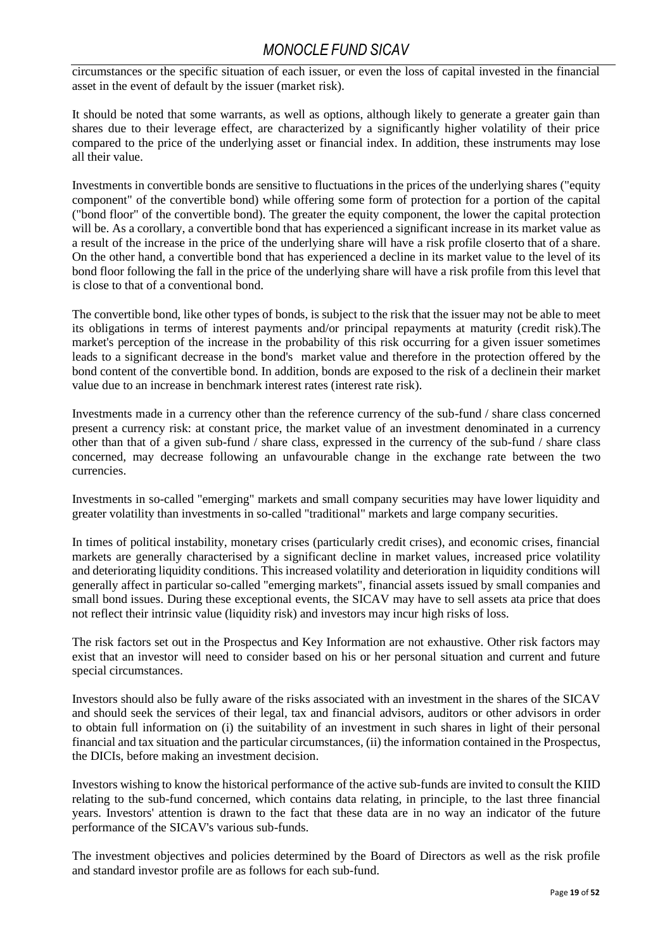circumstances or the specific situation of each issuer, or even the loss of capital invested in the financial asset in the event of default by the issuer (market risk).

It should be noted that some warrants, as well as options, although likely to generate a greater gain than shares due to their leverage effect, are characterized by a significantly higher volatility of their price compared to the price of the underlying asset or financial index. In addition, these instruments may lose all their value.

Investments in convertible bonds are sensitive to fluctuations in the prices of the underlying shares ("equity component" of the convertible bond) while offering some form of protection for a portion of the capital ("bond floor" of the convertible bond). The greater the equity component, the lower the capital protection will be. As a corollary, a convertible bond that has experienced a significant increase in its market value as a result of the increase in the price of the underlying share will have a risk profile closerto that of a share. On the other hand, a convertible bond that has experienced a decline in its market value to the level of its bond floor following the fall in the price of the underlying share will have a risk profile from this level that is close to that of a conventional bond.

The convertible bond, like other types of bonds, is subject to the risk that the issuer may not be able to meet its obligations in terms of interest payments and/or principal repayments at maturity (credit risk).The market's perception of the increase in the probability of this risk occurring for a given issuer sometimes leads to a significant decrease in the bond's market value and therefore in the protection offered by the bond content of the convertible bond. In addition, bonds are exposed to the risk of a declinein their market value due to an increase in benchmark interest rates (interest rate risk).

Investments made in a currency other than the reference currency of the sub-fund / share class concerned present a currency risk: at constant price, the market value of an investment denominated in a currency other than that of a given sub-fund / share class, expressed in the currency of the sub-fund / share class concerned, may decrease following an unfavourable change in the exchange rate between the two currencies.

Investments in so-called "emerging" markets and small company securities may have lower liquidity and greater volatility than investments in so-called "traditional" markets and large company securities.

In times of political instability, monetary crises (particularly credit crises), and economic crises, financial markets are generally characterised by a significant decline in market values, increased price volatility and deteriorating liquidity conditions. This increased volatility and deterioration in liquidity conditions will generally affect in particular so-called "emerging markets", financial assets issued by small companies and small bond issues. During these exceptional events, the SICAV may have to sell assets ata price that does not reflect their intrinsic value (liquidity risk) and investors may incur high risks of loss.

The risk factors set out in the Prospectus and Key Information are not exhaustive. Other risk factors may exist that an investor will need to consider based on his or her personal situation and current and future special circumstances.

Investors should also be fully aware of the risks associated with an investment in the shares of the SICAV and should seek the services of their legal, tax and financial advisors, auditors or other advisors in order to obtain full information on (i) the suitability of an investment in such shares in light of their personal financial and tax situation and the particular circumstances, (ii) the information contained in the Prospectus, the DICIs, before making an investment decision.

Investors wishing to know the historical performance of the active sub-funds are invited to consult the KIID relating to the sub-fund concerned, which contains data relating, in principle, to the last three financial years. Investors' attention is drawn to the fact that these data are in no way an indicator of the future performance of the SICAV's various sub-funds.

The investment objectives and policies determined by the Board of Directors as well as the risk profile and standard investor profile are as follows for each sub-fund.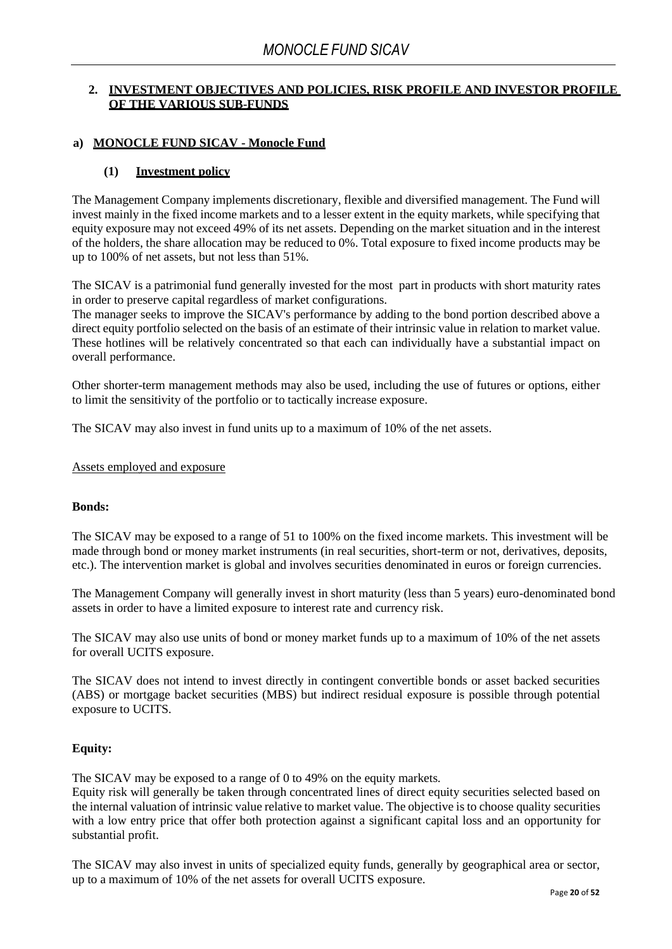### <span id="page-19-0"></span>**2. INVESTMENT OBJECTIVES AND POLICIES, RISK PROFILE AND INVESTOR PROFILE OF THE VARIOUS SUB-FUNDS**

### <span id="page-19-2"></span><span id="page-19-1"></span>**a) MONOCLE FUND SICAV - Monocle Fund**

### **(1) Investment policy**

The Management Company implements discretionary, flexible and diversified management. The Fund will invest mainly in the fixed income markets and to a lesser extent in the equity markets, while specifying that equity exposure may not exceed 49% of its net assets. Depending on the market situation and in the interest of the holders, the share allocation may be reduced to 0%. Total exposure to fixed income products may be up to 100% of net assets, but not less than 51%.

The SICAV is a patrimonial fund generally invested for the most part in products with short maturity rates in order to preserve capital regardless of market configurations.

The manager seeks to improve the SICAV's performance by adding to the bond portion described above a direct equity portfolio selected on the basis of an estimate of their intrinsic value in relation to market value. These hotlines will be relatively concentrated so that each can individually have a substantial impact on overall performance.

Other shorter-term management methods may also be used, including the use of futures or options, either to limit the sensitivity of the portfolio or to tactically increase exposure.

The SICAV may also invest in fund units up to a maximum of 10% of the net assets.

Assets employed and exposure

### **Bonds:**

The SICAV may be exposed to a range of 51 to 100% on the fixed income markets. This investment will be made through bond or money market instruments (in real securities, short-term or not, derivatives, deposits, etc.). The intervention market is global and involves securities denominated in euros or foreign currencies.

The Management Company will generally invest in short maturity (less than 5 years) euro-denominated bond assets in order to have a limited exposure to interest rate and currency risk.

The SICAV may also use units of bond or money market funds up to a maximum of 10% of the net assets for overall UCITS exposure.

The SICAV does not intend to invest directly in contingent convertible bonds or asset backed securities (ABS) or mortgage backet securities (MBS) but indirect residual exposure is possible through potential exposure to UCITS.

### **Equity:**

The SICAV may be exposed to a range of 0 to 49% on the equity markets.

Equity risk will generally be taken through concentrated lines of direct equity securities selected based on the internal valuation of intrinsic value relative to market value. The objective is to choose quality securities with a low entry price that offer both protection against a significant capital loss and an opportunity for substantial profit.

The SICAV may also invest in units of specialized equity funds, generally by geographical area or sector, up to a maximum of 10% of the net assets for overall UCITS exposure.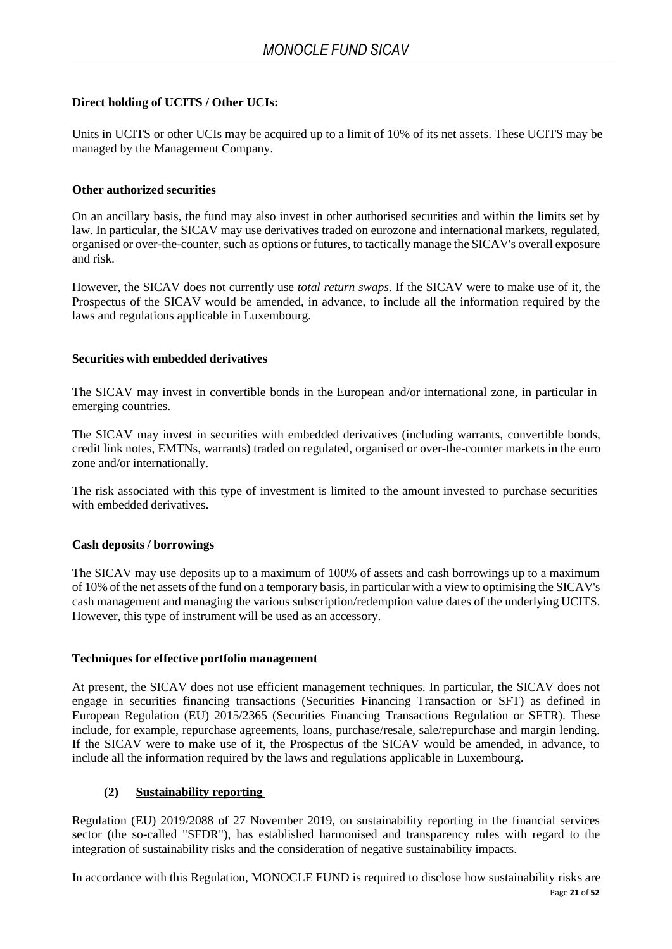### **Direct holding of UCITS / Other UCIs:**

Units in UCITS or other UCIs may be acquired up to a limit of 10% of its net assets. These UCITS may be managed by the Management Company.

### **Other authorized securities**

On an ancillary basis, the fund may also invest in other authorised securities and within the limits set by law. In particular, the SICAV may use derivatives traded on eurozone and international markets, regulated, organised or over-the-counter, such as options or futures, to tactically manage the SICAV's overall exposure and risk.

However, the SICAV does not currently use *total return swaps*. If the SICAV were to make use of it, the Prospectus of the SICAV would be amended, in advance, to include all the information required by the laws and regulations applicable in Luxembourg.

### **Securities with embedded derivatives**

The SICAV may invest in convertible bonds in the European and/or international zone, in particular in emerging countries.

The SICAV may invest in securities with embedded derivatives (including warrants, convertible bonds, credit link notes, EMTNs, warrants) traded on regulated, organised or over-the-counter markets in the euro zone and/or internationally.

The risk associated with this type of investment is limited to the amount invested to purchase securities with embedded derivatives.

### **Cash deposits / borrowings**

The SICAV may use deposits up to a maximum of 100% of assets and cash borrowings up to a maximum of 10% of the net assets of the fund on a temporary basis, in particular with a view to optimising the SICAV's cash management and managing the various subscription/redemption value dates of the underlying UCITS. However, this type of instrument will be used as an accessory.

### **Techniques for effective portfolio management**

At present, the SICAV does not use efficient management techniques. In particular, the SICAV does not engage in securities financing transactions (Securities Financing Transaction or SFT) as defined in European Regulation (EU) 2015/2365 (Securities Financing Transactions Regulation or SFTR). These include, for example, repurchase agreements, loans, purchase/resale, sale/repurchase and margin lending. If the SICAV were to make use of it, the Prospectus of the SICAV would be amended, in advance, to include all the information required by the laws and regulations applicable in Luxembourg.

### **(2) Sustainability reporting**

<span id="page-20-0"></span>Regulation (EU) 2019/2088 of 27 November 2019, on sustainability reporting in the financial services sector (the so-called "SFDR"), has established harmonised and transparency rules with regard to the integration of sustainability risks and the consideration of negative sustainability impacts.

Page **21** of **52** In accordance with this Regulation, MONOCLE FUND is required to disclose how sustainability risks are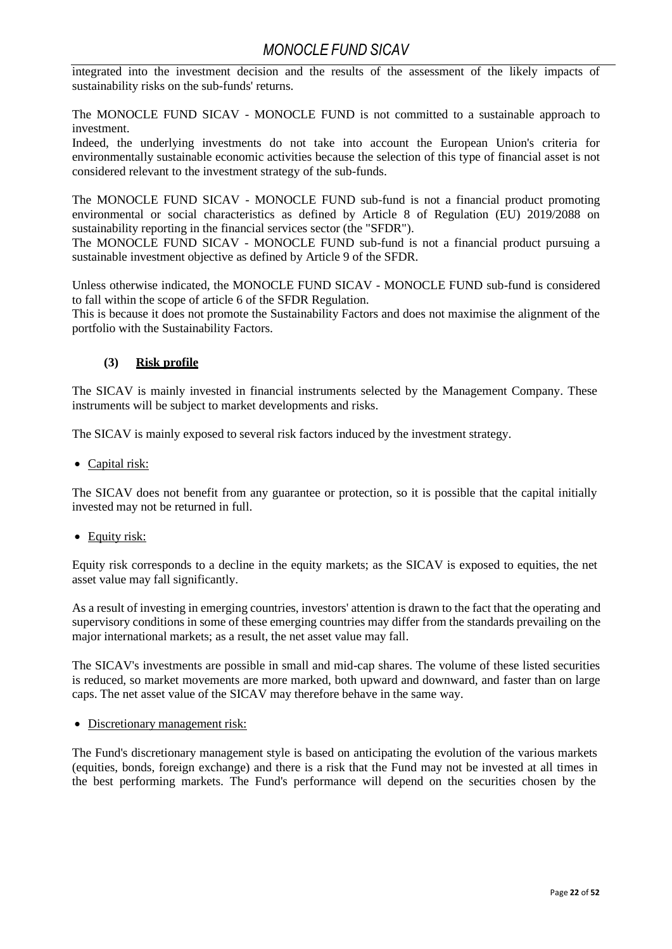integrated into the investment decision and the results of the assessment of the likely impacts of sustainability risks on the sub-funds' returns.

The MONOCLE FUND SICAV - MONOCLE FUND is not committed to a sustainable approach to investment.

Indeed, the underlying investments do not take into account the European Union's criteria for environmentally sustainable economic activities because the selection of this type of financial asset is not considered relevant to the investment strategy of the sub-funds.

The MONOCLE FUND SICAV - MONOCLE FUND sub-fund is not a financial product promoting environmental or social characteristics as defined by Article 8 of Regulation (EU) 2019/2088 on sustainability reporting in the financial services sector (the "SFDR").

The MONOCLE FUND SICAV - MONOCLE FUND sub-fund is not a financial product pursuing a sustainable investment objective as defined by Article 9 of the SFDR.

Unless otherwise indicated, the MONOCLE FUND SICAV - MONOCLE FUND sub-fund is considered to fall within the scope of article 6 of the SFDR Regulation.

This is because it does not promote the Sustainability Factors and does not maximise the alignment of the portfolio with the Sustainability Factors.

### **(3) Risk profile**

<span id="page-21-0"></span>The SICAV is mainly invested in financial instruments selected by the Management Company. These instruments will be subject to market developments and risks.

The SICAV is mainly exposed to several risk factors induced by the investment strategy.

• Capital risk:

The SICAV does not benefit from any guarantee or protection, so it is possible that the capital initially invested may not be returned in full.

• Equity risk:

Equity risk corresponds to a decline in the equity markets; as the SICAV is exposed to equities, the net asset value may fall significantly.

As a result of investing in emerging countries, investors' attention is drawn to the fact that the operating and supervisory conditions in some of these emerging countries may differ from the standards prevailing on the major international markets; as a result, the net asset value may fall.

The SICAV's investments are possible in small and mid-cap shares. The volume of these listed securities is reduced, so market movements are more marked, both upward and downward, and faster than on large caps. The net asset value of the SICAV may therefore behave in the same way.

• Discretionary management risk:

The Fund's discretionary management style is based on anticipating the evolution of the various markets (equities, bonds, foreign exchange) and there is a risk that the Fund may not be invested at all times in the best performing markets*.* The Fund's performance will depend on the securities chosen by the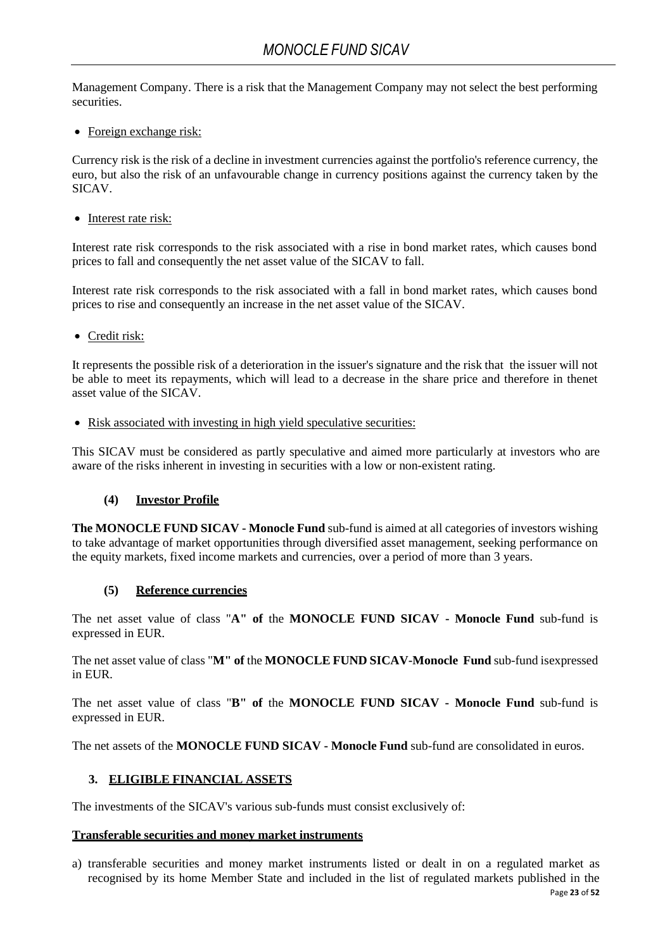Management Company. There is a risk that the Management Company may not select the best performing securities.

• Foreign exchange risk:

Currency risk is the risk of a decline in investment currencies against the portfolio's reference currency, the euro, but also the risk of an unfavourable change in currency positions against the currency taken by the SICAV.

• Interest rate risk:

Interest rate risk corresponds to the risk associated with a rise in bond market rates, which causes bond prices to fall and consequently the net asset value of the SICAV to fall.

Interest rate risk corresponds to the risk associated with a fall in bond market rates, which causes bond prices to rise and consequently an increase in the net asset value of the SICAV.

• Credit risk:

It represents the possible risk of a deterioration in the issuer's signature and the risk that the issuer will not be able to meet its repayments, which will lead to a decrease in the share price and therefore in thenet asset value of the SICAV.

• Risk associated with investing in high yield speculative securities:

This SICAV must be considered as partly speculative and aimed more particularly at investors who are aware of the risks inherent in investing in securities with a low or non-existent rating.

## **(4) Investor Profile**

<span id="page-22-0"></span>**The MONOCLE FUND SICAV - Monocle Fund** sub-fund is aimed at all categories of investors wishing to take advantage of market opportunities through diversified asset management, seeking performance on the equity markets, fixed income markets and currencies, over a period of more than 3 years.

### **(5) Reference currencies**

<span id="page-22-1"></span>The net asset value of class "**A" of** the **MONOCLE FUND SICAV - Monocle Fund** sub-fund is expressed in EUR.

The net asset value of class "**M" of** the **MONOCLE FUND SICAV-Monocle Fund** sub-fund isexpressed in EUR.

The net asset value of class "**B" of** the **MONOCLE FUND SICAV - Monocle Fund** sub-fund is expressed in EUR.

<span id="page-22-2"></span>The net assets of the **MONOCLE FUND SICAV - Monocle Fund** sub-fund are consolidated in euros.

### **3. ELIGIBLE FINANCIAL ASSETS**

The investments of the SICAV's various sub-funds must consist exclusively of:

### **Transferable securities and money market instruments**

a) transferable securities and money market instruments listed or dealt in on a regulated market as recognised by its home Member State and included in the list of regulated markets published in the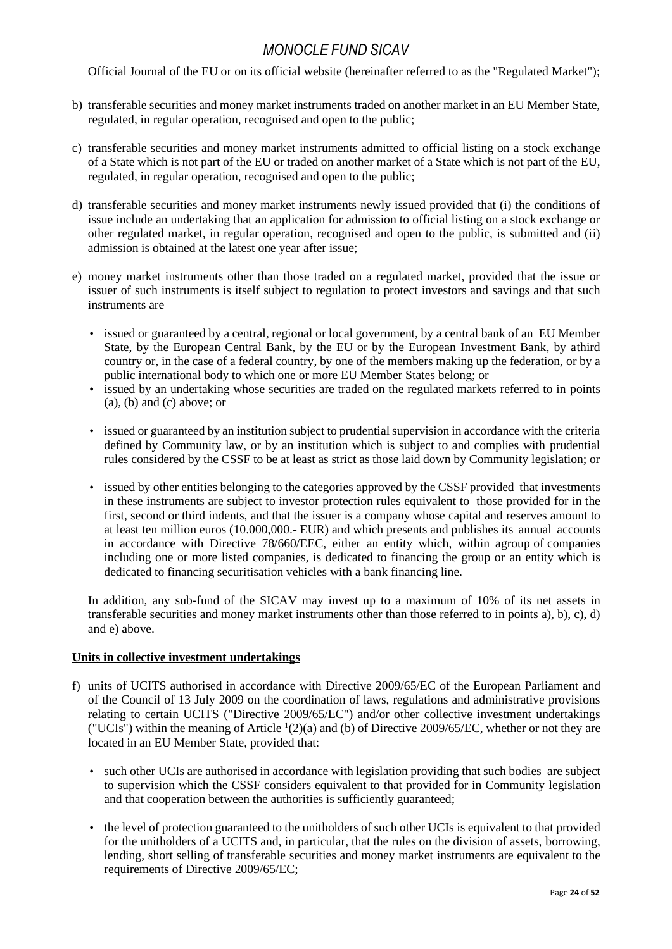Official Journal of the EU or on its official website (hereinafter referred to as the "Regulated Market");

- b) transferable securities and money market instruments traded on another market in an EU Member State, regulated, in regular operation, recognised and open to the public;
- c) transferable securities and money market instruments admitted to official listing on a stock exchange of a State which is not part of the EU or traded on another market of a State which is not part of the EU, regulated, in regular operation, recognised and open to the public;
- d) transferable securities and money market instruments newly issued provided that (i) the conditions of issue include an undertaking that an application for admission to official listing on a stock exchange or other regulated market, in regular operation, recognised and open to the public, is submitted and (ii) admission is obtained at the latest one year after issue;
- e) money market instruments other than those traded on a regulated market, provided that the issue or issuer of such instruments is itself subject to regulation to protect investors and savings and that such instruments are
	- issued or guaranteed by a central, regional or local government, by a central bank of an EU Member State, by the European Central Bank, by the EU or by the European Investment Bank, by athird country or, in the case of a federal country, by one of the members making up the federation, or by a public international body to which one or more EU Member States belong; or
	- issued by an undertaking whose securities are traded on the regulated markets referred to in points  $(a)$ ,  $(b)$  and  $(c)$  above; or
	- issued or guaranteed by an institution subject to prudential supervision in accordance with the criteria defined by Community law, or by an institution which is subject to and complies with prudential rules considered by the CSSF to be at least as strict as those laid down by Community legislation; or
	- issued by other entities belonging to the categories approved by the CSSF provided that investments in these instruments are subject to investor protection rules equivalent to those provided for in the first, second or third indents, and that the issuer is a company whose capital and reserves amount to at least ten million euros (10.000,000.- EUR) and which presents and publishes its annual accounts in accordance with Directive 78/660/EEC, either an entity which, within agroup of companies including one or more listed companies, is dedicated to financing the group or an entity which is dedicated to financing securitisation vehicles with a bank financing line.

In addition, any sub-fund of the SICAV may invest up to a maximum of 10% of its net assets in transferable securities and money market instruments other than those referred to in points a), b), c), d) and e) above.

### **Units in collective investment undertakings**

- f) units of UCITS authorised in accordance with Directive 2009/65/EC of the European Parliament and of the Council of 13 July 2009 on the coordination of laws, regulations and administrative provisions relating to certain UCITS ("Directive 2009/65/EC") and/or other collective investment undertakings ("UCIs") within the meaning of Article  $(2)(a)$  and (b) of Directive 2009/65/EC, whether or not they are located in an EU Member State, provided that:
	- such other UCIs are authorised in accordance with legislation providing that such bodies are subject to supervision which the CSSF considers equivalent to that provided for in Community legislation and that cooperation between the authorities is sufficiently guaranteed;
	- the level of protection guaranteed to the unitholders of such other UCIs is equivalent to that provided for the unitholders of a UCITS and, in particular, that the rules on the division of assets, borrowing, lending, short selling of transferable securities and money market instruments are equivalent to the requirements of Directive 2009/65/EC;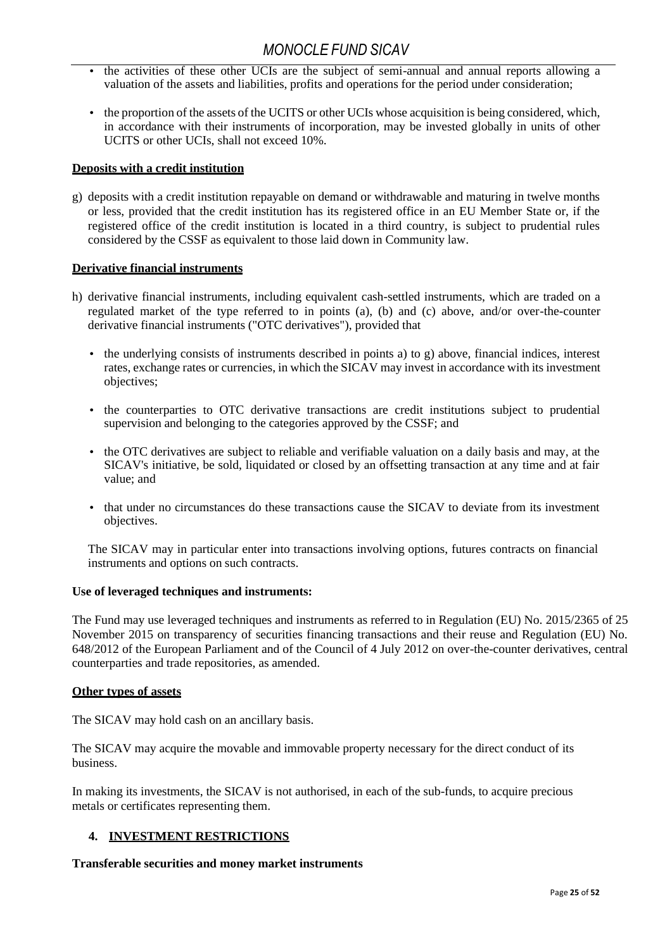- the activities of these other UCIs are the subject of semi-annual and annual reports allowing a valuation of the assets and liabilities, profits and operations for the period under consideration;
- the proportion of the assets of the UCITS or other UCIs whose acquisition is being considered, which, in accordance with their instruments of incorporation, may be invested globally in units of other UCITS or other UCIs, shall not exceed 10%.

### **Deposits with a credit institution**

g) deposits with a credit institution repayable on demand or withdrawable and maturing in twelve months or less, provided that the credit institution has its registered office in an EU Member State or, if the registered office of the credit institution is located in a third country, is subject to prudential rules considered by the CSSF as equivalent to those laid down in Community law.

### **Derivative financial instruments**

- h) derivative financial instruments, including equivalent cash-settled instruments, which are traded on a regulated market of the type referred to in points (a), (b) and (c) above, and/or over-the-counter derivative financial instruments ("OTC derivatives"), provided that
	- the underlying consists of instruments described in points a) to g) above, financial indices, interest rates, exchange rates or currencies, in which the SICAV may invest in accordance with its investment objectives;
	- the counterparties to OTC derivative transactions are credit institutions subject to prudential supervision and belonging to the categories approved by the CSSF; and
	- the OTC derivatives are subject to reliable and verifiable valuation on a daily basis and may, at the SICAV's initiative, be sold, liquidated or closed by an offsetting transaction at any time and at fair value; and
	- that under no circumstances do these transactions cause the SICAV to deviate from its investment objectives.

The SICAV may in particular enter into transactions involving options, futures contracts on financial instruments and options on such contracts.

### **Use of leveraged techniques and instruments:**

The Fund may use leveraged techniques and instruments as referred to in Regulation (EU) No. 2015/2365 of 25 November 2015 on transparency of securities financing transactions and their reuse and Regulation (EU) No. 648/2012 of the European Parliament and of the Council of 4 July 2012 on over-the-counter derivatives, central counterparties and trade repositories, as amended.

### **Other types of assets**

The SICAV may hold cash on an ancillary basis.

The SICAV may acquire the movable and immovable property necessary for the direct conduct of its business.

In making its investments, the SICAV is not authorised, in each of the sub-funds, to acquire precious metals or certificates representing them.

### <span id="page-24-0"></span>**4. INVESTMENT RESTRICTIONS**

### **Transferable securities and money market instruments**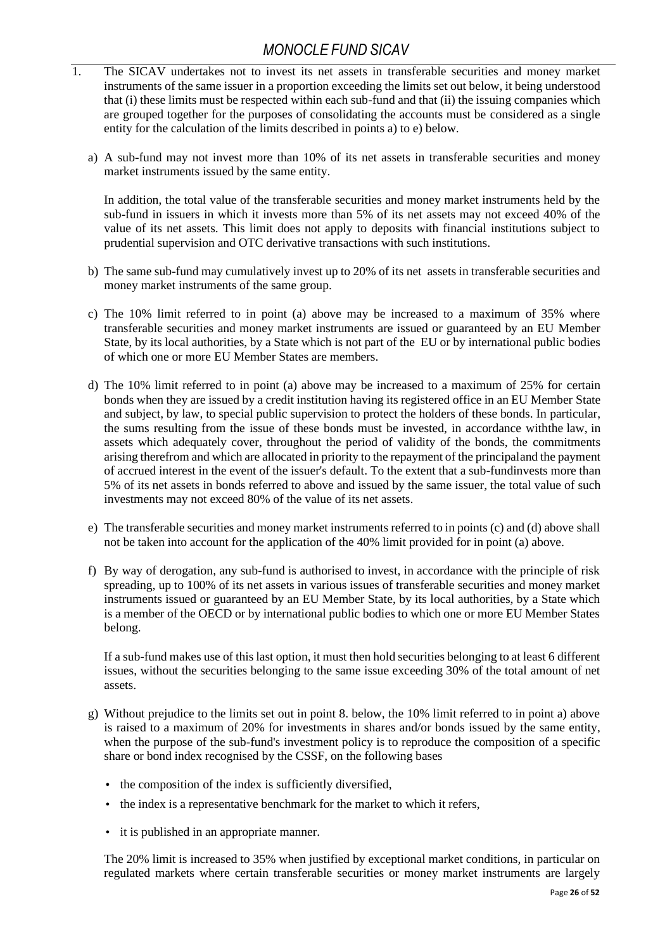- 1. The SICAV undertakes not to invest its net assets in transferable securities and money market instruments of the same issuer in a proportion exceeding the limits set out below, it being understood that (i) these limits must be respected within each sub-fund and that (ii) the issuing companies which are grouped together for the purposes of consolidating the accounts must be considered as a single entity for the calculation of the limits described in points a) to e) below.
	- a) A sub-fund may not invest more than 10% of its net assets in transferable securities and money market instruments issued by the same entity.

In addition, the total value of the transferable securities and money market instruments held by the sub-fund in issuers in which it invests more than 5% of its net assets may not exceed 40% of the value of its net assets. This limit does not apply to deposits with financial institutions subject to prudential supervision and OTC derivative transactions with such institutions.

- b) The same sub-fund may cumulatively invest up to 20% of its net assets in transferable securities and money market instruments of the same group.
- c) The 10% limit referred to in point (a) above may be increased to a maximum of 35% where transferable securities and money market instruments are issued or guaranteed by an EU Member State, by its local authorities, by a State which is not part of the EU or by international public bodies of which one or more EU Member States are members.
- d) The 10% limit referred to in point (a) above may be increased to a maximum of 25% for certain bonds when they are issued by a credit institution having its registered office in an EU Member State and subject, by law, to special public supervision to protect the holders of these bonds. In particular, the sums resulting from the issue of these bonds must be invested, in accordance withthe law, in assets which adequately cover, throughout the period of validity of the bonds, the commitments arising therefrom and which are allocated in priority to the repayment of the principaland the payment of accrued interest in the event of the issuer's default. To the extent that a sub-fundinvests more than 5% of its net assets in bonds referred to above and issued by the same issuer, the total value of such investments may not exceed 80% of the value of its net assets.
- e) The transferable securities and money market instruments referred to in points (c) and (d) above shall not be taken into account for the application of the 40% limit provided for in point (a) above.
- f) By way of derogation, any sub-fund is authorised to invest, in accordance with the principle of risk spreading, up to 100% of its net assets in various issues of transferable securities and money market instruments issued or guaranteed by an EU Member State, by its local authorities, by a State which is a member of the OECD or by international public bodies to which one or more EU Member States belong.

If a sub-fund makes use of this last option, it must then hold securities belonging to at least 6 different issues, without the securities belonging to the same issue exceeding 30% of the total amount of net assets.

- g) Without prejudice to the limits set out in point 8. below, the 10% limit referred to in point a) above is raised to a maximum of 20% for investments in shares and/or bonds issued by the same entity, when the purpose of the sub-fund's investment policy is to reproduce the composition of a specific share or bond index recognised by the CSSF, on the following bases
	- the composition of the index is sufficiently diversified,
	- the index is a representative benchmark for the market to which it refers,
	- it is published in an appropriate manner.

The 20% limit is increased to 35% when justified by exceptional market conditions, in particular on regulated markets where certain transferable securities or money market instruments are largely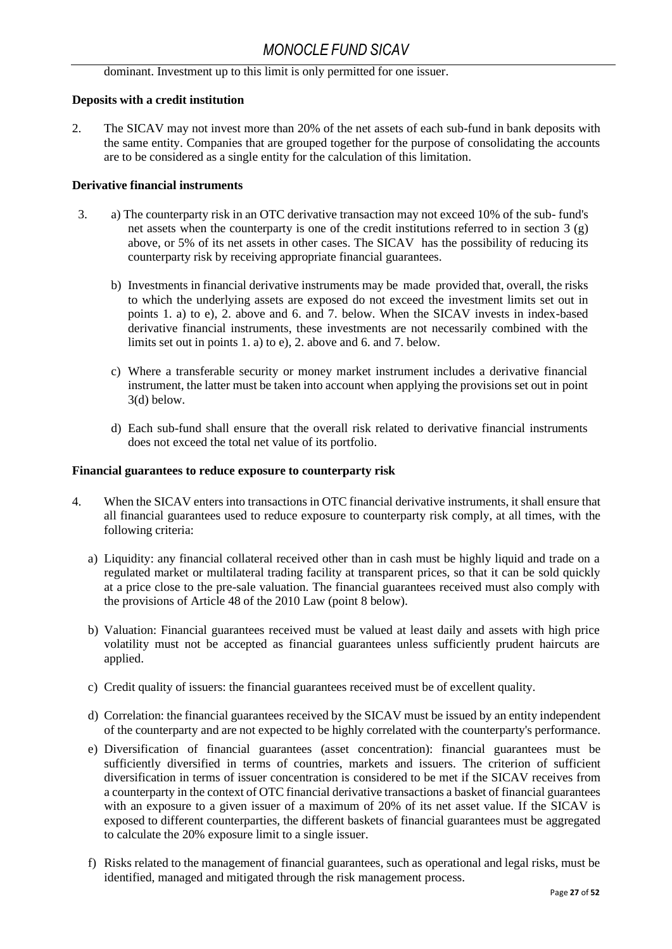dominant. Investment up to this limit is only permitted for one issuer.

### **Deposits with a credit institution**

2. The SICAV may not invest more than 20% of the net assets of each sub-fund in bank deposits with the same entity. Companies that are grouped together for the purpose of consolidating the accounts are to be considered as a single entity for the calculation of this limitation.

### **Derivative financial instruments**

- 3. a) The counterparty risk in an OTC derivative transaction may not exceed 10% of the sub- fund's net assets when the counterparty is one of the credit institutions referred to in section 3 (g) above, or 5% of its net assets in other cases. The SICAV has the possibility of reducing its counterparty risk by receiving appropriate financial guarantees.
	- b) Investments in financial derivative instruments may be made provided that, overall, the risks to which the underlying assets are exposed do not exceed the investment limits set out in points 1. a) to e), 2. above and 6. and 7. below. When the SICAV invests in index-based derivative financial instruments, these investments are not necessarily combined with the limits set out in points 1. a) to e), 2. above and 6. and 7. below.
	- c) Where a transferable security or money market instrument includes a derivative financial instrument, the latter must be taken into account when applying the provisions set out in point 3(d) below.
	- d) Each sub-fund shall ensure that the overall risk related to derivative financial instruments does not exceed the total net value of its portfolio.

### **Financial guarantees to reduce exposure to counterparty risk**

- 4. When the SICAV enters into transactions in OTC financial derivative instruments, it shall ensure that all financial guarantees used to reduce exposure to counterparty risk comply, at all times, with the following criteria:
	- a) Liquidity: any financial collateral received other than in cash must be highly liquid and trade on a regulated market or multilateral trading facility at transparent prices, so that it can be sold quickly at a price close to the pre-sale valuation. The financial guarantees received must also comply with the provisions of Article 48 of the 2010 Law (point 8 below).
	- b) Valuation: Financial guarantees received must be valued at least daily and assets with high price volatility must not be accepted as financial guarantees unless sufficiently prudent haircuts are applied.
	- c) Credit quality of issuers: the financial guarantees received must be of excellent quality.
	- d) Correlation: the financial guarantees received by the SICAV must be issued by an entity independent of the counterparty and are not expected to be highly correlated with the counterparty's performance.
	- e) Diversification of financial guarantees (asset concentration): financial guarantees must be sufficiently diversified in terms of countries, markets and issuers. The criterion of sufficient diversification in terms of issuer concentration is considered to be met if the SICAV receives from a counterparty in the context of OTC financial derivative transactions a basket of financial guarantees with an exposure to a given issuer of a maximum of 20% of its net asset value. If the SICAV is exposed to different counterparties, the different baskets of financial guarantees must be aggregated to calculate the 20% exposure limit to a single issuer.
	- f) Risks related to the management of financial guarantees, such as operational and legal risks, must be identified, managed and mitigated through the risk management process.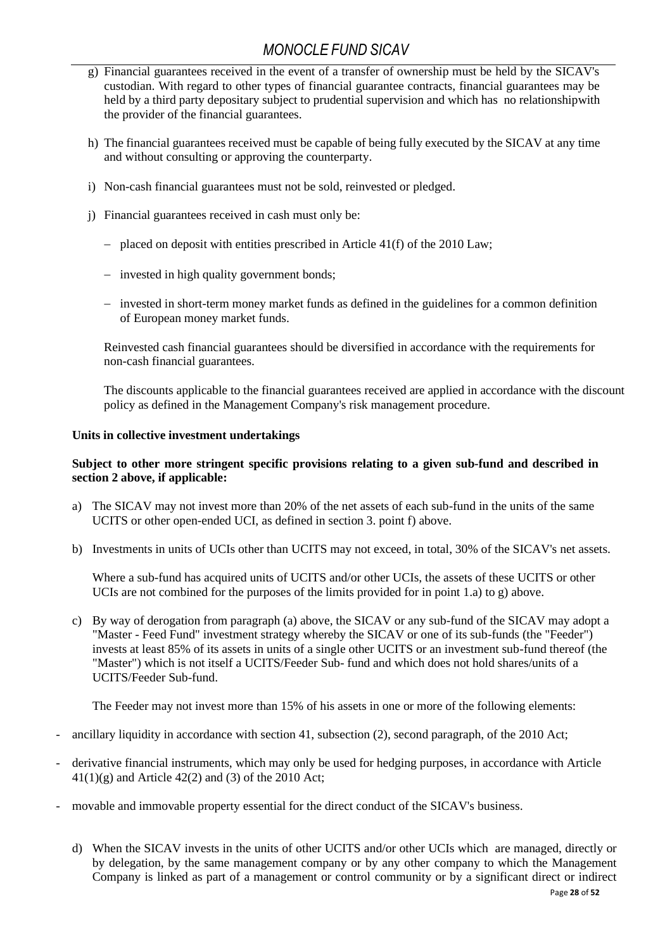- g) Financial guarantees received in the event of a transfer of ownership must be held by the SICAV's custodian. With regard to other types of financial guarantee contracts, financial guarantees may be held by a third party depositary subject to prudential supervision and which has no relationshipwith the provider of the financial guarantees.
- h) The financial guarantees received must be capable of being fully executed by the SICAV at any time and without consulting or approving the counterparty.
- i) Non-cash financial guarantees must not be sold, reinvested or pledged.
- j) Financial guarantees received in cash must only be:
	- − placed on deposit with entities prescribed in Article 41(f) of the 2010 Law;
	- − invested in high quality government bonds;
	- − invested in short-term money market funds as defined in the guidelines for a common definition of European money market funds.

Reinvested cash financial guarantees should be diversified in accordance with the requirements for non-cash financial guarantees.

The discounts applicable to the financial guarantees received are applied in accordance with the discount policy as defined in the Management Company's risk management procedure.

#### **Units in collective investment undertakings**

#### **Subject to other more stringent specific provisions relating to a given sub-fund and described in section 2 above, if applicable:**

- a) The SICAV may not invest more than 20% of the net assets of each sub-fund in the units of the same UCITS or other open-ended UCI, as defined in section 3. point f) above.
- b) Investments in units of UCIs other than UCITS may not exceed, in total, 30% of the SICAV's net assets.

Where a sub-fund has acquired units of UCITS and/or other UCIs, the assets of these UCITS or other UCIs are not combined for the purposes of the limits provided for in point 1.a) to g) above.

c) By way of derogation from paragraph (a) above, the SICAV or any sub-fund of the SICAV may adopt a "Master - Feed Fund" investment strategy whereby the SICAV or one of its sub-funds (the "Feeder") invests at least 85% of its assets in units of a single other UCITS or an investment sub-fund thereof (the "Master") which is not itself a UCITS/Feeder Sub- fund and which does not hold shares/units of a UCITS/Feeder Sub-fund.

The Feeder may not invest more than 15% of his assets in one or more of the following elements:

- ancillary liquidity in accordance with section 41, subsection (2), second paragraph, of the 2010 Act;
- derivative financial instruments, which may only be used for hedging purposes, in accordance with Article  $41(1)(g)$  and Article  $42(2)$  and (3) of the 2010 Act;
- movable and immovable property essential for the direct conduct of the SICAV's business.
	- d) When the SICAV invests in the units of other UCITS and/or other UCIs which are managed, directly or by delegation, by the same management company or by any other company to which the Management Company is linked as part of a management or control community or by a significant direct or indirect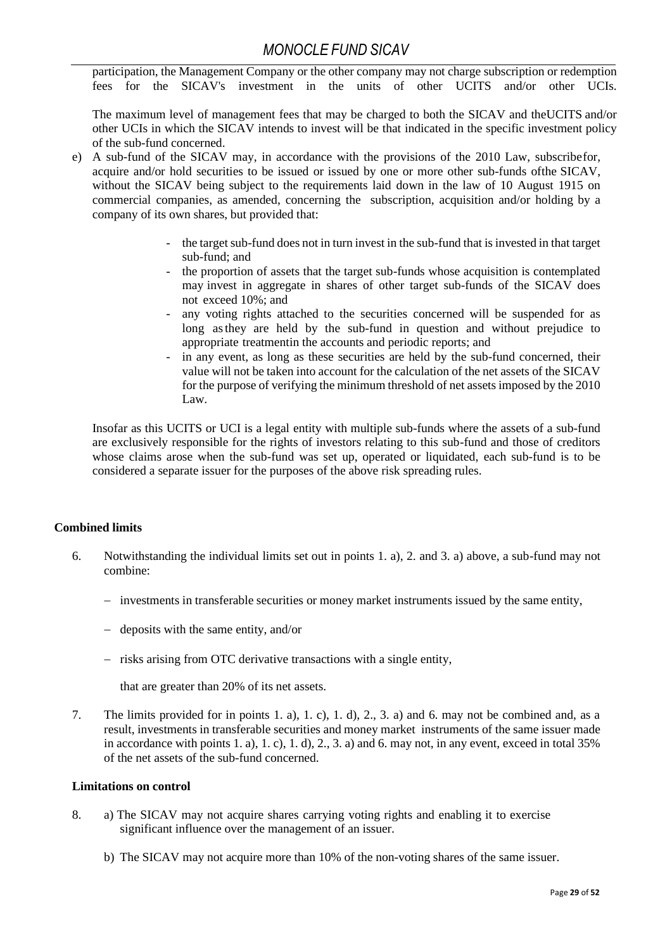participation, the Management Company or the other company may not charge subscription or redemption fees for the SICAV's investment in the units of other UCITS and/or other UCIs.

The maximum level of management fees that may be charged to both the SICAV and theUCITS and/or other UCIs in which the SICAV intends to invest will be that indicated in the specific investment policy of the sub-fund concerned.

- e) A sub-fund of the SICAV may, in accordance with the provisions of the 2010 Law, subscribefor, acquire and/or hold securities to be issued or issued by one or more other sub-funds ofthe SICAV, without the SICAV being subject to the requirements laid down in the law of 10 August 1915 on commercial companies, as amended, concerning the subscription, acquisition and/or holding by a company of its own shares, but provided that:
	- the target sub-fund does not in turn invest in the sub-fund that is invested in that target sub-fund; and
	- the proportion of assets that the target sub-funds whose acquisition is contemplated may invest in aggregate in shares of other target sub-funds of the SICAV does not exceed 10%; and
	- any voting rights attached to the securities concerned will be suspended for as long asthey are held by the sub-fund in question and without prejudice to appropriate treatmentin the accounts and periodic reports; and
	- in any event, as long as these securities are held by the sub-fund concerned, their value will not be taken into account for the calculation of the net assets of the SICAV for the purpose of verifying the minimum threshold of net assetsimposed by the 2010 Law.

Insofar as this UCITS or UCI is a legal entity with multiple sub-funds where the assets of a sub-fund are exclusively responsible for the rights of investors relating to this sub-fund and those of creditors whose claims arose when the sub-fund was set up, operated or liquidated, each sub-fund is to be considered a separate issuer for the purposes of the above risk spreading rules.

### **Combined limits**

- 6. Notwithstanding the individual limits set out in points 1. a), 2. and 3. a) above, a sub-fund may not combine:
	- − investments in transferable securities or money market instruments issued by the same entity,
	- − deposits with the same entity, and/or
	- − risks arising from OTC derivative transactions with a single entity,

that are greater than 20% of its net assets.

7. The limits provided for in points 1. a), 1. c), 1. d), 2., 3. a) and 6. may not be combined and, as a result, investments in transferable securities and money market instruments of the same issuer made in accordance with points 1. a), 1. c), 1. d), 2., 3. a) and 6. may not, in any event, exceed in total 35% of the net assets of the sub-fund concerned.

### **Limitations on control**

- 8. a) The SICAV may not acquire shares carrying voting rights and enabling it to exercise significant influence over the management of an issuer.
	- b) The SICAV may not acquire more than 10% of the non-voting shares of the same issuer.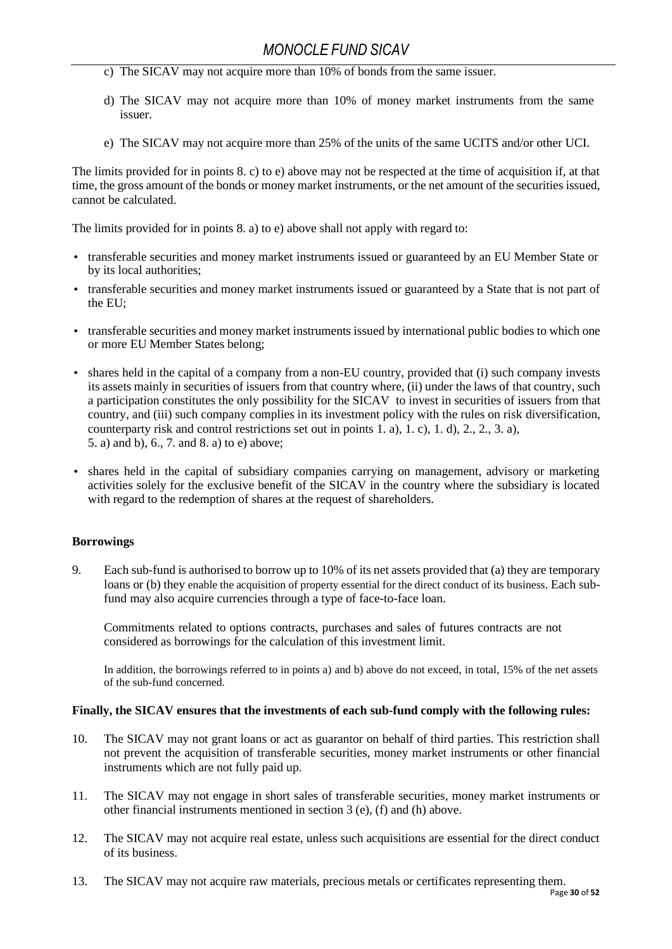- c) The SICAV may not acquire more than 10% of bonds from the same issuer.
- d) The SICAV may not acquire more than 10% of money market instruments from the same issuer.
- e) The SICAV may not acquire more than 25% of the units of the same UCITS and/or other UCI.

The limits provided for in points 8. c) to e) above may not be respected at the time of acquisition if, at that time, the gross amount of the bonds or money market instruments, or the net amount of the securities issued, cannot be calculated.

The limits provided for in points 8. a) to e) above shall not apply with regard to:

- transferable securities and money market instruments issued or guaranteed by an EU Member State or by its local authorities;
- transferable securities and money market instruments issued or guaranteed by a State that is not part of the EU;
- transferable securities and money market instruments issued by international public bodies to which one or more EU Member States belong;
- shares held in the capital of a company from a non-EU country, provided that (i) such company invests its assets mainly in securities of issuers from that country where, (ii) under the laws of that country, such a participation constitutes the only possibility for the SICAV to invest in securities of issuers from that country, and (iii) such company complies in its investment policy with the rules on risk diversification, counterparty risk and control restrictions set out in points 1. a), 1. c), 1. d), 2., 2., 3. a), 5. a) and b), 6., 7. and 8. a) to e) above;
- shares held in the capital of subsidiary companies carrying on management, advisory or marketing activities solely for the exclusive benefit of the SICAV in the country where the subsidiary is located with regard to the redemption of shares at the request of shareholders.

### **Borrowings**

9. Each sub-fund is authorised to borrow up to 10% of its net assets provided that (a) they are temporary loans or (b) they enable the acquisition of property essential for the direct conduct of its business. Each subfund may also acquire currencies through a type of face-to-face loan.

Commitments related to options contracts, purchases and sales of futures contracts are not considered as borrowings for the calculation of this investment limit.

In addition, the borrowings referred to in points a) and b) above do not exceed, in total, 15% of the net assets of the sub-fund concerned.

#### **Finally, the SICAV ensures that the investments of each sub-fund comply with the following rules:**

- 10. The SICAV may not grant loans or act as guarantor on behalf of third parties. This restriction shall not prevent the acquisition of transferable securities, money market instruments or other financial instruments which are not fully paid up.
- 11. The SICAV may not engage in short sales of transferable securities, money market instruments or other financial instruments mentioned in section 3 (e), (f) and (h) above.
- 12. The SICAV may not acquire real estate, unless such acquisitions are essential for the direct conduct of its business.
- 13. The SICAV may not acquire raw materials, precious metals or certificates representing them.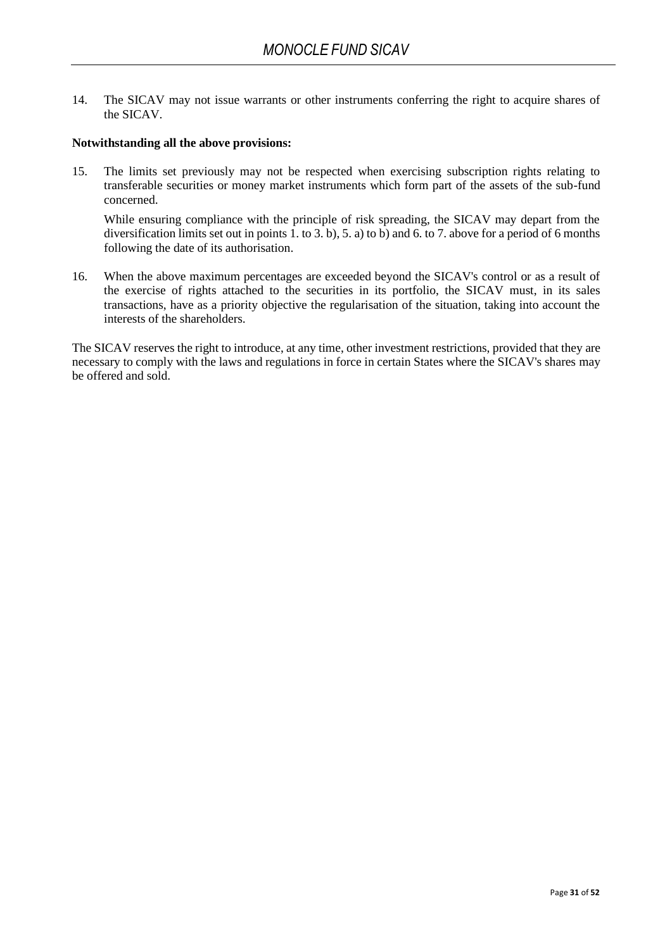14. The SICAV may not issue warrants or other instruments conferring the right to acquire shares of the SICAV.

#### **Notwithstanding all the above provisions:**

15. The limits set previously may not be respected when exercising subscription rights relating to transferable securities or money market instruments which form part of the assets of the sub-fund concerned.

While ensuring compliance with the principle of risk spreading, the SICAV may depart from the diversification limits set out in points 1. to 3. b), 5. a) to b) and 6. to 7. above for a period of 6 months following the date of its authorisation.

16. When the above maximum percentages are exceeded beyond the SICAV's control or as a result of the exercise of rights attached to the securities in its portfolio, the SICAV must, in its sales transactions, have as a priority objective the regularisation of the situation, taking into account the interests of the shareholders.

The SICAV reserves the right to introduce, at any time, other investment restrictions, provided that they are necessary to comply with the laws and regulations in force in certain States where the SICAV's shares may be offered and sold.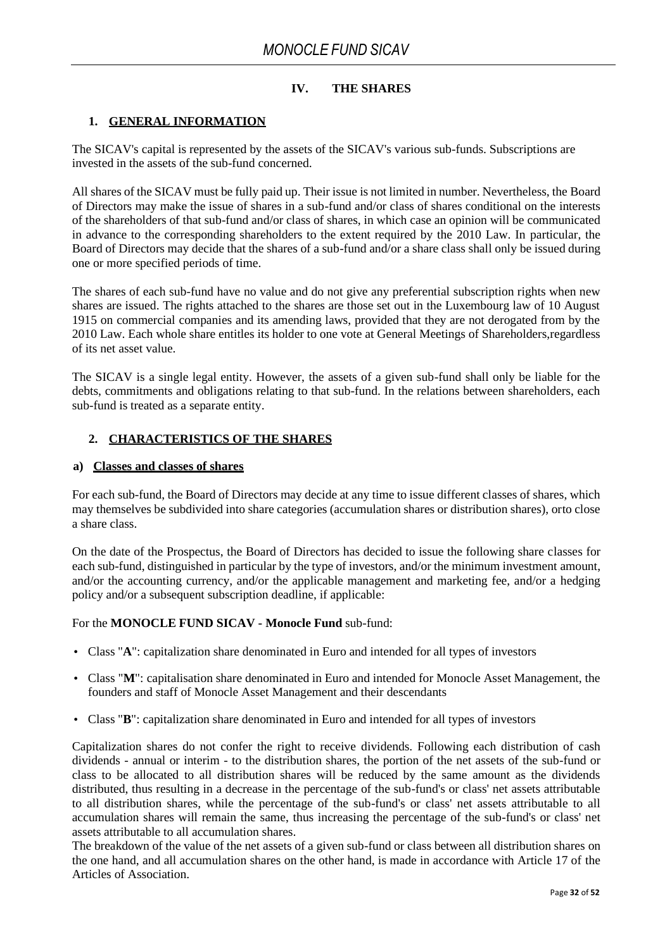### **IV. THE SHARES**

### <span id="page-31-0"></span>**1. GENERAL INFORMATION**

The SICAV's capital is represented by the assets of the SICAV's various sub-funds. Subscriptions are invested in the assets of the sub-fund concerned.

All shares of the SICAV must be fully paid up. Their issue is not limited in number. Nevertheless, the Board of Directors may make the issue of shares in a sub-fund and/or class of shares conditional on the interests of the shareholders of that sub-fund and/or class of shares, in which case an opinion will be communicated in advance to the corresponding shareholders to the extent required by the 2010 Law. In particular, the Board of Directors may decide that the shares of a sub-fund and/or a share class shall only be issued during one or more specified periods of time.

The shares of each sub-fund have no value and do not give any preferential subscription rights when new shares are issued. The rights attached to the shares are those set out in the Luxembourg law of 10 August 1915 on commercial companies and its amending laws, provided that they are not derogated from by the 2010 Law. Each whole share entitles its holder to one vote at General Meetings of Shareholders,regardless of its net asset value.

The SICAV is a single legal entity. However, the assets of a given sub-fund shall only be liable for the debts, commitments and obligations relating to that sub-fund. In the relations between shareholders, each sub-fund is treated as a separate entity.

### <span id="page-31-1"></span>**2. CHARACTERISTICS OF THE SHARES**

#### <span id="page-31-2"></span>**a) Classes and classes of shares**

For each sub-fund, the Board of Directors may decide at any time to issue different classes of shares, which may themselves be subdivided into share categories (accumulation shares or distribution shares), orto close a share class.

On the date of the Prospectus, the Board of Directors has decided to issue the following share classes for each sub-fund, distinguished in particular by the type of investors, and/or the minimum investment amount, and/or the accounting currency, and/or the applicable management and marketing fee, and/or a hedging policy and/or a subsequent subscription deadline, if applicable:

### For the **MONOCLE FUND SICAV - Monocle Fund** sub-fund:

- Class "**A**": capitalization share denominated in Euro and intended for all types of investors
- Class "**M**": capitalisation share denominated in Euro and intended for Monocle Asset Management, the founders and staff of Monocle Asset Management and their descendants
- Class "**B**": capitalization share denominated in Euro and intended for all types of investors

Capitalization shares do not confer the right to receive dividends. Following each distribution of cash dividends - annual or interim - to the distribution shares, the portion of the net assets of the sub-fund or class to be allocated to all distribution shares will be reduced by the same amount as the dividends distributed, thus resulting in a decrease in the percentage of the sub-fund's or class' net assets attributable to all distribution shares, while the percentage of the sub-fund's or class' net assets attributable to all accumulation shares will remain the same, thus increasing the percentage of the sub-fund's or class' net assets attributable to all accumulation shares.

The breakdown of the value of the net assets of a given sub-fund or class between all distribution shares on the one hand, and all accumulation shares on the other hand, is made in accordance with Article 17 of the Articles of Association.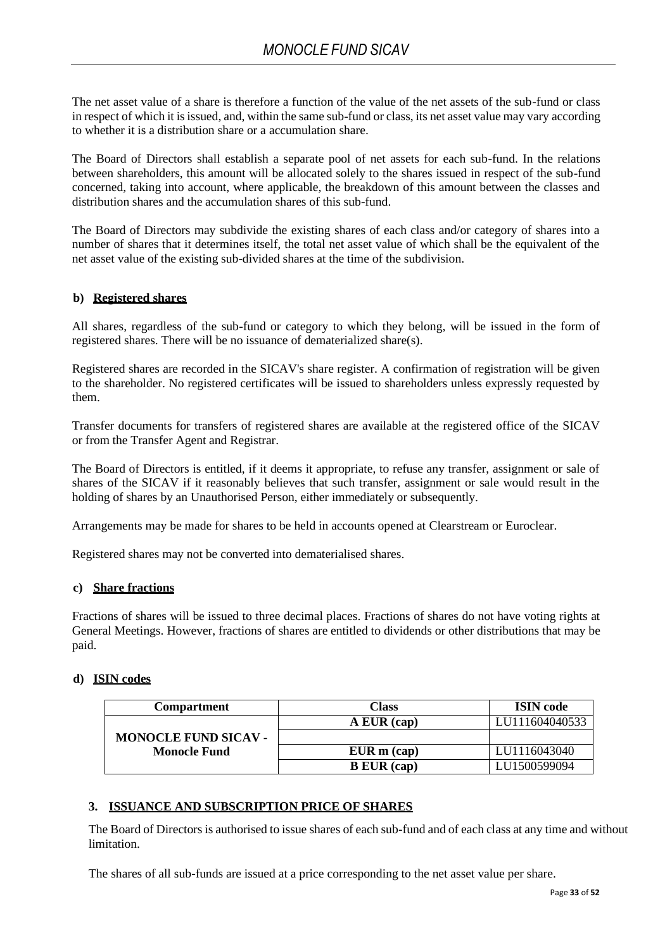The net asset value of a share is therefore a function of the value of the net assets of the sub-fund or class in respect of which it is issued, and, within the same sub-fund or class, its net asset value may vary according to whether it is a distribution share or a accumulation share.

The Board of Directors shall establish a separate pool of net assets for each sub-fund. In the relations between shareholders, this amount will be allocated solely to the shares issued in respect of the sub-fund concerned, taking into account, where applicable, the breakdown of this amount between the classes and distribution shares and the accumulation shares of this sub-fund.

The Board of Directors may subdivide the existing shares of each class and/or category of shares into a number of shares that it determines itself, the total net asset value of which shall be the equivalent of the net asset value of the existing sub-divided shares at the time of the subdivision.

### <span id="page-32-0"></span>**b) Registered shares**

All shares, regardless of the sub-fund or category to which they belong, will be issued in the form of registered shares. There will be no issuance of dematerialized share(s).

Registered shares are recorded in the SICAV's share register. A confirmation of registration will be given to the shareholder. No registered certificates will be issued to shareholders unless expressly requested by them.

Transfer documents for transfers of registered shares are available at the registered office of the SICAV or from the Transfer Agent and Registrar.

The Board of Directors is entitled, if it deems it appropriate, to refuse any transfer, assignment or sale of shares of the SICAV if it reasonably believes that such transfer, assignment or sale would result in the holding of shares by an Unauthorised Person, either immediately or subsequently.

Arrangements may be made for shares to be held in accounts opened at Clearstream or Euroclear.

Registered shares may not be converted into dematerialised shares.

### <span id="page-32-1"></span>**c) Share fractions**

Fractions of shares will be issued to three decimal places. Fractions of shares do not have voting rights at General Meetings. However, fractions of shares are entitled to dividends or other distributions that may be paid.

### <span id="page-32-2"></span>**d) ISIN codes**

| <b>Compartment</b>          | <b>Class</b>       | <b>ISIN</b> code |
|-----------------------------|--------------------|------------------|
|                             | A EUR (cap)        | LU111604040533   |
| <b>MONOCLE FUND SICAV -</b> |                    |                  |
| <b>Monocle Fund</b>         | $EUR$ m $(cap)$    | LU1116043040     |
|                             | <b>B</b> EUR (cap) | LU1500599094     |

### <span id="page-32-3"></span>**3. ISSUANCE AND SUBSCRIPTION PRICE OF SHARES**

The Board of Directors is authorised to issue shares of each sub-fund and of each class at any time and without limitation.

The shares of all sub-funds are issued at a price corresponding to the net asset value per share.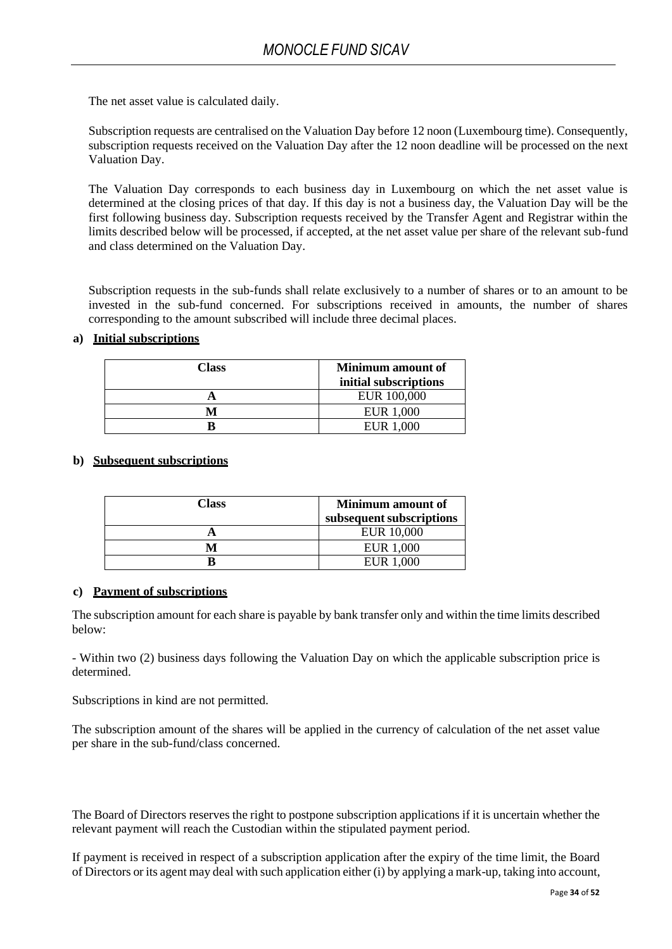The net asset value is calculated daily.

Subscription requests are centralised on the Valuation Day before 12 noon (Luxembourg time). Consequently, subscription requests received on the Valuation Day after the 12 noon deadline will be processed on the next Valuation Day.

The Valuation Day corresponds to each business day in Luxembourg on which the net asset value is determined at the closing prices of that day. If this day is not a business day, the Valuation Day will be the first following business day. Subscription requests received by the Transfer Agent and Registrar within the limits described below will be processed, if accepted, at the net asset value per share of the relevant sub-fund and class determined on the Valuation Day.

Subscription requests in the sub-funds shall relate exclusively to a number of shares or to an amount to be invested in the sub-fund concerned. For subscriptions received in amounts, the number of shares corresponding to the amount subscribed will include three decimal places.

### <span id="page-33-0"></span>**a) Initial subscriptions**

| Class | Minimum amount of     |
|-------|-----------------------|
|       | initial subscriptions |
|       | EUR 100,000           |
|       | EUR 1,000             |
|       | EUR 1,000             |

### <span id="page-33-1"></span>**b) Subsequent subscriptions**

| Class | Minimum amount of        |
|-------|--------------------------|
|       | subsequent subscriptions |
|       | <b>EUR 10,000</b>        |
|       | EUR 1.000                |
|       | EUR 1,000                |

### <span id="page-33-2"></span>**c) Payment of subscriptions**

The subscription amount for each share is payable by bank transfer only and within the time limits described below:

- Within two (2) business days following the Valuation Day on which the applicable subscription price is determined.

Subscriptions in kind are not permitted.

The subscription amount of the shares will be applied in the currency of calculation of the net asset value per share in the sub-fund/class concerned.

The Board of Directors reserves the right to postpone subscription applications if it is uncertain whether the relevant payment will reach the Custodian within the stipulated payment period.

If payment is received in respect of a subscription application after the expiry of the time limit, the Board of Directors or its agent may deal with such application either (i) by applying a mark-up, taking into account,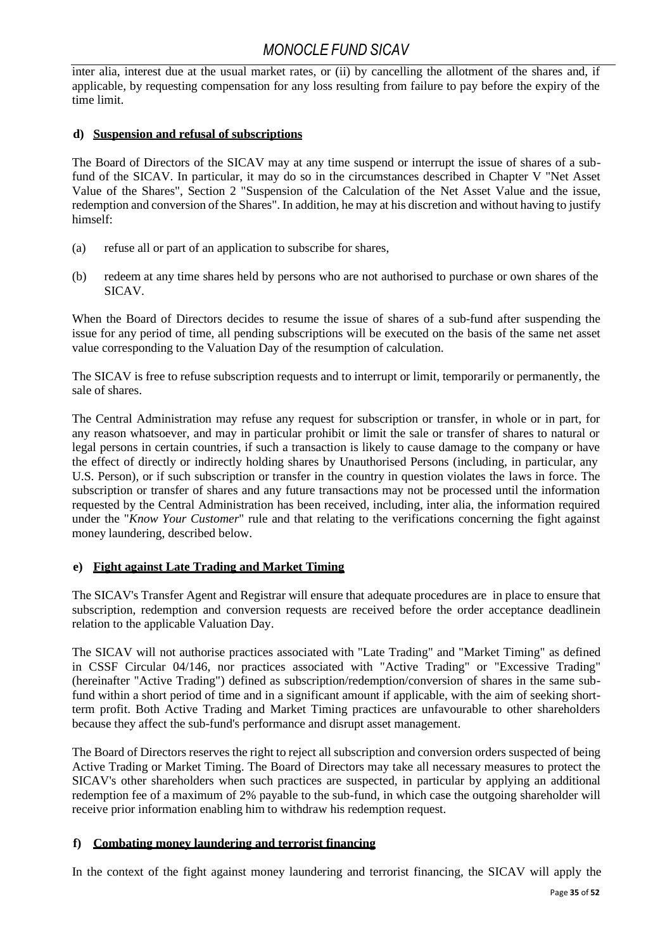inter alia, interest due at the usual market rates, or (ii) by cancelling the allotment of the shares and, if applicable, by requesting compensation for any loss resulting from failure to pay before the expiry of the time limit.

### <span id="page-34-0"></span>**d) Suspension and refusal of subscriptions**

The Board of Directors of the SICAV may at any time suspend or interrupt the issue of shares of a subfund of the SICAV. In particular, it may do so in the circumstances described in Chapter V "Net Asset Value of the Shares", Section 2 "Suspension of the Calculation of the Net Asset Value and the issue, redemption and conversion of the Shares". In addition, he may at his discretion and without having to justify himself:

- (a) refuse all or part of an application to subscribe for shares,
- (b) redeem at any time shares held by persons who are not authorised to purchase or own shares of the SICAV.

When the Board of Directors decides to resume the issue of shares of a sub-fund after suspending the issue for any period of time, all pending subscriptions will be executed on the basis of the same net asset value corresponding to the Valuation Day of the resumption of calculation.

The SICAV is free to refuse subscription requests and to interrupt or limit, temporarily or permanently, the sale of shares.

The Central Administration may refuse any request for subscription or transfer, in whole or in part, for any reason whatsoever, and may in particular prohibit or limit the sale or transfer of shares to natural or legal persons in certain countries, if such a transaction is likely to cause damage to the company or have the effect of directly or indirectly holding shares by Unauthorised Persons (including, in particular, any U.S. Person), or if such subscription or transfer in the country in question violates the laws in force. The subscription or transfer of shares and any future transactions may not be processed until the information requested by the Central Administration has been received, including, inter alia, the information required under the "*Know Your Customer*" rule and that relating to the verifications concerning the fight against money laundering, described below.

### <span id="page-34-1"></span>**e) Fight against Late Trading and Market Timing**

The SICAV's Transfer Agent and Registrar will ensure that adequate procedures are in place to ensure that subscription, redemption and conversion requests are received before the order acceptance deadlinein relation to the applicable Valuation Day.

The SICAV will not authorise practices associated with "Late Trading" and "Market Timing" as defined in CSSF Circular 04/146, nor practices associated with "Active Trading" or "Excessive Trading" (hereinafter "Active Trading") defined as subscription/redemption/conversion of shares in the same subfund within a short period of time and in a significant amount if applicable, with the aim of seeking shortterm profit. Both Active Trading and Market Timing practices are unfavourable to other shareholders because they affect the sub-fund's performance and disrupt asset management.

The Board of Directors reserves the right to reject all subscription and conversion orders suspected of being Active Trading or Market Timing. The Board of Directors may take all necessary measures to protect the SICAV's other shareholders when such practices are suspected, in particular by applying an additional redemption fee of a maximum of 2% payable to the sub-fund, in which case the outgoing shareholder will receive prior information enabling him to withdraw his redemption request.

### <span id="page-34-2"></span>**f) Combating money laundering and terrorist financing**

In the context of the fight against money laundering and terrorist financing, the SICAV will apply the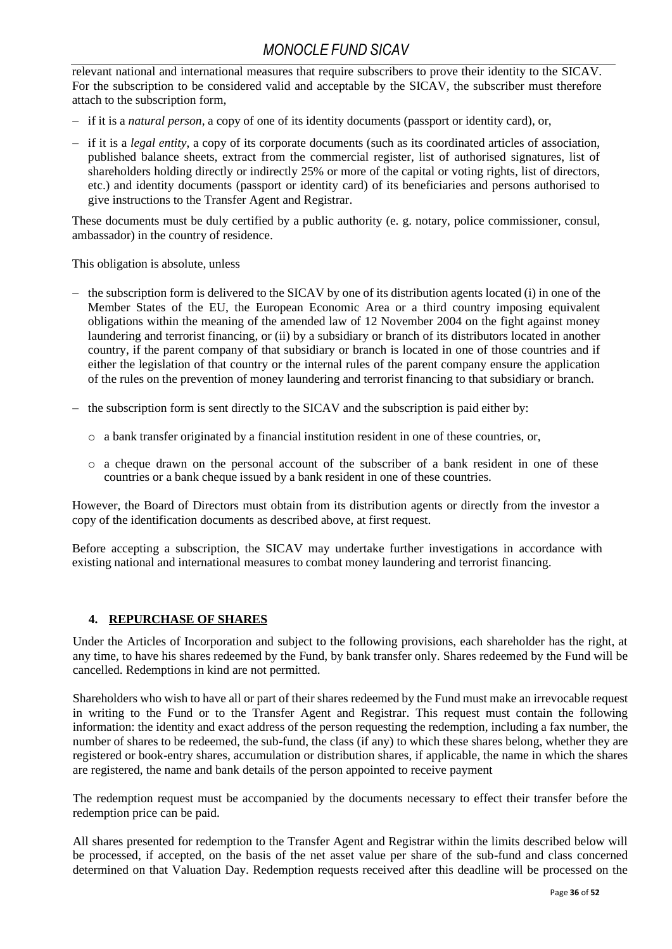relevant national and international measures that require subscribers to prove their identity to the SICAV. For the subscription to be considered valid and acceptable by the SICAV, the subscriber must therefore attach to the subscription form,

- − if it is a *natural person*, a copy of one of its identity documents (passport or identity card), or,
- − if it is a *legal entity*, a copy of its corporate documents (such as its coordinated articles of association, published balance sheets, extract from the commercial register, list of authorised signatures, list of shareholders holding directly or indirectly 25% or more of the capital or voting rights, list of directors, etc.) and identity documents (passport or identity card) of its beneficiaries and persons authorised to give instructions to the Transfer Agent and Registrar.

These documents must be duly certified by a public authority (e. g. notary, police commissioner, consul, ambassador) in the country of residence.

This obligation is absolute, unless

- − the subscription form is delivered to the SICAV by one of its distribution agents located (i) in one of the Member States of the EU, the European Economic Area or a third country imposing equivalent obligations within the meaning of the amended law of 12 November 2004 on the fight against money laundering and terrorist financing, or (ii) by a subsidiary or branch of its distributors located in another country, if the parent company of that subsidiary or branch is located in one of those countries and if either the legislation of that country or the internal rules of the parent company ensure the application of the rules on the prevention of money laundering and terrorist financing to that subsidiary or branch.
- − the subscription form is sent directly to the SICAV and the subscription is paid either by:
	- o a bank transfer originated by a financial institution resident in one of these countries, or,
	- $\circ$  a cheque drawn on the personal account of the subscriber of a bank resident in one of these countries or a bank cheque issued by a bank resident in one of these countries.

However, the Board of Directors must obtain from its distribution agents or directly from the investor a copy of the identification documents as described above, at first request.

Before accepting a subscription, the SICAV may undertake further investigations in accordance with existing national and international measures to combat money laundering and terrorist financing.

### **4. REPURCHASE OF SHARES**

<span id="page-35-0"></span>Under the Articles of Incorporation and subject to the following provisions, each shareholder has the right, at any time, to have his shares redeemed by the Fund, by bank transfer only. Shares redeemed by the Fund will be cancelled. Redemptions in kind are not permitted.

Shareholders who wish to have all or part of their shares redeemed by the Fund must make an irrevocable request in writing to the Fund or to the Transfer Agent and Registrar. This request must contain the following information: the identity and exact address of the person requesting the redemption, including a fax number, the number of shares to be redeemed, the sub-fund, the class (if any) to which these shares belong, whether they are registered or book-entry shares, accumulation or distribution shares, if applicable, the name in which the shares are registered, the name and bank details of the person appointed to receive payment

The redemption request must be accompanied by the documents necessary to effect their transfer before the redemption price can be paid.

All shares presented for redemption to the Transfer Agent and Registrar within the limits described below will be processed, if accepted, on the basis of the net asset value per share of the sub-fund and class concerned determined on that Valuation Day. Redemption requests received after this deadline will be processed on the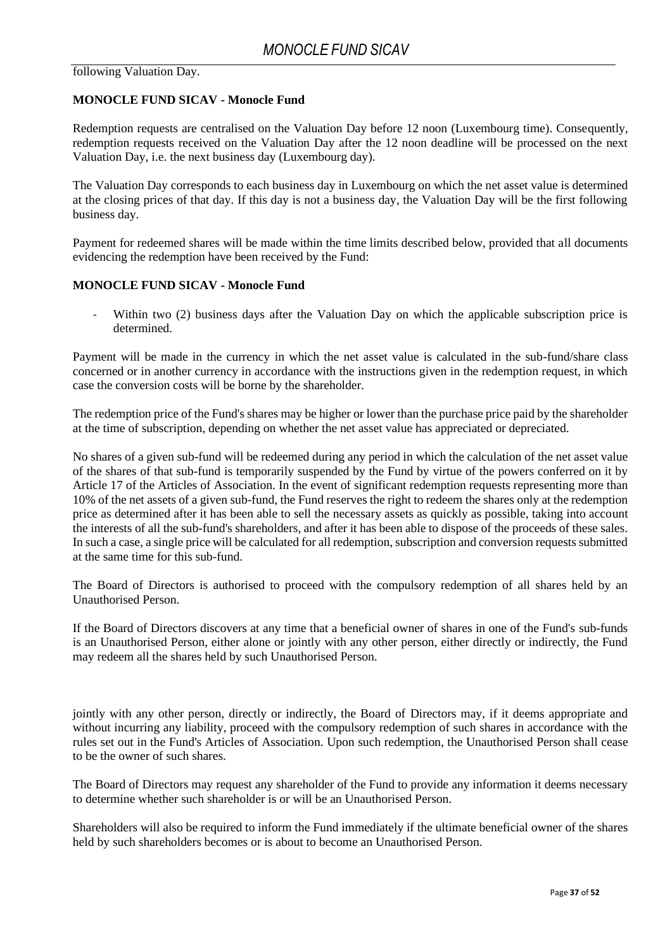following Valuation Day.

### **MONOCLE FUND SICAV - Monocle Fund**

Redemption requests are centralised on the Valuation Day before 12 noon (Luxembourg time). Consequently, redemption requests received on the Valuation Day after the 12 noon deadline will be processed on the next Valuation Day, i.e. the next business day (Luxembourg day).

The Valuation Day corresponds to each business day in Luxembourg on which the net asset value is determined at the closing prices of that day. If this day is not a business day, the Valuation Day will be the first following business day.

Payment for redeemed shares will be made within the time limits described below, provided that all documents evidencing the redemption have been received by the Fund:

### **MONOCLE FUND SICAV - Monocle Fund**

Within two (2) business days after the Valuation Day on which the applicable subscription price is determined.

Payment will be made in the currency in which the net asset value is calculated in the sub-fund/share class concerned or in another currency in accordance with the instructions given in the redemption request, in which case the conversion costs will be borne by the shareholder.

The redemption price of the Fund's shares may be higher or lower than the purchase price paid by the shareholder at the time of subscription, depending on whether the net asset value has appreciated or depreciated.

No shares of a given sub-fund will be redeemed during any period in which the calculation of the net asset value of the shares of that sub-fund is temporarily suspended by the Fund by virtue of the powers conferred on it by Article 17 of the Articles of Association. In the event of significant redemption requests representing more than 10% of the net assets of a given sub-fund, the Fund reserves the right to redeem the shares only at the redemption price as determined after it has been able to sell the necessary assets as quickly as possible, taking into account the interests of all the sub-fund's shareholders, and after it has been able to dispose of the proceeds of these sales. In such a case, a single price will be calculated for all redemption, subscription and conversion requests submitted at the same time for this sub-fund.

The Board of Directors is authorised to proceed with the compulsory redemption of all shares held by an Unauthorised Person.

If the Board of Directors discovers at any time that a beneficial owner of shares in one of the Fund's sub-funds is an Unauthorised Person, either alone or jointly with any other person, either directly or indirectly, the Fund may redeem all the shares held by such Unauthorised Person.

jointly with any other person, directly or indirectly, the Board of Directors may, if it deems appropriate and without incurring any liability, proceed with the compulsory redemption of such shares in accordance with the rules set out in the Fund's Articles of Association. Upon such redemption, the Unauthorised Person shall cease to be the owner of such shares.

The Board of Directors may request any shareholder of the Fund to provide any information it deems necessary to determine whether such shareholder is or will be an Unauthorised Person.

Shareholders will also be required to inform the Fund immediately if the ultimate beneficial owner of the shares held by such shareholders becomes or is about to become an Unauthorised Person.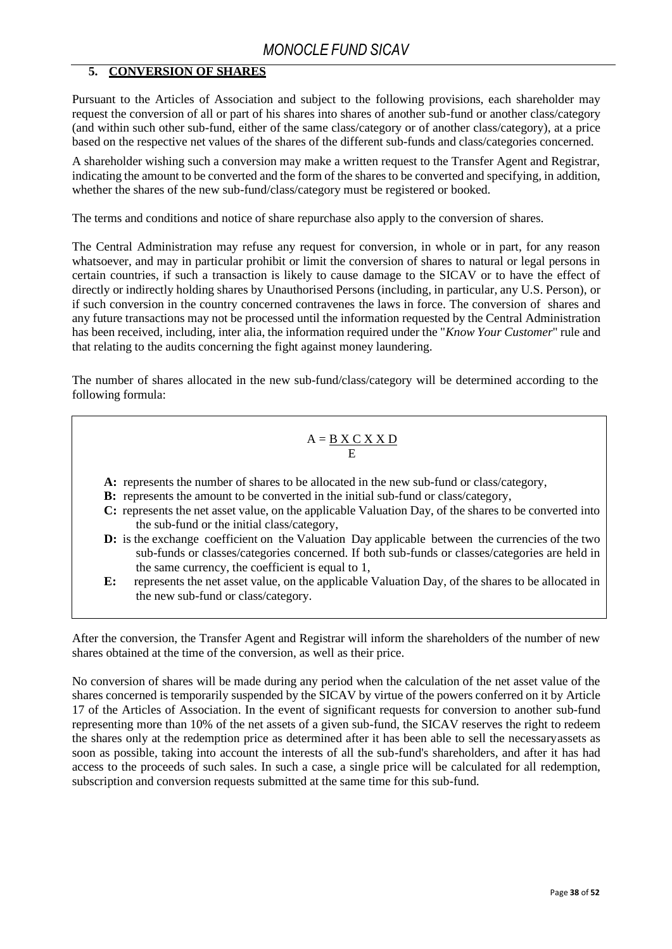### **5. CONVERSION OF SHARES**

<span id="page-37-0"></span>Pursuant to the Articles of Association and subject to the following provisions, each shareholder may request the conversion of all or part of his shares into shares of another sub-fund or another class/category (and within such other sub-fund, either of the same class/category or of another class/category), at a price based on the respective net values of the shares of the different sub-funds and class/categories concerned.

A shareholder wishing such a conversion may make a written request to the Transfer Agent and Registrar, indicating the amount to be converted and the form of the shares to be converted and specifying, in addition, whether the shares of the new sub-fund/class/category must be registered or booked.

The terms and conditions and notice of share repurchase also apply to the conversion of shares.

The Central Administration may refuse any request for conversion, in whole or in part, for any reason whatsoever, and may in particular prohibit or limit the conversion of shares to natural or legal persons in certain countries, if such a transaction is likely to cause damage to the SICAV or to have the effect of directly or indirectly holding shares by Unauthorised Persons (including, in particular, any U.S. Person), or if such conversion in the country concerned contravenes the laws in force. The conversion of shares and any future transactions may not be processed until the information requested by the Central Administration has been received, including, inter alia, the information required under the "*Know Your Customer*" rule and that relating to the audits concerning the fight against money laundering.

The number of shares allocated in the new sub-fund/class/category will be determined according to the following formula:

$$
A = \frac{B \times C \times X \cdot D}{E}
$$

- **A:** represents the number of shares to be allocated in the new sub-fund or class/category,
- **B:** represents the amount to be converted in the initial sub-fund or class/category,
- **C:** represents the net asset value, on the applicable Valuation Day, of the shares to be converted into the sub-fund or the initial class/category,
- **D:** is the exchange coefficient on the Valuation Day applicable between the currencies of the two sub-funds or classes/categories concerned. If both sub-funds or classes/categories are held in the same currency, the coefficient is equal to 1,
- **E:** represents the net asset value, on the applicable Valuation Day, of the shares to be allocated in the new sub-fund or class/category.

After the conversion, the Transfer Agent and Registrar will inform the shareholders of the number of new shares obtained at the time of the conversion, as well as their price.

No conversion of shares will be made during any period when the calculation of the net asset value of the shares concerned is temporarily suspended by the SICAV by virtue of the powers conferred on it by Article 17 of the Articles of Association. In the event of significant requests for conversion to another sub-fund representing more than 10% of the net assets of a given sub-fund, the SICAV reserves the right to redeem the shares only at the redemption price as determined after it has been able to sell the necessaryassets as soon as possible, taking into account the interests of all the sub-fund's shareholders, and after it has had access to the proceeds of such sales. In such a case, a single price will be calculated for all redemption, subscription and conversion requests submitted at the same time for this sub-fund.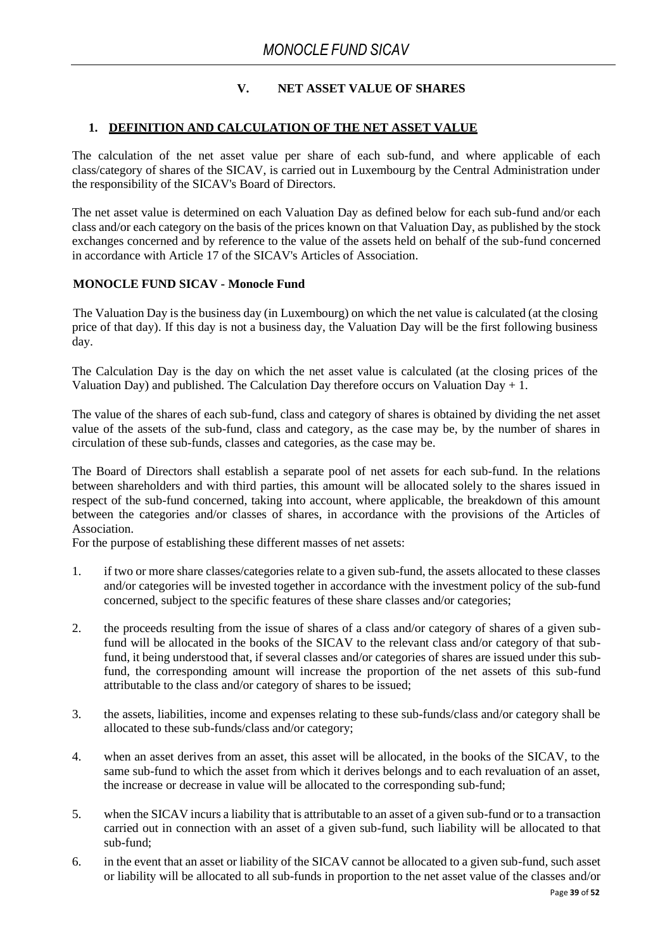### **V. NET ASSET VALUE OF SHARES**

### <span id="page-38-0"></span>**1. DEFINITION AND CALCULATION OF THE NET ASSET VALUE**

The calculation of the net asset value per share of each sub-fund, and where applicable of each class/category of shares of the SICAV, is carried out in Luxembourg by the Central Administration under the responsibility of the SICAV's Board of Directors.

The net asset value is determined on each Valuation Day as defined below for each sub-fund and/or each class and/or each category on the basis of the prices known on that Valuation Day, as published by the stock exchanges concerned and by reference to the value of the assets held on behalf of the sub-fund concerned in accordance with Article 17 of the SICAV's Articles of Association.

### **MONOCLE FUND SICAV - Monocle Fund**

The Valuation Day is the business day (in Luxembourg) on which the net value is calculated (at the closing price of that day). If this day is not a business day, the Valuation Day will be the first following business day.

The Calculation Day is the day on which the net asset value is calculated (at the closing prices of the Valuation Day) and published. The Calculation Day therefore occurs on Valuation Day  $+1$ .

The value of the shares of each sub-fund, class and category of shares is obtained by dividing the net asset value of the assets of the sub-fund, class and category, as the case may be, by the number of shares in circulation of these sub-funds, classes and categories, as the case may be.

The Board of Directors shall establish a separate pool of net assets for each sub-fund. In the relations between shareholders and with third parties, this amount will be allocated solely to the shares issued in respect of the sub-fund concerned, taking into account, where applicable, the breakdown of this amount between the categories and/or classes of shares, in accordance with the provisions of the Articles of Association.

For the purpose of establishing these different masses of net assets:

- 1. if two or more share classes/categories relate to a given sub-fund, the assets allocated to these classes and/or categories will be invested together in accordance with the investment policy of the sub-fund concerned, subject to the specific features of these share classes and/or categories;
- 2. the proceeds resulting from the issue of shares of a class and/or category of shares of a given subfund will be allocated in the books of the SICAV to the relevant class and/or category of that subfund, it being understood that, if several classes and/or categories of shares are issued under this subfund, the corresponding amount will increase the proportion of the net assets of this sub-fund attributable to the class and/or category of shares to be issued;
- 3. the assets, liabilities, income and expenses relating to these sub-funds/class and/or category shall be allocated to these sub-funds/class and/or category;
- 4. when an asset derives from an asset, this asset will be allocated, in the books of the SICAV, to the same sub-fund to which the asset from which it derives belongs and to each revaluation of an asset, the increase or decrease in value will be allocated to the corresponding sub-fund;
- 5. when the SICAV incurs a liability that is attributable to an asset of a given sub-fund or to a transaction carried out in connection with an asset of a given sub-fund, such liability will be allocated to that sub-fund;
- 6. in the event that an asset or liability of the SICAV cannot be allocated to a given sub-fund, such asset or liability will be allocated to all sub-funds in proportion to the net asset value of the classes and/or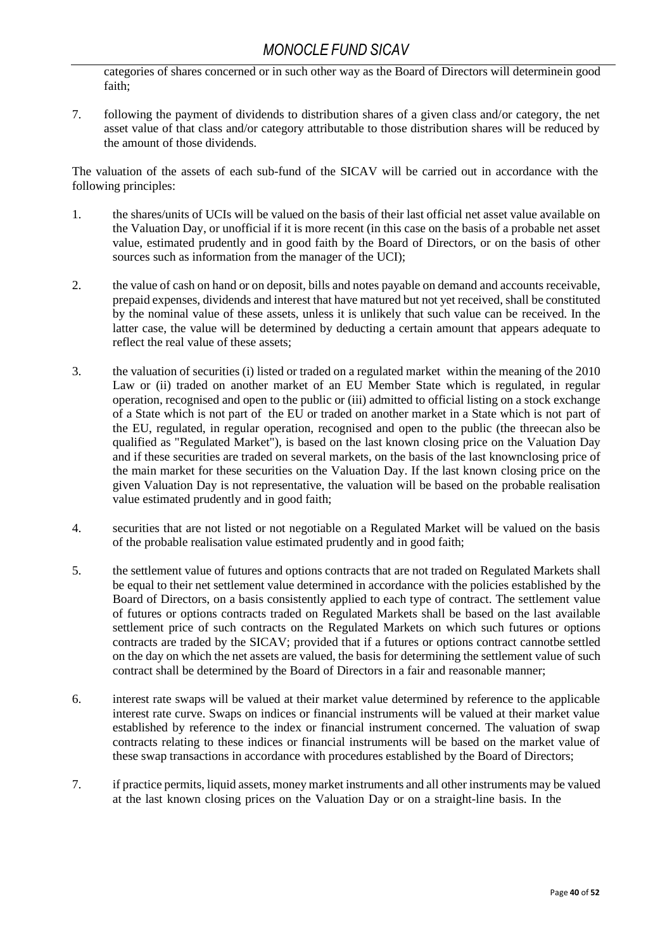categories of shares concerned or in such other way as the Board of Directors will determinein good faith;

7. following the payment of dividends to distribution shares of a given class and/or category, the net asset value of that class and/or category attributable to those distribution shares will be reduced by the amount of those dividends.

The valuation of the assets of each sub-fund of the SICAV will be carried out in accordance with the following principles:

- 1. the shares/units of UCIs will be valued on the basis of their last official net asset value available on the Valuation Day, or unofficial if it is more recent (in this case on the basis of a probable net asset value, estimated prudently and in good faith by the Board of Directors, or on the basis of other sources such as information from the manager of the UCI);
- 2. the value of cash on hand or on deposit, bills and notes payable on demand and accounts receivable, prepaid expenses, dividends and interest that have matured but not yet received, shall be constituted by the nominal value of these assets, unless it is unlikely that such value can be received. In the latter case, the value will be determined by deducting a certain amount that appears adequate to reflect the real value of these assets;
- 3. the valuation of securities (i) listed or traded on a regulated market within the meaning of the 2010 Law or (ii) traded on another market of an EU Member State which is regulated, in regular operation, recognised and open to the public or (iii) admitted to official listing on a stock exchange of a State which is not part of the EU or traded on another market in a State which is not part of the EU, regulated, in regular operation, recognised and open to the public (the threecan also be qualified as "Regulated Market"), is based on the last known closing price on the Valuation Day and if these securities are traded on several markets, on the basis of the last knownclosing price of the main market for these securities on the Valuation Day. If the last known closing price on the given Valuation Day is not representative, the valuation will be based on the probable realisation value estimated prudently and in good faith;
- 4. securities that are not listed or not negotiable on a Regulated Market will be valued on the basis of the probable realisation value estimated prudently and in good faith;
- 5. the settlement value of futures and options contracts that are not traded on Regulated Markets shall be equal to their net settlement value determined in accordance with the policies established by the Board of Directors, on a basis consistently applied to each type of contract. The settlement value of futures or options contracts traded on Regulated Markets shall be based on the last available settlement price of such contracts on the Regulated Markets on which such futures or options contracts are traded by the SICAV; provided that if a futures or options contract cannotbe settled on the day on which the net assets are valued, the basis for determining the settlement value of such contract shall be determined by the Board of Directors in a fair and reasonable manner;
- 6. interest rate swaps will be valued at their market value determined by reference to the applicable interest rate curve. Swaps on indices or financial instruments will be valued at their market value established by reference to the index or financial instrument concerned. The valuation of swap contracts relating to these indices or financial instruments will be based on the market value of these swap transactions in accordance with procedures established by the Board of Directors;
- 7. if practice permits, liquid assets, money market instruments and all other instruments may be valued at the last known closing prices on the Valuation Day or on a straight-line basis. In the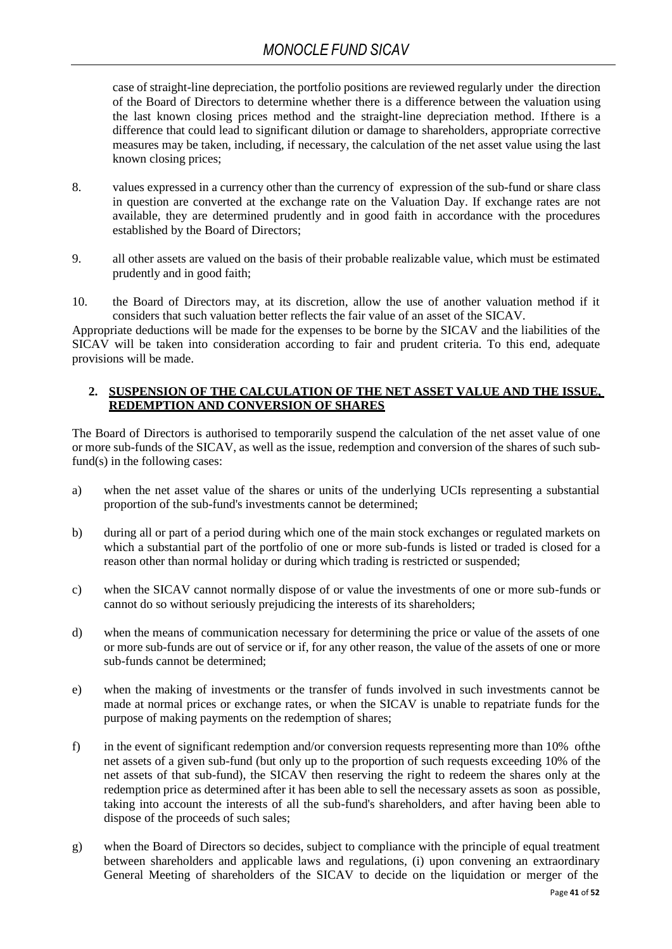case of straight-line depreciation, the portfolio positions are reviewed regularly under the direction of the Board of Directors to determine whether there is a difference between the valuation using the last known closing prices method and the straight-line depreciation method. Ifthere is a difference that could lead to significant dilution or damage to shareholders, appropriate corrective measures may be taken, including, if necessary, the calculation of the net asset value using the last known closing prices;

- 8. values expressed in a currency other than the currency of expression of the sub-fund or share class in question are converted at the exchange rate on the Valuation Day. If exchange rates are not available, they are determined prudently and in good faith in accordance with the procedures established by the Board of Directors;
- 9. all other assets are valued on the basis of their probable realizable value, which must be estimated prudently and in good faith;
- 10. the Board of Directors may, at its discretion, allow the use of another valuation method if it considers that such valuation better reflects the fair value of an asset of the SICAV.

Appropriate deductions will be made for the expenses to be borne by the SICAV and the liabilities of the SICAV will be taken into consideration according to fair and prudent criteria. To this end, adequate provisions will be made.

### <span id="page-40-0"></span>**2. SUSPENSION OF THE CALCULATION OF THE NET ASSET VALUE AND THE ISSUE, REDEMPTION AND CONVERSION OF SHARES**

The Board of Directors is authorised to temporarily suspend the calculation of the net asset value of one or more sub-funds of the SICAV, as well as the issue, redemption and conversion of the shares of such subfund(s) in the following cases:

- a) when the net asset value of the shares or units of the underlying UCIs representing a substantial proportion of the sub-fund's investments cannot be determined;
- b) during all or part of a period during which one of the main stock exchanges or regulated markets on which a substantial part of the portfolio of one or more sub-funds is listed or traded is closed for a reason other than normal holiday or during which trading is restricted or suspended;
- c) when the SICAV cannot normally dispose of or value the investments of one or more sub-funds or cannot do so without seriously prejudicing the interests of its shareholders;
- d) when the means of communication necessary for determining the price or value of the assets of one or more sub-funds are out of service or if, for any other reason, the value of the assets of one or more sub-funds cannot be determined;
- e) when the making of investments or the transfer of funds involved in such investments cannot be made at normal prices or exchange rates, or when the SICAV is unable to repatriate funds for the purpose of making payments on the redemption of shares;
- f) in the event of significant redemption and/or conversion requests representing more than 10% ofthe net assets of a given sub-fund (but only up to the proportion of such requests exceeding 10% of the net assets of that sub-fund), the SICAV then reserving the right to redeem the shares only at the redemption price as determined after it has been able to sell the necessary assets as soon as possible, taking into account the interests of all the sub-fund's shareholders, and after having been able to dispose of the proceeds of such sales;
- g) when the Board of Directors so decides, subject to compliance with the principle of equal treatment between shareholders and applicable laws and regulations, (i) upon convening an extraordinary General Meeting of shareholders of the SICAV to decide on the liquidation or merger of the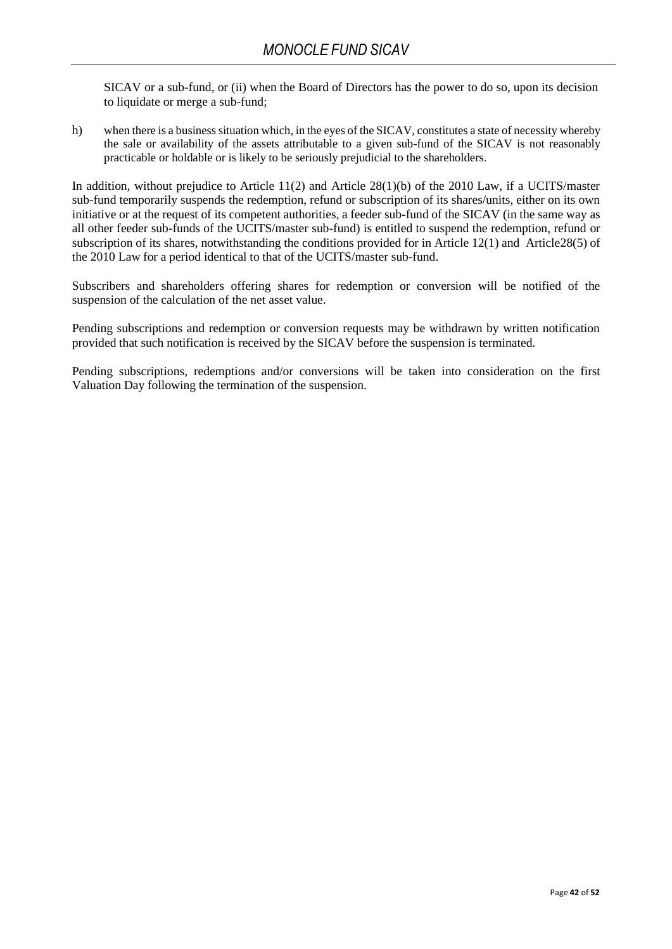SICAV or a sub-fund, or (ii) when the Board of Directors has the power to do so, upon its decision to liquidate or merge a sub-fund;

h) when there is a business situation which, in the eyes of the SICAV, constitutes a state of necessity whereby the sale or availability of the assets attributable to a given sub-fund of the SICAV is not reasonably practicable or holdable or is likely to be seriously prejudicial to the shareholders.

In addition, without prejudice to Article 11(2) and Article 28(1)(b) of the 2010 Law, if a UCITS/master sub-fund temporarily suspends the redemption, refund or subscription of its shares/units, either on its own initiative or at the request of its competent authorities, a feeder sub-fund of the SICAV (in the same way as all other feeder sub-funds of the UCITS/master sub-fund) is entitled to suspend the redemption, refund or subscription of its shares, notwithstanding the conditions provided for in Article 12(1) and Article28(5) of the 2010 Law for a period identical to that of the UCITS/master sub-fund.

Subscribers and shareholders offering shares for redemption or conversion will be notified of the suspension of the calculation of the net asset value.

Pending subscriptions and redemption or conversion requests may be withdrawn by written notification provided that such notification is received by the SICAV before the suspension is terminated.

Pending subscriptions, redemptions and/or conversions will be taken into consideration on the first Valuation Day following the termination of the suspension.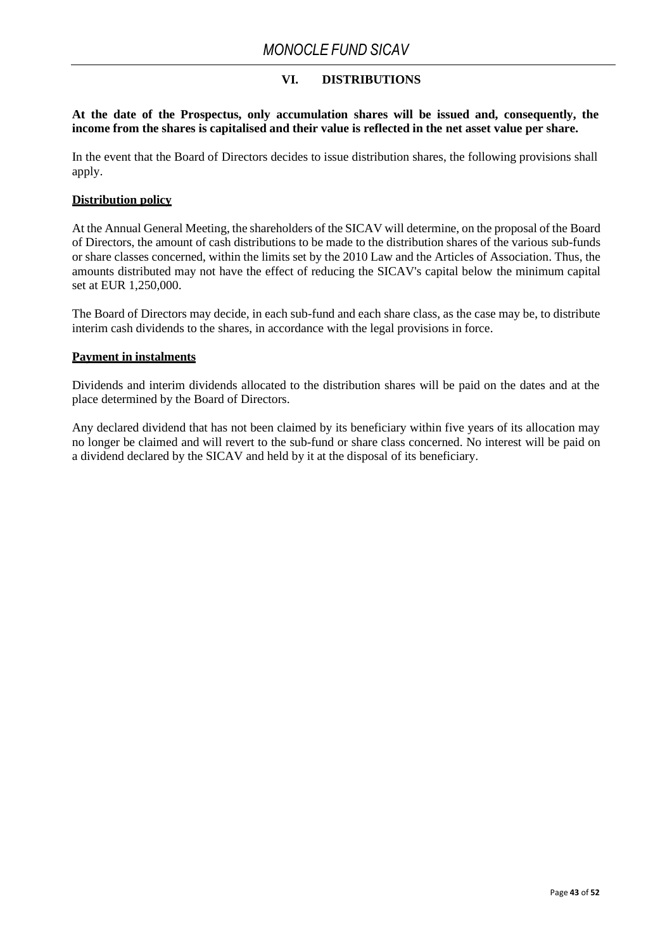### **VI. DISTRIBUTIONS**

**At the date of the Prospectus, only accumulation shares will be issued and, consequently, the income from the shares is capitalised and their value is reflected in the net asset value per share.**

In the event that the Board of Directors decides to issue distribution shares, the following provisions shall apply.

#### **Distribution policy**

At the Annual General Meeting, the shareholders of the SICAV will determine, on the proposal of the Board of Directors, the amount of cash distributions to be made to the distribution shares of the various sub-funds or share classes concerned, within the limits set by the 2010 Law and the Articles of Association. Thus, the amounts distributed may not have the effect of reducing the SICAV's capital below the minimum capital set at EUR 1,250,000.

The Board of Directors may decide, in each sub-fund and each share class, as the case may be, to distribute interim cash dividends to the shares, in accordance with the legal provisions in force.

#### **Payment in instalments**

Dividends and interim dividends allocated to the distribution shares will be paid on the dates and at the place determined by the Board of Directors.

Any declared dividend that has not been claimed by its beneficiary within five years of its allocation may no longer be claimed and will revert to the sub-fund or share class concerned. No interest will be paid on a dividend declared by the SICAV and held by it at the disposal of its beneficiary.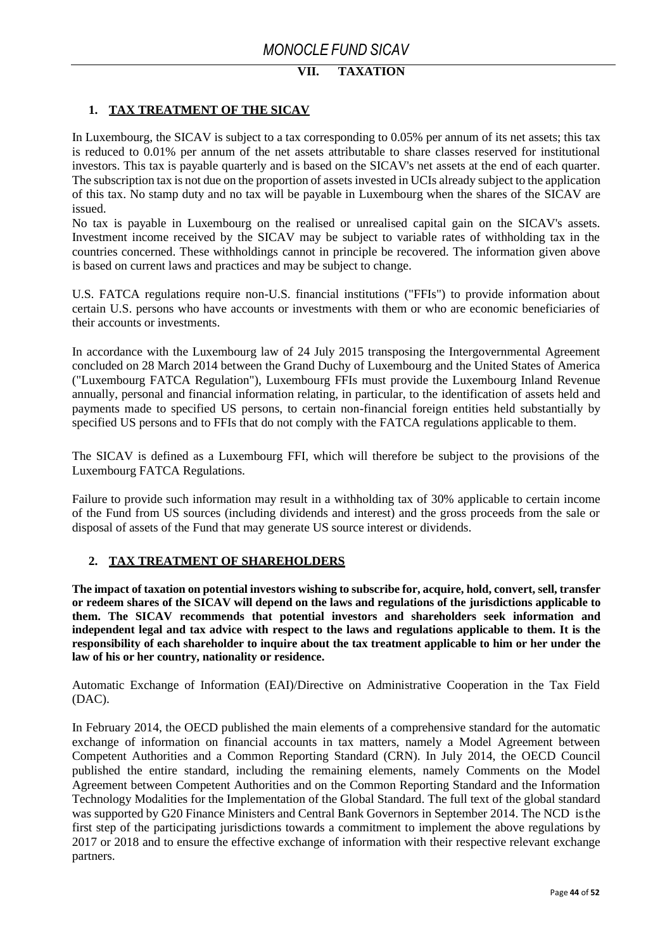# **VII. TAXATION**

### <span id="page-43-0"></span>**1. TAX TREATMENT OF THE SICAV**

In Luxembourg, the SICAV is subject to a tax corresponding to 0.05% per annum of its net assets; this tax is reduced to 0.01% per annum of the net assets attributable to share classes reserved for institutional investors. This tax is payable quarterly and is based on the SICAV's net assets at the end of each quarter. The subscription tax is not due on the proportion of assets invested in UCIs already subject to the application of this tax. No stamp duty and no tax will be payable in Luxembourg when the shares of the SICAV are issued.

No tax is payable in Luxembourg on the realised or unrealised capital gain on the SICAV's assets. Investment income received by the SICAV may be subject to variable rates of withholding tax in the countries concerned. These withholdings cannot in principle be recovered. The information given above is based on current laws and practices and may be subject to change.

U.S. FATCA regulations require non-U.S. financial institutions ("FFIs") to provide information about certain U.S. persons who have accounts or investments with them or who are economic beneficiaries of their accounts or investments.

In accordance with the Luxembourg law of 24 July 2015 transposing the Intergovernmental Agreement concluded on 28 March 2014 between the Grand Duchy of Luxembourg and the United States of America ("Luxembourg FATCA Regulation"), Luxembourg FFIs must provide the Luxembourg Inland Revenue annually, personal and financial information relating, in particular, to the identification of assets held and payments made to specified US persons, to certain non-financial foreign entities held substantially by specified US persons and to FFIs that do not comply with the FATCA regulations applicable to them.

The SICAV is defined as a Luxembourg FFI, which will therefore be subject to the provisions of the Luxembourg FATCA Regulations.

Failure to provide such information may result in a withholding tax of 30% applicable to certain income of the Fund from US sources (including dividends and interest) and the gross proceeds from the sale or disposal of assets of the Fund that may generate US source interest or dividends.

### <span id="page-43-1"></span>**2. TAX TREATMENT OF SHAREHOLDERS**

**The impact of taxation on potential investors wishing to subscribe for, acquire, hold, convert, sell, transfer or redeem shares of the SICAV will depend on the laws and regulations of the jurisdictions applicable to them. The SICAV recommends that potential investors and shareholders seek information and independent legal and tax advice with respect to the laws and regulations applicable to them. It is the responsibility of each shareholder to inquire about the tax treatment applicable to him or her under the law of his or her country, nationality or residence.**

Automatic Exchange of Information (EAI)/Directive on Administrative Cooperation in the Tax Field (DAC).

In February 2014, the OECD published the main elements of a comprehensive standard for the automatic exchange of information on financial accounts in tax matters, namely a Model Agreement between Competent Authorities and a Common Reporting Standard (CRN). In July 2014, the OECD Council published the entire standard, including the remaining elements, namely Comments on the Model Agreement between Competent Authorities and on the Common Reporting Standard and the Information Technology Modalities for the Implementation of the Global Standard. The full text of the global standard was supported by G20 Finance Ministers and Central Bank Governors in September 2014. The NCD is the first step of the participating jurisdictions towards a commitment to implement the above regulations by 2017 or 2018 and to ensure the effective exchange of information with their respective relevant exchange partners.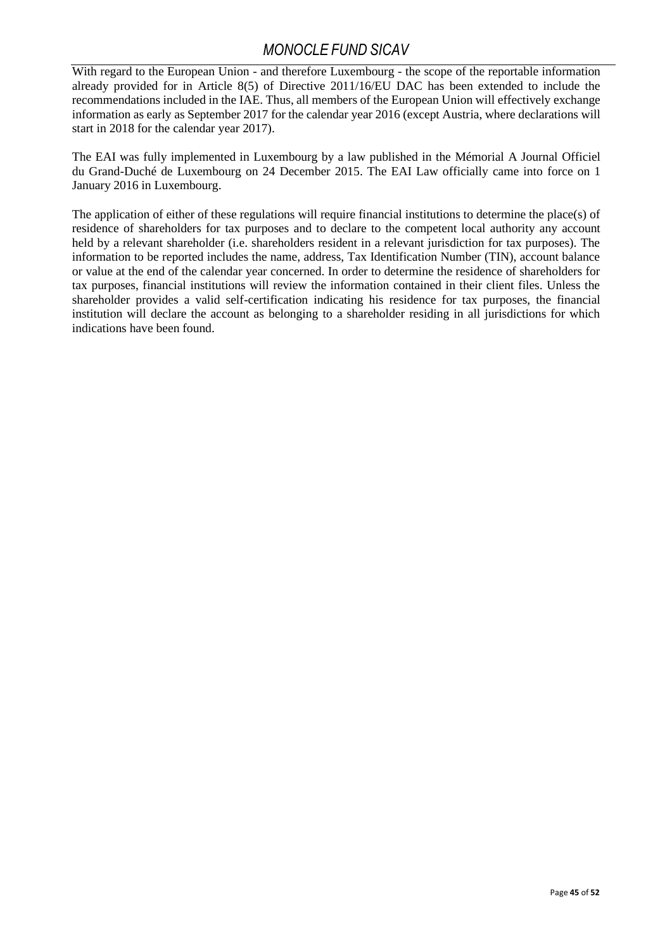With regard to the European Union - and therefore Luxembourg - the scope of the reportable information already provided for in Article 8(5) of Directive 2011/16/EU DAC has been extended to include the recommendations included in the IAE. Thus, all members of the European Union will effectively exchange information as early as September 2017 for the calendar year 2016 (except Austria, where declarations will start in 2018 for the calendar year 2017).

The EAI was fully implemented in Luxembourg by a law published in the Mémorial A Journal Officiel du Grand-Duché de Luxembourg on 24 December 2015. The EAI Law officially came into force on 1 January 2016 in Luxembourg.

The application of either of these regulations will require financial institutions to determine the place(s) of residence of shareholders for tax purposes and to declare to the competent local authority any account held by a relevant shareholder (i.e. shareholders resident in a relevant jurisdiction for tax purposes). The information to be reported includes the name, address, Tax Identification Number (TIN), account balance or value at the end of the calendar year concerned. In order to determine the residence of shareholders for tax purposes, financial institutions will review the information contained in their client files. Unless the shareholder provides a valid self-certification indicating his residence for tax purposes, the financial institution will declare the account as belonging to a shareholder residing in all jurisdictions for which indications have been found.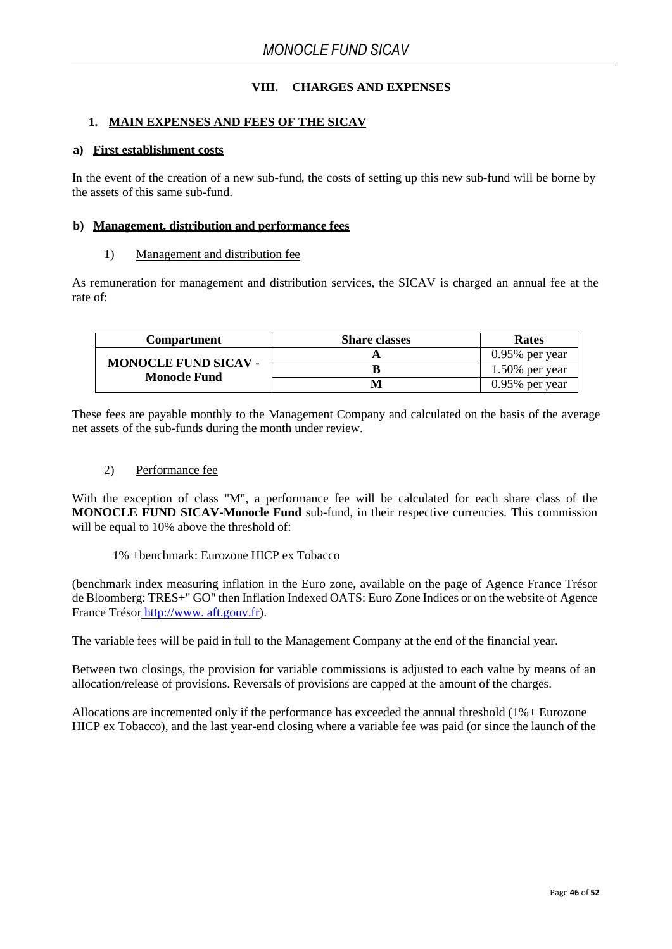### **VIII. CHARGES AND EXPENSES**

#### <span id="page-45-0"></span>**1. MAIN EXPENSES AND FEES OF THE SICAV**

#### <span id="page-45-1"></span>**a) First establishment costs**

In the event of the creation of a new sub-fund, the costs of setting up this new sub-fund will be borne by the assets of this same sub-fund.

#### <span id="page-45-2"></span>**b) Management, distribution and performance fees**

#### 1) Management and distribution fee

As remuneration for management and distribution services, the SICAV is charged an annual fee at the rate of:

| Compartment                                        | <b>Share classes</b> | <b>Rates</b>      |
|----------------------------------------------------|----------------------|-------------------|
| <b>MONOCLE FUND SICAV -</b><br><b>Monocle Fund</b> |                      | $0.95\%$ per year |
|                                                    |                      | $1.50\%$ per year |
|                                                    |                      | $0.95\%$ per year |

These fees are payable monthly to the Management Company and calculated on the basis of the average net assets of the sub-funds during the month under review.

#### 2) Performance fee

With the exception of class "M", a performance fee will be calculated for each share class of the **MONOCLE FUND SICAV-Monocle Fund** sub-fund, in their respective currencies. This commission will be equal to 10% above the threshold of:

1% +benchmark: Eurozone HICP ex Tobacco

(benchmark index measuring inflation in the Euro zone, available on the page of Agence France Trésor de Bloomberg: TRES+" GO" then Inflation Indexed OATS: Euro Zone Indices or on the website of Agence France Trésor [http://www. aft.gouv.fr\)](http://www.aft.gouv.fr/).

The variable fees will be paid in full to the Management Company at the end of the financial year.

Between two closings, the provision for variable commissions is adjusted to each value by means of an allocation/release of provisions. Reversals of provisions are capped at the amount of the charges.

Allocations are incremented only if the performance has exceeded the annual threshold (1%+ Eurozone HICP ex Tobacco), and the last year-end closing where a variable fee was paid (or since the launch of the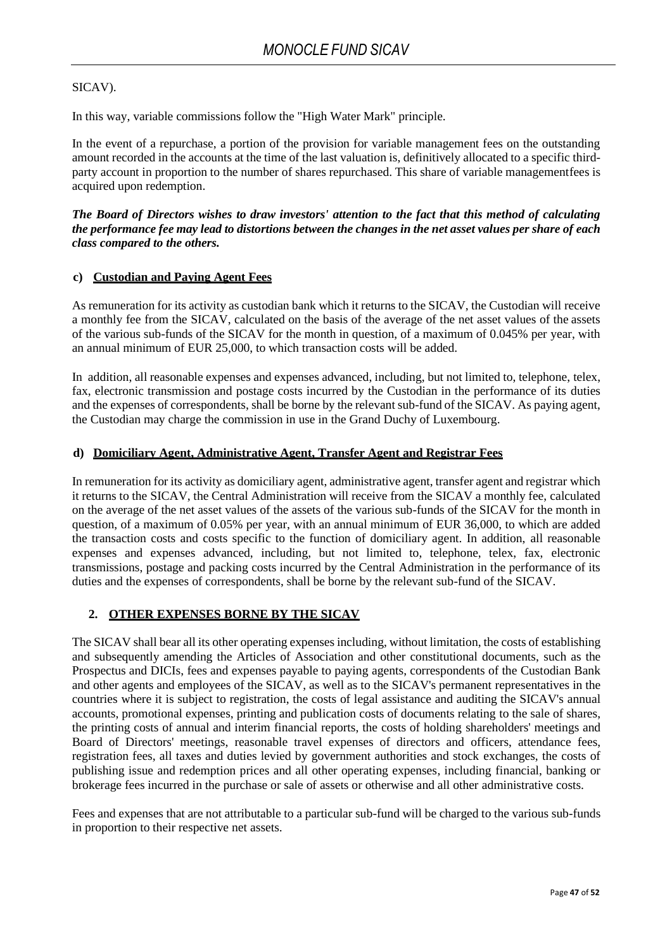### SICAV).

In this way, variable commissions follow the "High Water Mark" principle.

In the event of a repurchase, a portion of the provision for variable management fees on the outstanding amount recorded in the accounts at the time of the last valuation is, definitively allocated to a specific thirdparty account in proportion to the number of shares repurchased. This share of variable managementfees is acquired upon redemption.

*The Board of Directors wishes to draw investors' attention to the fact that this method of calculating the performance fee may lead to distortions between the changes in the net asset values per share of each class compared to the others.*

#### <span id="page-46-0"></span>**c) Custodian and Paying Agent Fees**

As remuneration for its activity as custodian bank which it returns to the SICAV, the Custodian will receive a monthly fee from the SICAV, calculated on the basis of the average of the net asset values of the assets of the various sub-funds of the SICAV for the month in question, of a maximum of 0.045% per year, with an annual minimum of EUR 25,000, to which transaction costs will be added.

In addition, all reasonable expenses and expenses advanced, including, but not limited to, telephone, telex, fax, electronic transmission and postage costs incurred by the Custodian in the performance of its duties and the expenses of correspondents, shall be borne by the relevant sub-fund of the SICAV. As paying agent, the Custodian may charge the commission in use in the Grand Duchy of Luxembourg.

### <span id="page-46-1"></span>**d) Domiciliary Agent, Administrative Agent, Transfer Agent and Registrar Fees**

In remuneration for its activity as domiciliary agent, administrative agent, transfer agent and registrar which it returns to the SICAV, the Central Administration will receive from the SICAV a monthly fee, calculated on the average of the net asset values of the assets of the various sub-funds of the SICAV for the month in question, of a maximum of 0.05% per year, with an annual minimum of EUR 36,000, to which are added the transaction costs and costs specific to the function of domiciliary agent. In addition, all reasonable expenses and expenses advanced, including, but not limited to, telephone, telex, fax, electronic transmissions, postage and packing costs incurred by the Central Administration in the performance of its duties and the expenses of correspondents, shall be borne by the relevant sub-fund of the SICAV.

### <span id="page-46-2"></span>**2. OTHER EXPENSES BORNE BY THE SICAV**

The SICAV shall bear all its other operating expenses including, without limitation, the costs of establishing and subsequently amending the Articles of Association and other constitutional documents, such as the Prospectus and DICIs, fees and expenses payable to paying agents, correspondents of the Custodian Bank and other agents and employees of the SICAV, as well as to the SICAV's permanent representatives in the countries where it is subject to registration, the costs of legal assistance and auditing the SICAV's annual accounts, promotional expenses, printing and publication costs of documents relating to the sale of shares, the printing costs of annual and interim financial reports, the costs of holding shareholders' meetings and Board of Directors' meetings, reasonable travel expenses of directors and officers, attendance fees, registration fees, all taxes and duties levied by government authorities and stock exchanges, the costs of publishing issue and redemption prices and all other operating expenses, including financial, banking or brokerage fees incurred in the purchase or sale of assets or otherwise and all other administrative costs.

Fees and expenses that are not attributable to a particular sub-fund will be charged to the various sub-funds in proportion to their respective net assets.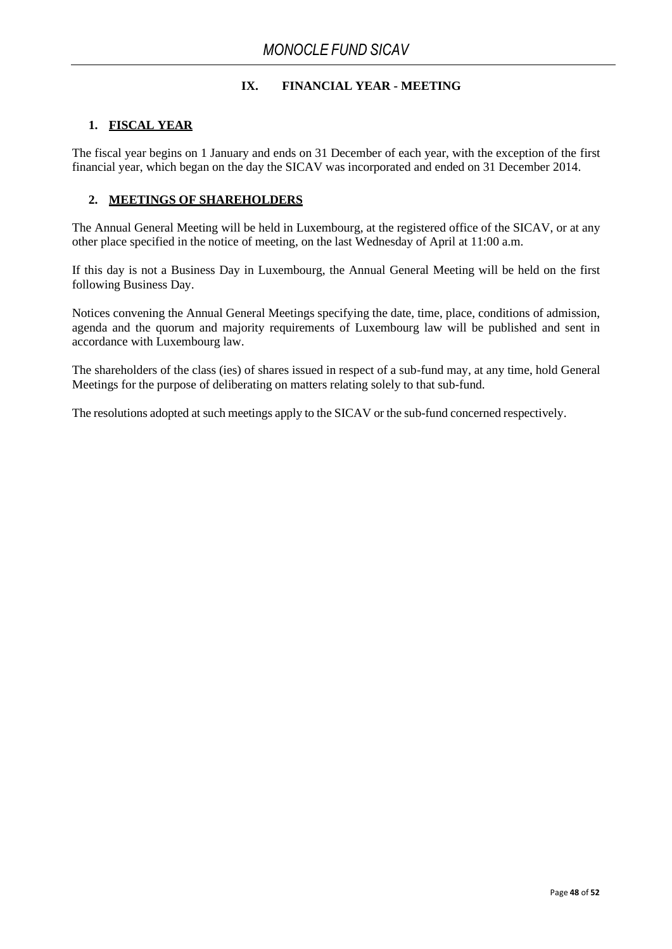### **IX. FINANCIAL YEAR - MEETING**

### <span id="page-47-0"></span>**1. FISCAL YEAR**

The fiscal year begins on 1 January and ends on 31 December of each year, with the exception of the first financial year, which began on the day the SICAV was incorporated and ended on 31 December 2014.

### <span id="page-47-1"></span>**2. MEETINGS OF SHAREHOLDERS**

The Annual General Meeting will be held in Luxembourg, at the registered office of the SICAV, or at any other place specified in the notice of meeting, on the last Wednesday of April at 11:00 a.m.

If this day is not a Business Day in Luxembourg, the Annual General Meeting will be held on the first following Business Day.

Notices convening the Annual General Meetings specifying the date, time, place, conditions of admission, agenda and the quorum and majority requirements of Luxembourg law will be published and sent in accordance with Luxembourg law.

The shareholders of the class (ies) of shares issued in respect of a sub-fund may, at any time, hold General Meetings for the purpose of deliberating on matters relating solely to that sub-fund.

The resolutions adopted at such meetings apply to the SICAV or the sub-fund concerned respectively.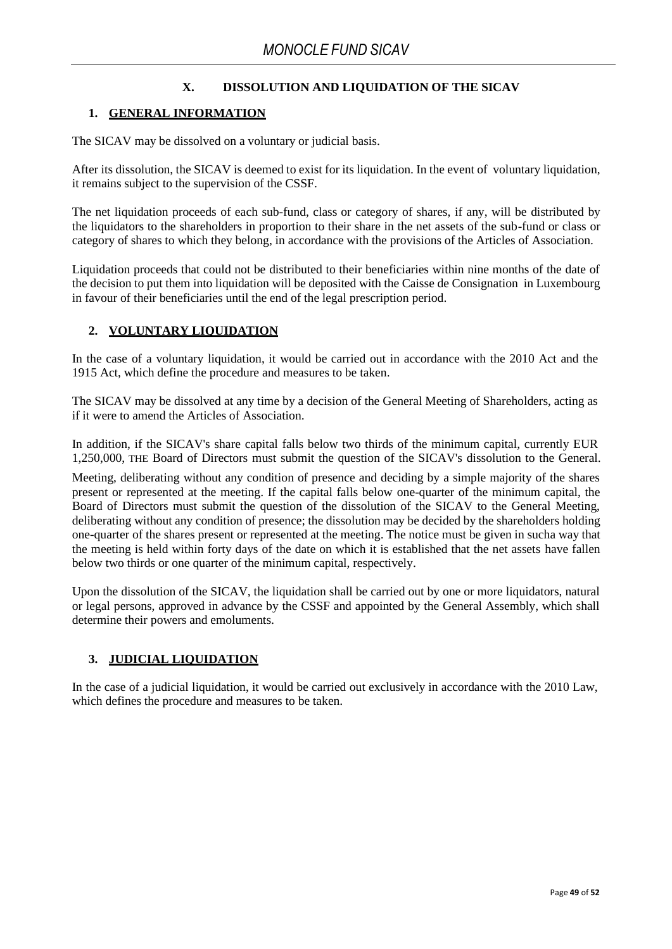## **X. DISSOLUTION AND LIQUIDATION OF THE SICAV**

### <span id="page-48-0"></span>**1. GENERAL INFORMATION**

The SICAV may be dissolved on a voluntary or judicial basis.

After its dissolution, the SICAV is deemed to exist for its liquidation. In the event of voluntary liquidation, it remains subject to the supervision of the CSSF.

The net liquidation proceeds of each sub-fund, class or category of shares, if any, will be distributed by the liquidators to the shareholders in proportion to their share in the net assets of the sub-fund or class or category of shares to which they belong, in accordance with the provisions of the Articles of Association.

Liquidation proceeds that could not be distributed to their beneficiaries within nine months of the date of the decision to put them into liquidation will be deposited with the Caisse de Consignation in Luxembourg in favour of their beneficiaries until the end of the legal prescription period.

### <span id="page-48-1"></span>**2. VOLUNTARY LIQUIDATION**

In the case of a voluntary liquidation, it would be carried out in accordance with the 2010 Act and the 1915 Act, which define the procedure and measures to be taken.

The SICAV may be dissolved at any time by a decision of the General Meeting of Shareholders, acting as if it were to amend the Articles of Association.

In addition, if the SICAV's share capital falls below two thirds of the minimum capital, currently EUR 1,250,000, THE Board of Directors must submit the question of the SICAV's dissolution to the General.

Meeting, deliberating without any condition of presence and deciding by a simple majority of the shares present or represented at the meeting. If the capital falls below one-quarter of the minimum capital, the Board of Directors must submit the question of the dissolution of the SICAV to the General Meeting, deliberating without any condition of presence; the dissolution may be decided by the shareholders holding one-quarter of the shares present or represented at the meeting. The notice must be given in sucha way that the meeting is held within forty days of the date on which it is established that the net assets have fallen below two thirds or one quarter of the minimum capital, respectively.

Upon the dissolution of the SICAV, the liquidation shall be carried out by one or more liquidators, natural or legal persons, approved in advance by the CSSF and appointed by the General Assembly, which shall determine their powers and emoluments.

## <span id="page-48-2"></span>**3. JUDICIAL LIQUIDATION**

In the case of a judicial liquidation, it would be carried out exclusively in accordance with the 2010 Law, which defines the procedure and measures to be taken.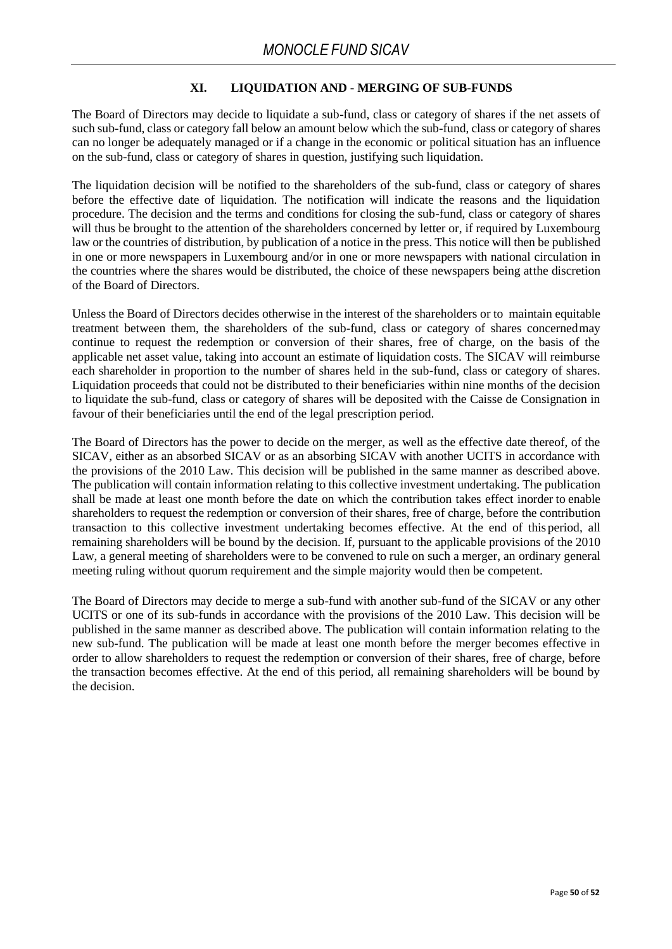### **XI. LIQUIDATION AND - MERGING OF SUB-FUNDS**

The Board of Directors may decide to liquidate a sub-fund, class or category of shares if the net assets of such sub-fund, class or category fall below an amount below which the sub-fund, class or category of shares can no longer be adequately managed or if a change in the economic or political situation has an influence on the sub-fund, class or category of shares in question, justifying such liquidation.

The liquidation decision will be notified to the shareholders of the sub-fund, class or category of shares before the effective date of liquidation. The notification will indicate the reasons and the liquidation procedure. The decision and the terms and conditions for closing the sub-fund, class or category of shares will thus be brought to the attention of the shareholders concerned by letter or, if required by Luxembourg law or the countries of distribution, by publication of a notice in the press. This notice will then be published in one or more newspapers in Luxembourg and/or in one or more newspapers with national circulation in the countries where the shares would be distributed, the choice of these newspapers being atthe discretion of the Board of Directors.

Unless the Board of Directors decides otherwise in the interest of the shareholders or to maintain equitable treatment between them, the shareholders of the sub-fund, class or category of shares concernedmay continue to request the redemption or conversion of their shares, free of charge, on the basis of the applicable net asset value, taking into account an estimate of liquidation costs. The SICAV will reimburse each shareholder in proportion to the number of shares held in the sub-fund, class or category of shares. Liquidation proceeds that could not be distributed to their beneficiaries within nine months of the decision to liquidate the sub-fund, class or category of shares will be deposited with the Caisse de Consignation in favour of their beneficiaries until the end of the legal prescription period.

The Board of Directors has the power to decide on the merger, as well as the effective date thereof, of the SICAV, either as an absorbed SICAV or as an absorbing SICAV with another UCITS in accordance with the provisions of the 2010 Law. This decision will be published in the same manner as described above. The publication will contain information relating to this collective investment undertaking. The publication shall be made at least one month before the date on which the contribution takes effect inorder to enable shareholders to request the redemption or conversion of their shares, free of charge, before the contribution transaction to this collective investment undertaking becomes effective. At the end of this period, all remaining shareholders will be bound by the decision. If, pursuant to the applicable provisions of the 2010 Law, a general meeting of shareholders were to be convened to rule on such a merger, an ordinary general meeting ruling without quorum requirement and the simple majority would then be competent.

The Board of Directors may decide to merge a sub-fund with another sub-fund of the SICAV or any other UCITS or one of its sub-funds in accordance with the provisions of the 2010 Law. This decision will be published in the same manner as described above. The publication will contain information relating to the new sub-fund. The publication will be made at least one month before the merger becomes effective in order to allow shareholders to request the redemption or conversion of their shares, free of charge, before the transaction becomes effective. At the end of this period, all remaining shareholders will be bound by the decision.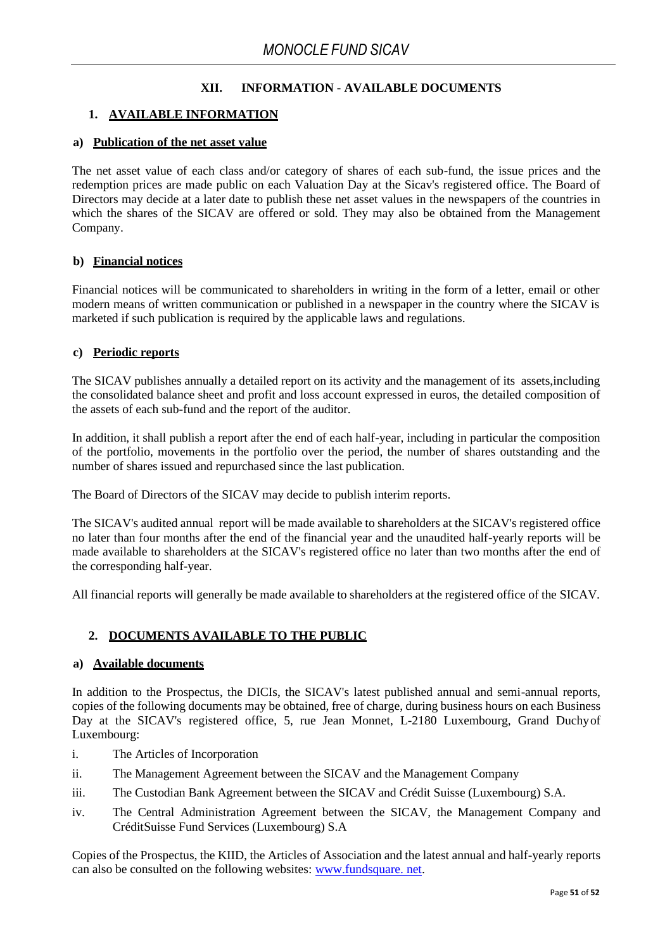### **XII. INFORMATION - AVAILABLE DOCUMENTS**

### <span id="page-50-0"></span>**1. AVAILABLE INFORMATION**

### <span id="page-50-1"></span>**a) Publication of the net asset value**

The net asset value of each class and/or category of shares of each sub-fund, the issue prices and the redemption prices are made public on each Valuation Day at the Sicav's registered office. The Board of Directors may decide at a later date to publish these net asset values in the newspapers of the countries in which the shares of the SICAV are offered or sold. They may also be obtained from the Management Company.

### <span id="page-50-2"></span>**b) Financial notices**

Financial notices will be communicated to shareholders in writing in the form of a letter, email or other modern means of written communication or published in a newspaper in the country where the SICAV is marketed if such publication is required by the applicable laws and regulations.

#### <span id="page-50-3"></span>**c) Periodic reports**

The SICAV publishes annually a detailed report on its activity and the management of its assets,including the consolidated balance sheet and profit and loss account expressed in euros, the detailed composition of the assets of each sub-fund and the report of the auditor.

In addition, it shall publish a report after the end of each half-year, including in particular the composition of the portfolio, movements in the portfolio over the period, the number of shares outstanding and the number of shares issued and repurchased since the last publication.

The Board of Directors of the SICAV may decide to publish interim reports.

The SICAV's audited annual report will be made available to shareholders at the SICAV's registered office no later than four months after the end of the financial year and the unaudited half-yearly reports will be made available to shareholders at the SICAV's registered office no later than two months after the end of the corresponding half-year.

All financial reports will generally be made available to shareholders at the registered office of the SICAV.

### <span id="page-50-4"></span>**2. DOCUMENTS AVAILABLE TO THE PUBLIC**

### <span id="page-50-5"></span>**a) Available documents**

In addition to the Prospectus, the DICIs, the SICAV's latest published annual and semi-annual reports, copies of the following documents may be obtained, free of charge, during business hours on each Business Day at the SICAV's registered office, 5, rue Jean Monnet, L-2180 Luxembourg, Grand Duchyof Luxembourg:

- i. The Articles of Incorporation
- ii. The Management Agreement between the SICAV and the Management Company
- iii. The Custodian Bank Agreement between the SICAV and Crédit Suisse (Luxembourg) S.A.
- iv. The Central Administration Agreement between the SICAV, the Management Company and CréditSuisse Fund Services (Luxembourg) S.A

Copies of the Prospectus, the KIID, the Articles of Association and the latest annual and half-yearly reports can also be consulted on the following websites: [www.fundsquare.](http://www.fundsquare./) n[et.](http://www.fundsquare./)